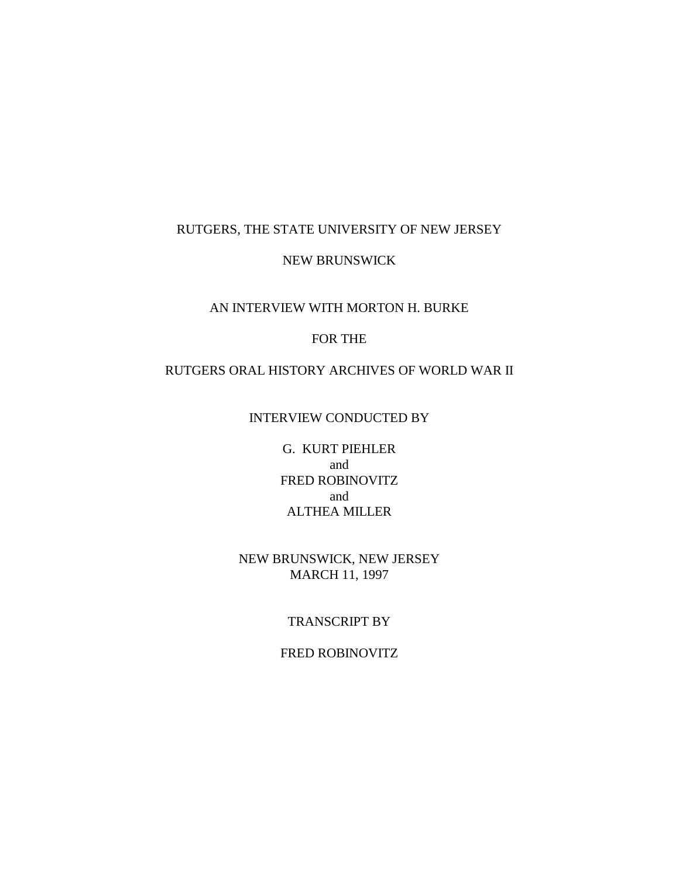#### RUTGERS, THE STATE UNIVERSITY OF NEW JERSEY

#### NEW BRUNSWICK

## AN INTERVIEW WITH MORTON H. BURKE

#### FOR THE

#### RUTGERS ORAL HISTORY ARCHIVES OF WORLD WAR II

#### INTERVIEW CONDUCTED BY

G. KURT PIEHLER and FRED ROBINOVITZ and ALTHEA MILLER

#### NEW BRUNSWICK, NEW JERSEY MARCH 11, 1997

### TRANSCRIPT BY

# FRED ROBINOVITZ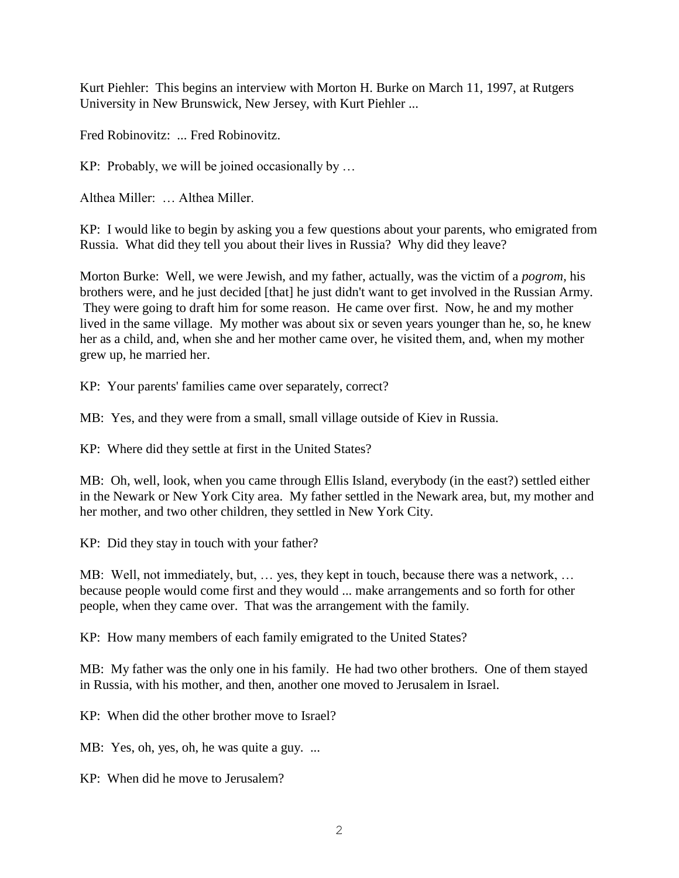Kurt Piehler: This begins an interview with Morton H. Burke on March 11, 1997, at Rutgers University in New Brunswick, New Jersey, with Kurt Piehler ...

Fred Robinovitz: ... Fred Robinovitz.

KP: Probably, we will be joined occasionally by …

Althea Miller: … Althea Miller.

KP: I would like to begin by asking you a few questions about your parents, who emigrated from Russia. What did they tell you about their lives in Russia? Why did they leave?

Morton Burke: Well, we were Jewish, and my father, actually, was the victim of a *pogrom,* his brothers were, and he just decided [that] he just didn't want to get involved in the Russian Army. They were going to draft him for some reason. He came over first. Now, he and my mother lived in the same village. My mother was about six or seven years younger than he, so, he knew her as a child, and, when she and her mother came over, he visited them, and, when my mother grew up, he married her.

KP: Your parents' families came over separately, correct?

MB: Yes, and they were from a small, small village outside of Kiev in Russia.

KP: Where did they settle at first in the United States?

MB: Oh, well, look, when you came through Ellis Island, everybody (in the east?) settled either in the Newark or New York City area. My father settled in the Newark area, but, my mother and her mother, and two other children, they settled in New York City.

KP: Did they stay in touch with your father?

MB: Well, not immediately, but, … yes, they kept in touch, because there was a network, … because people would come first and they would ... make arrangements and so forth for other people, when they came over. That was the arrangement with the family.

KP: How many members of each family emigrated to the United States?

MB: My father was the only one in his family. He had two other brothers. One of them stayed in Russia, with his mother, and then, another one moved to Jerusalem in Israel.

KP: When did the other brother move to Israel?

MB: Yes, oh, yes, oh, he was quite a guy. ...

KP: When did he move to Jerusalem?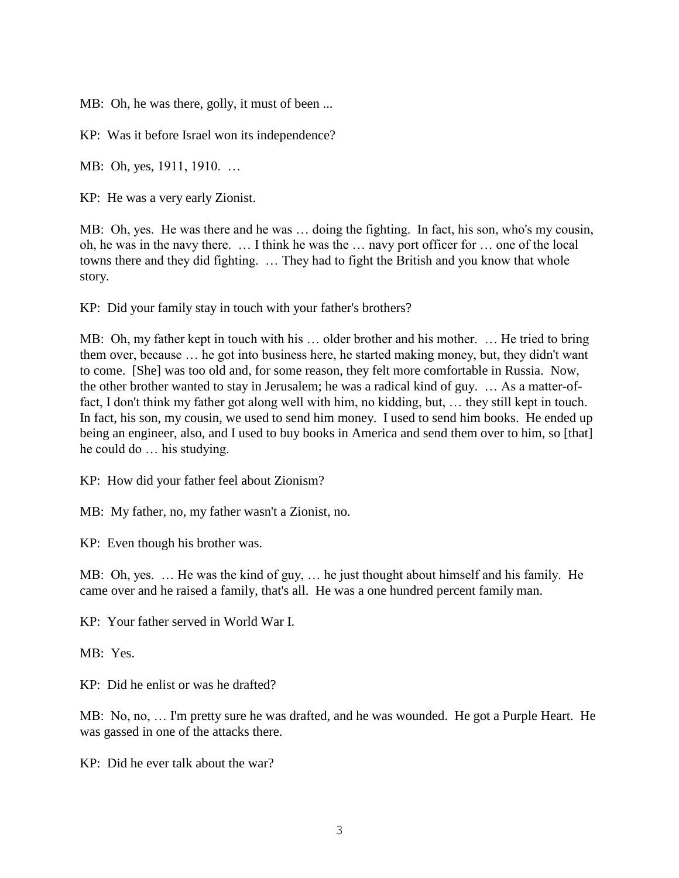MB: Oh, he was there, golly, it must of been ...

KP: Was it before Israel won its independence?

MB: Oh, yes, 1911, 1910. …

KP: He was a very early Zionist.

MB: Oh, yes. He was there and he was … doing the fighting. In fact, his son, who's my cousin, oh, he was in the navy there. … I think he was the … navy port officer for … one of the local towns there and they did fighting. … They had to fight the British and you know that whole story.

KP: Did your family stay in touch with your father's brothers?

MB: Oh, my father kept in touch with his … older brother and his mother. … He tried to bring them over, because … he got into business here, he started making money, but, they didn't want to come. [She] was too old and, for some reason, they felt more comfortable in Russia. Now, the other brother wanted to stay in Jerusalem; he was a radical kind of guy. … As a matter-offact, I don't think my father got along well with him, no kidding, but, … they still kept in touch. In fact, his son, my cousin, we used to send him money. I used to send him books. He ended up being an engineer, also, and I used to buy books in America and send them over to him, so [that] he could do … his studying.

KP: How did your father feel about Zionism?

MB: My father, no, my father wasn't a Zionist, no.

KP: Even though his brother was.

MB: Oh, yes. … He was the kind of guy, … he just thought about himself and his family. He came over and he raised a family, that's all. He was a one hundred percent family man.

KP: Your father served in World War I.

MB: Yes.

KP: Did he enlist or was he drafted?

MB: No, no, … I'm pretty sure he was drafted, and he was wounded. He got a Purple Heart. He was gassed in one of the attacks there.

KP: Did he ever talk about the war?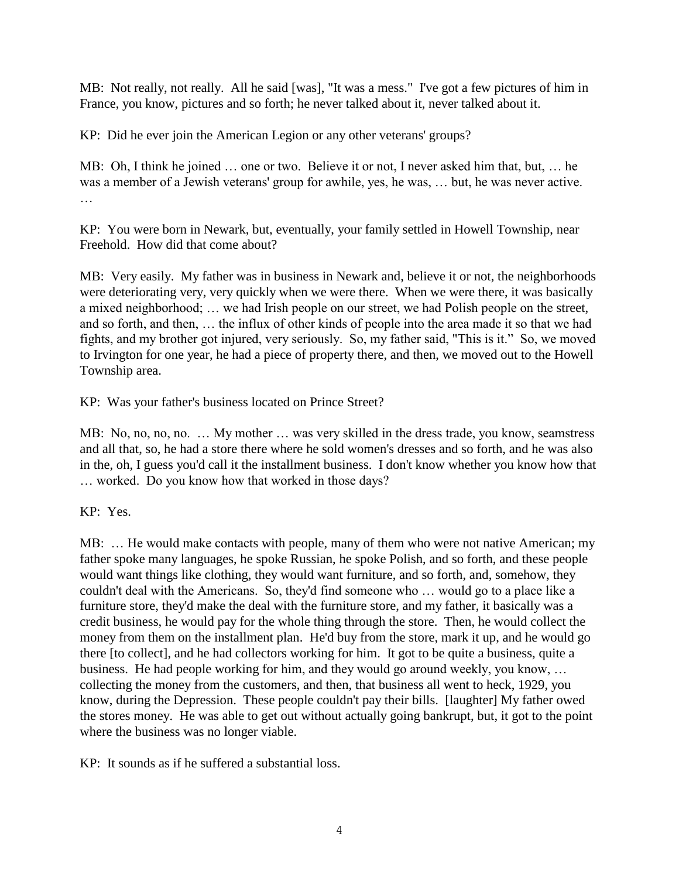MB: Not really, not really. All he said [was], "It was a mess." I've got a few pictures of him in France, you know, pictures and so forth; he never talked about it, never talked about it.

KP: Did he ever join the American Legion or any other veterans' groups?

MB: Oh, I think he joined … one or two. Believe it or not, I never asked him that, but, … he was a member of a Jewish veterans' group for awhile, yes, he was, … but, he was never active. …

KP: You were born in Newark, but, eventually, your family settled in Howell Township, near Freehold. How did that come about?

MB: Very easily. My father was in business in Newark and, believe it or not, the neighborhoods were deteriorating very, very quickly when we were there. When we were there, it was basically a mixed neighborhood; … we had Irish people on our street, we had Polish people on the street, and so forth, and then, … the influx of other kinds of people into the area made it so that we had fights, and my brother got injured, very seriously. So, my father said, "This is it." So, we moved to Irvington for one year, he had a piece of property there, and then, we moved out to the Howell Township area.

KP: Was your father's business located on Prince Street?

MB: No, no, no, no. … My mother … was very skilled in the dress trade, you know, seamstress and all that, so, he had a store there where he sold women's dresses and so forth, and he was also in the, oh, I guess you'd call it the installment business. I don't know whether you know how that … worked. Do you know how that worked in those days?

KP: Yes.

MB: … He would make contacts with people, many of them who were not native American; my father spoke many languages, he spoke Russian, he spoke Polish, and so forth, and these people would want things like clothing, they would want furniture, and so forth, and, somehow, they couldn't deal with the Americans. So, they'd find someone who … would go to a place like a furniture store, they'd make the deal with the furniture store, and my father, it basically was a credit business, he would pay for the whole thing through the store. Then, he would collect the money from them on the installment plan. He'd buy from the store, mark it up, and he would go there [to collect], and he had collectors working for him. It got to be quite a business, quite a business. He had people working for him, and they would go around weekly, you know, … collecting the money from the customers, and then, that business all went to heck, 1929, you know, during the Depression. These people couldn't pay their bills. [laughter] My father owed the stores money. He was able to get out without actually going bankrupt, but, it got to the point where the business was no longer viable.

KP: It sounds as if he suffered a substantial loss.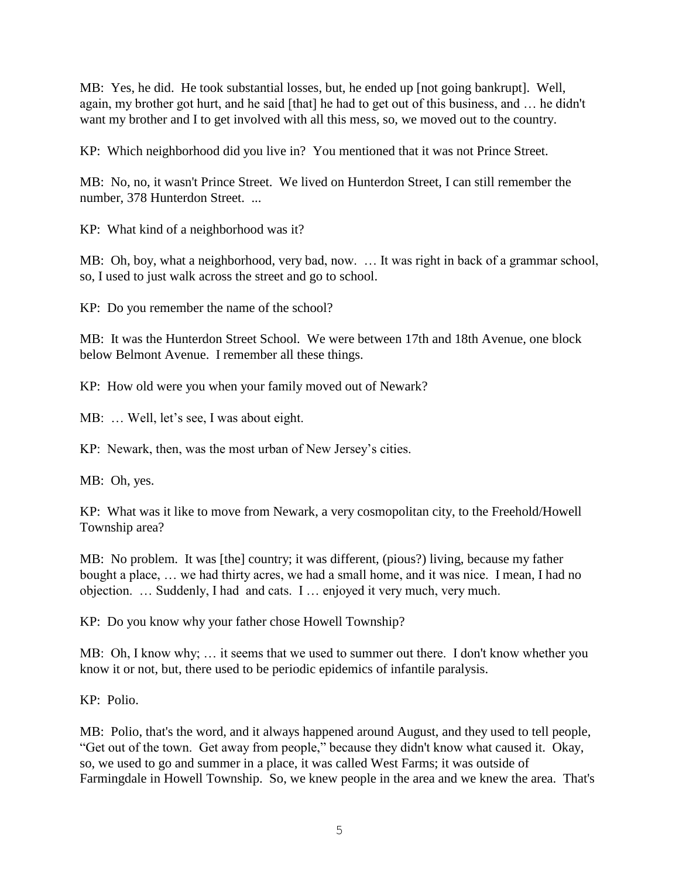MB: Yes, he did. He took substantial losses, but, he ended up [not going bankrupt]. Well, again, my brother got hurt, and he said [that] he had to get out of this business, and … he didn't want my brother and I to get involved with all this mess, so, we moved out to the country.

KP: Which neighborhood did you live in? You mentioned that it was not Prince Street.

MB: No, no, it wasn't Prince Street. We lived on Hunterdon Street, I can still remember the number, 378 Hunterdon Street. ...

KP: What kind of a neighborhood was it?

MB: Oh, boy, what a neighborhood, very bad, now. … It was right in back of a grammar school, so, I used to just walk across the street and go to school.

KP: Do you remember the name of the school?

MB: It was the Hunterdon Street School. We were between 17th and 18th Avenue, one block below Belmont Avenue. I remember all these things.

KP: How old were you when your family moved out of Newark?

MB: … Well, let's see, I was about eight.

KP: Newark, then, was the most urban of New Jersey's cities.

MB: Oh, yes.

KP: What was it like to move from Newark, a very cosmopolitan city, to the Freehold/Howell Township area?

MB: No problem. It was [the] country; it was different, (pious?) living, because my father bought a place, … we had thirty acres, we had a small home, and it was nice. I mean, I had no objection. … Suddenly, I had and cats. I … enjoyed it very much, very much.

KP: Do you know why your father chose Howell Township?

MB: Oh, I know why; … it seems that we used to summer out there. I don't know whether you know it or not, but, there used to be periodic epidemics of infantile paralysis.

KP: Polio.

MB: Polio, that's the word, and it always happened around August, and they used to tell people, "Get out of the town. Get away from people," because they didn't know what caused it. Okay, so, we used to go and summer in a place, it was called West Farms; it was outside of Farmingdale in Howell Township. So, we knew people in the area and we knew the area. That's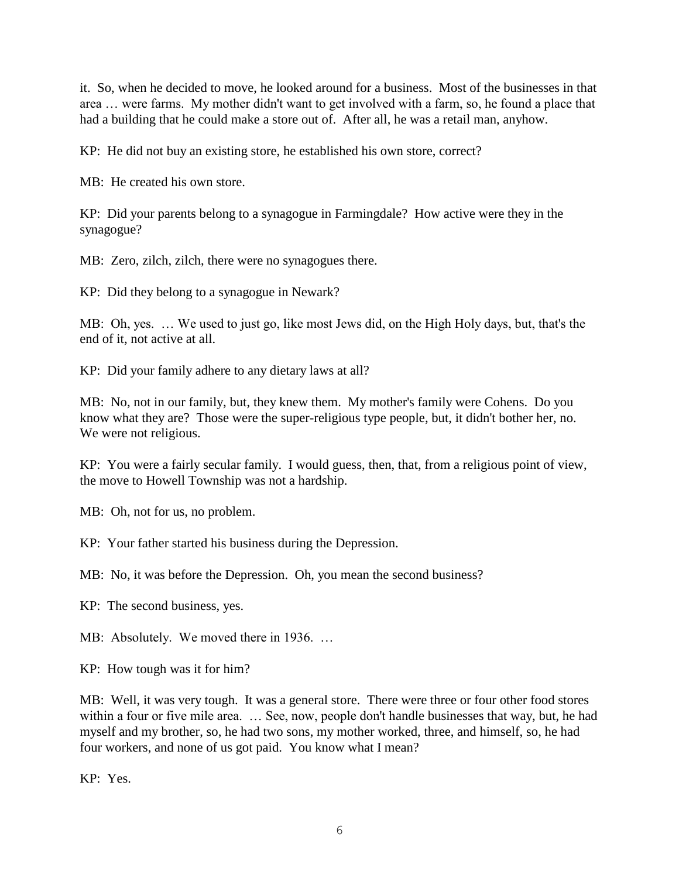it. So, when he decided to move, he looked around for a business. Most of the businesses in that area … were farms. My mother didn't want to get involved with a farm, so, he found a place that had a building that he could make a store out of. After all, he was a retail man, anyhow.

KP: He did not buy an existing store, he established his own store, correct?

MB: He created his own store.

KP: Did your parents belong to a synagogue in Farmingdale? How active were they in the synagogue?

MB: Zero, zilch, zilch, there were no synagogues there.

KP: Did they belong to a synagogue in Newark?

MB: Oh, yes. … We used to just go, like most Jews did, on the High Holy days, but, that's the end of it, not active at all.

KP: Did your family adhere to any dietary laws at all?

MB: No, not in our family, but, they knew them. My mother's family were Cohens. Do you know what they are? Those were the super-religious type people, but, it didn't bother her, no. We were not religious.

KP: You were a fairly secular family. I would guess, then, that, from a religious point of view, the move to Howell Township was not a hardship.

MB: Oh, not for us, no problem.

KP: Your father started his business during the Depression.

MB: No, it was before the Depression. Oh, you mean the second business?

KP: The second business, yes.

MB: Absolutely. We moved there in 1936. …

KP: How tough was it for him?

MB: Well, it was very tough. It was a general store. There were three or four other food stores within a four or five mile area. ... See, now, people don't handle businesses that way, but, he had myself and my brother, so, he had two sons, my mother worked, three, and himself, so, he had four workers, and none of us got paid. You know what I mean?

KP: Yes.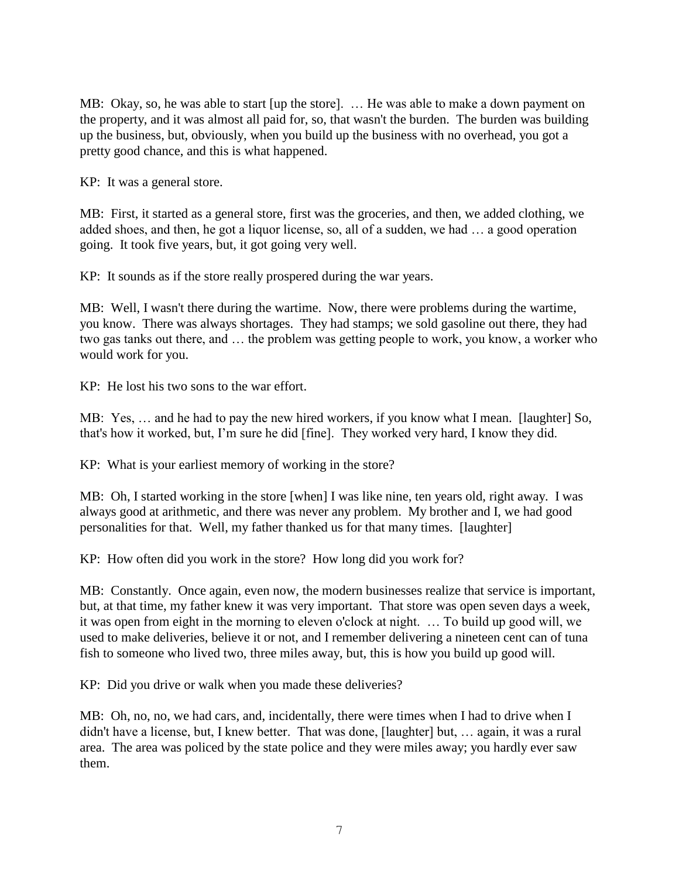MB: Okay, so, he was able to start [up the store]. … He was able to make a down payment on the property, and it was almost all paid for, so, that wasn't the burden. The burden was building up the business, but, obviously, when you build up the business with no overhead, you got a pretty good chance, and this is what happened.

KP: It was a general store.

MB: First, it started as a general store, first was the groceries, and then, we added clothing, we added shoes, and then, he got a liquor license, so, all of a sudden, we had … a good operation going. It took five years, but, it got going very well.

KP: It sounds as if the store really prospered during the war years.

MB: Well, I wasn't there during the wartime. Now, there were problems during the wartime, you know. There was always shortages. They had stamps; we sold gasoline out there, they had two gas tanks out there, and … the problem was getting people to work, you know, a worker who would work for you.

KP: He lost his two sons to the war effort.

MB: Yes, … and he had to pay the new hired workers, if you know what I mean. [laughter] So, that's how it worked, but, I'm sure he did [fine]. They worked very hard, I know they did.

KP: What is your earliest memory of working in the store?

MB: Oh, I started working in the store [when] I was like nine, ten years old, right away. I was always good at arithmetic, and there was never any problem. My brother and I, we had good personalities for that. Well, my father thanked us for that many times. [laughter]

KP: How often did you work in the store? How long did you work for?

MB: Constantly. Once again, even now, the modern businesses realize that service is important, but, at that time, my father knew it was very important. That store was open seven days a week, it was open from eight in the morning to eleven o'clock at night. … To build up good will, we used to make deliveries, believe it or not, and I remember delivering a nineteen cent can of tuna fish to someone who lived two, three miles away, but, this is how you build up good will.

KP: Did you drive or walk when you made these deliveries?

MB: Oh, no, no, we had cars, and, incidentally, there were times when I had to drive when I didn't have a license, but, I knew better. That was done, [laughter] but, … again, it was a rural area. The area was policed by the state police and they were miles away; you hardly ever saw them.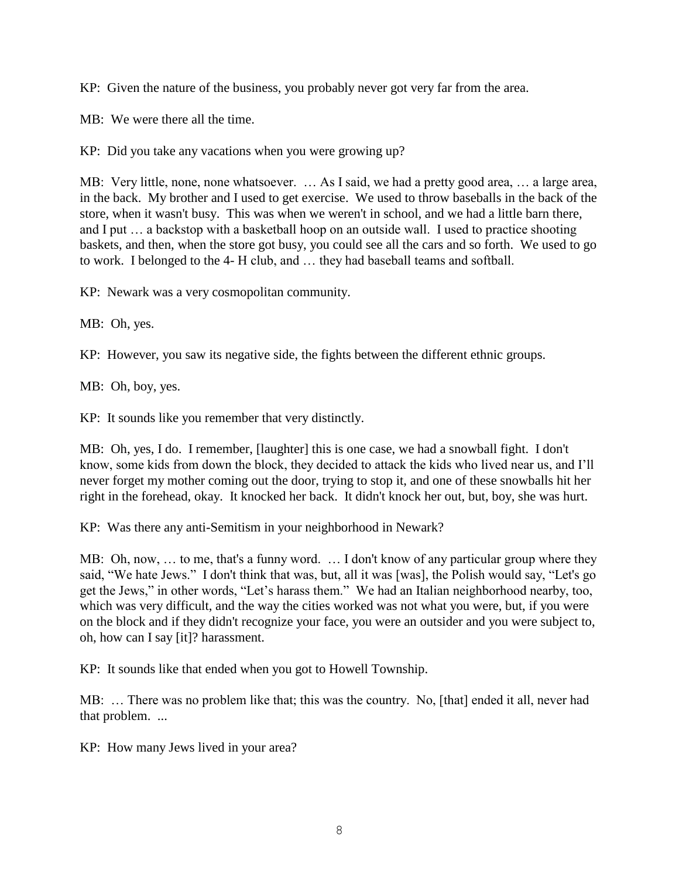KP: Given the nature of the business, you probably never got very far from the area.

MB: We were there all the time.

KP: Did you take any vacations when you were growing up?

MB: Very little, none, none whatsoever. … As I said, we had a pretty good area, … a large area, in the back. My brother and I used to get exercise. We used to throw baseballs in the back of the store, when it wasn't busy. This was when we weren't in school, and we had a little barn there, and I put … a backstop with a basketball hoop on an outside wall. I used to practice shooting baskets, and then, when the store got busy, you could see all the cars and so forth. We used to go to work. I belonged to the 4- H club, and … they had baseball teams and softball.

KP: Newark was a very cosmopolitan community.

MB: Oh, yes.

KP: However, you saw its negative side, the fights between the different ethnic groups.

MB: Oh, boy, yes.

KP: It sounds like you remember that very distinctly.

MB: Oh, yes, I do. I remember, [laughter] this is one case, we had a snowball fight. I don't know, some kids from down the block, they decided to attack the kids who lived near us, and I'll never forget my mother coming out the door, trying to stop it, and one of these snowballs hit her right in the forehead, okay. It knocked her back. It didn't knock her out, but, boy, she was hurt.

KP: Was there any anti-Semitism in your neighborhood in Newark?

MB: Oh, now, … to me, that's a funny word. … I don't know of any particular group where they said, "We hate Jews." I don't think that was, but, all it was [was], the Polish would say, "Let's go get the Jews," in other words, "Let's harass them." We had an Italian neighborhood nearby, too, which was very difficult, and the way the cities worked was not what you were, but, if you were on the block and if they didn't recognize your face, you were an outsider and you were subject to, oh, how can I say [it]? harassment.

KP: It sounds like that ended when you got to Howell Township.

MB: … There was no problem like that; this was the country. No, [that] ended it all, never had that problem. ...

KP: How many Jews lived in your area?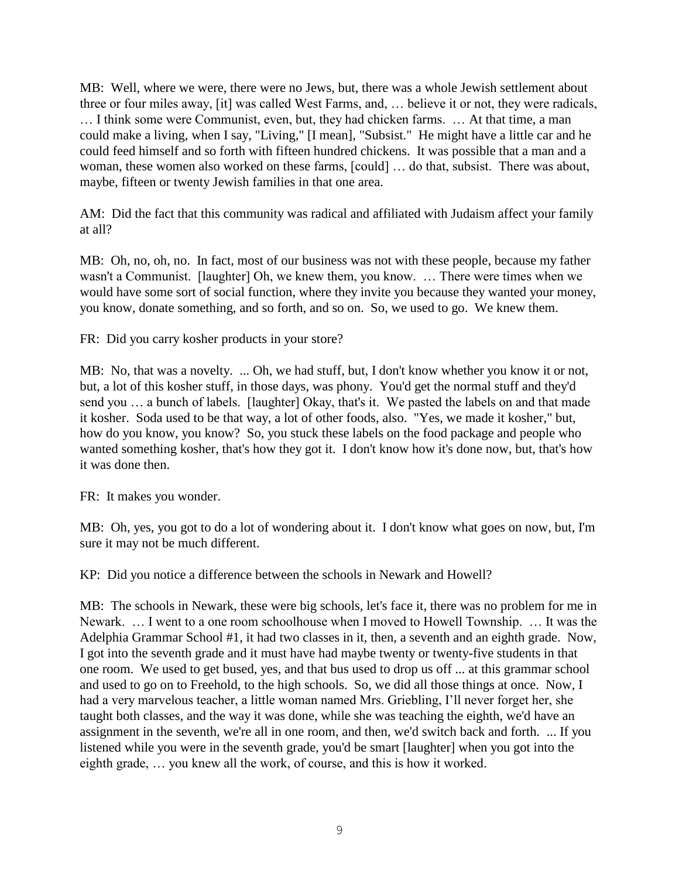MB: Well, where we were, there were no Jews, but, there was a whole Jewish settlement about three or four miles away, [it] was called West Farms, and, … believe it or not, they were radicals, … I think some were Communist, even, but, they had chicken farms. … At that time, a man could make a living, when I say, "Living," [I mean], "Subsist." He might have a little car and he could feed himself and so forth with fifteen hundred chickens. It was possible that a man and a woman, these women also worked on these farms, [could] … do that, subsist. There was about, maybe, fifteen or twenty Jewish families in that one area.

AM: Did the fact that this community was radical and affiliated with Judaism affect your family at all?

MB: Oh, no, oh, no. In fact, most of our business was not with these people, because my father wasn't a Communist. [laughter] Oh, we knew them, you know. … There were times when we would have some sort of social function, where they invite you because they wanted your money, you know, donate something, and so forth, and so on. So, we used to go. We knew them.

FR: Did you carry kosher products in your store?

MB: No, that was a novelty. ... Oh, we had stuff, but, I don't know whether you know it or not, but, a lot of this kosher stuff, in those days, was phony. You'd get the normal stuff and they'd send you … a bunch of labels. [laughter] Okay, that's it. We pasted the labels on and that made it kosher. Soda used to be that way, a lot of other foods, also. "Yes, we made it kosher," but, how do you know, you know? So, you stuck these labels on the food package and people who wanted something kosher, that's how they got it. I don't know how it's done now, but, that's how it was done then.

FR: It makes you wonder.

MB: Oh, yes, you got to do a lot of wondering about it. I don't know what goes on now, but, I'm sure it may not be much different.

KP: Did you notice a difference between the schools in Newark and Howell?

MB: The schools in Newark, these were big schools, let's face it, there was no problem for me in Newark. … I went to a one room schoolhouse when I moved to Howell Township. … It was the Adelphia Grammar School #1, it had two classes in it, then, a seventh and an eighth grade. Now, I got into the seventh grade and it must have had maybe twenty or twenty-five students in that one room. We used to get bused, yes, and that bus used to drop us off ... at this grammar school and used to go on to Freehold, to the high schools. So, we did all those things at once. Now, I had a very marvelous teacher, a little woman named Mrs. Griebling, I'll never forget her, she taught both classes, and the way it was done, while she was teaching the eighth, we'd have an assignment in the seventh, we're all in one room, and then, we'd switch back and forth. ... If you listened while you were in the seventh grade, you'd be smart [laughter] when you got into the eighth grade, … you knew all the work, of course, and this is how it worked.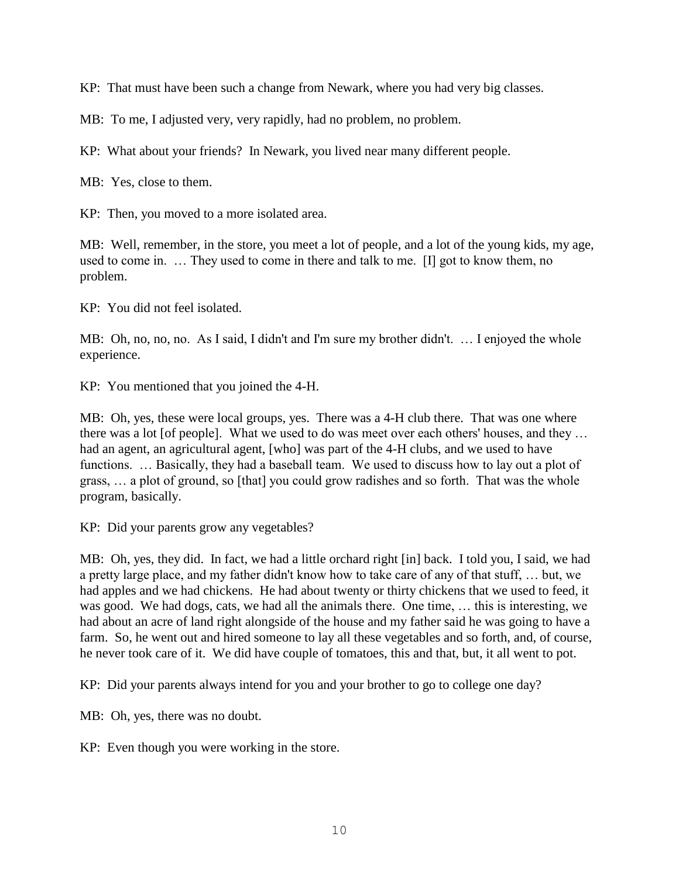KP: That must have been such a change from Newark, where you had very big classes.

MB: To me, I adjusted very, very rapidly, had no problem, no problem.

KP: What about your friends? In Newark, you lived near many different people.

MB: Yes, close to them.

KP: Then, you moved to a more isolated area.

MB: Well, remember, in the store, you meet a lot of people, and a lot of the young kids, my age, used to come in. … They used to come in there and talk to me. [I] got to know them, no problem.

KP: You did not feel isolated.

MB: Oh, no, no, no. As I said, I didn't and I'm sure my brother didn't. … I enjoyed the whole experience.

KP: You mentioned that you joined the 4-H.

MB: Oh, yes, these were local groups, yes. There was a 4-H club there. That was one where there was a lot [of people]. What we used to do was meet over each others' houses, and they … had an agent, an agricultural agent, [who] was part of the 4-H clubs, and we used to have functions. ... Basically, they had a baseball team. We used to discuss how to lay out a plot of grass, … a plot of ground, so [that] you could grow radishes and so forth. That was the whole program, basically.

KP: Did your parents grow any vegetables?

MB: Oh, yes, they did. In fact, we had a little orchard right [in] back. I told you, I said, we had a pretty large place, and my father didn't know how to take care of any of that stuff, … but, we had apples and we had chickens. He had about twenty or thirty chickens that we used to feed, it was good. We had dogs, cats, we had all the animals there. One time, … this is interesting, we had about an acre of land right alongside of the house and my father said he was going to have a farm. So, he went out and hired someone to lay all these vegetables and so forth, and, of course, he never took care of it. We did have couple of tomatoes, this and that, but, it all went to pot.

KP: Did your parents always intend for you and your brother to go to college one day?

MB: Oh, yes, there was no doubt.

KP: Even though you were working in the store.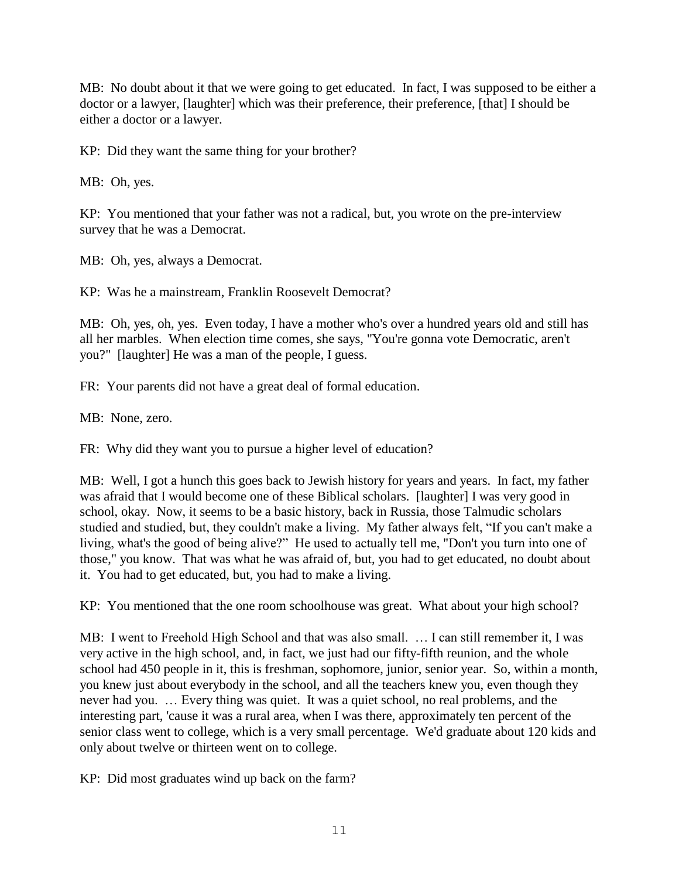MB: No doubt about it that we were going to get educated. In fact, I was supposed to be either a doctor or a lawyer, [laughter] which was their preference, their preference, [that] I should be either a doctor or a lawyer.

KP: Did they want the same thing for your brother?

MB: Oh, yes.

KP: You mentioned that your father was not a radical, but, you wrote on the pre-interview survey that he was a Democrat.

MB: Oh, yes, always a Democrat.

KP: Was he a mainstream, Franklin Roosevelt Democrat?

MB: Oh, yes, oh, yes. Even today, I have a mother who's over a hundred years old and still has all her marbles. When election time comes, she says, "You're gonna vote Democratic, aren't you?" [laughter] He was a man of the people, I guess.

FR: Your parents did not have a great deal of formal education.

MB: None, zero.

FR: Why did they want you to pursue a higher level of education?

MB: Well, I got a hunch this goes back to Jewish history for years and years. In fact, my father was afraid that I would become one of these Biblical scholars. [laughter] I was very good in school, okay. Now, it seems to be a basic history, back in Russia, those Talmudic scholars studied and studied, but, they couldn't make a living. My father always felt, "If you can't make a living, what's the good of being alive?" He used to actually tell me, "Don't you turn into one of those," you know. That was what he was afraid of, but, you had to get educated, no doubt about it. You had to get educated, but, you had to make a living.

KP: You mentioned that the one room schoolhouse was great. What about your high school?

MB: I went to Freehold High School and that was also small. … I can still remember it, I was very active in the high school, and, in fact, we just had our fifty-fifth reunion, and the whole school had 450 people in it, this is freshman, sophomore, junior, senior year. So, within a month, you knew just about everybody in the school, and all the teachers knew you, even though they never had you. … Every thing was quiet. It was a quiet school, no real problems, and the interesting part, 'cause it was a rural area, when I was there, approximately ten percent of the senior class went to college, which is a very small percentage. We'd graduate about 120 kids and only about twelve or thirteen went on to college.

KP: Did most graduates wind up back on the farm?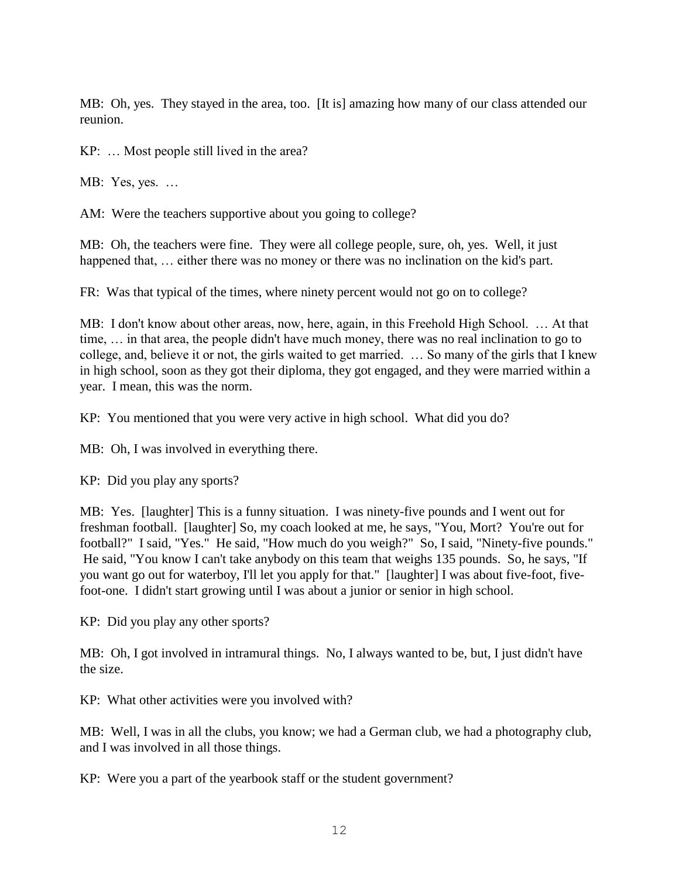MB: Oh, yes. They stayed in the area, too. [It is] amazing how many of our class attended our reunion.

KP: … Most people still lived in the area?

MB: Yes, yes. …

AM: Were the teachers supportive about you going to college?

MB: Oh, the teachers were fine. They were all college people, sure, oh, yes. Well, it just happened that, ... either there was no money or there was no inclination on the kid's part.

FR: Was that typical of the times, where ninety percent would not go on to college?

MB: I don't know about other areas, now, here, again, in this Freehold High School. … At that time, … in that area, the people didn't have much money, there was no real inclination to go to college, and, believe it or not, the girls waited to get married. … So many of the girls that I knew in high school, soon as they got their diploma, they got engaged, and they were married within a year. I mean, this was the norm.

KP: You mentioned that you were very active in high school. What did you do?

MB: Oh, I was involved in everything there.

KP: Did you play any sports?

MB: Yes. [laughter] This is a funny situation. I was ninety-five pounds and I went out for freshman football. [laughter] So, my coach looked at me, he says, "You, Mort? You're out for football?" I said, "Yes." He said, "How much do you weigh?" So, I said, "Ninety-five pounds." He said, "You know I can't take anybody on this team that weighs 135 pounds. So, he says, "If you want go out for waterboy, I'll let you apply for that." [laughter] I was about five-foot, fivefoot-one. I didn't start growing until I was about a junior or senior in high school.

KP: Did you play any other sports?

MB: Oh, I got involved in intramural things. No, I always wanted to be, but, I just didn't have the size.

KP: What other activities were you involved with?

MB: Well, I was in all the clubs, you know; we had a German club, we had a photography club, and I was involved in all those things.

KP: Were you a part of the yearbook staff or the student government?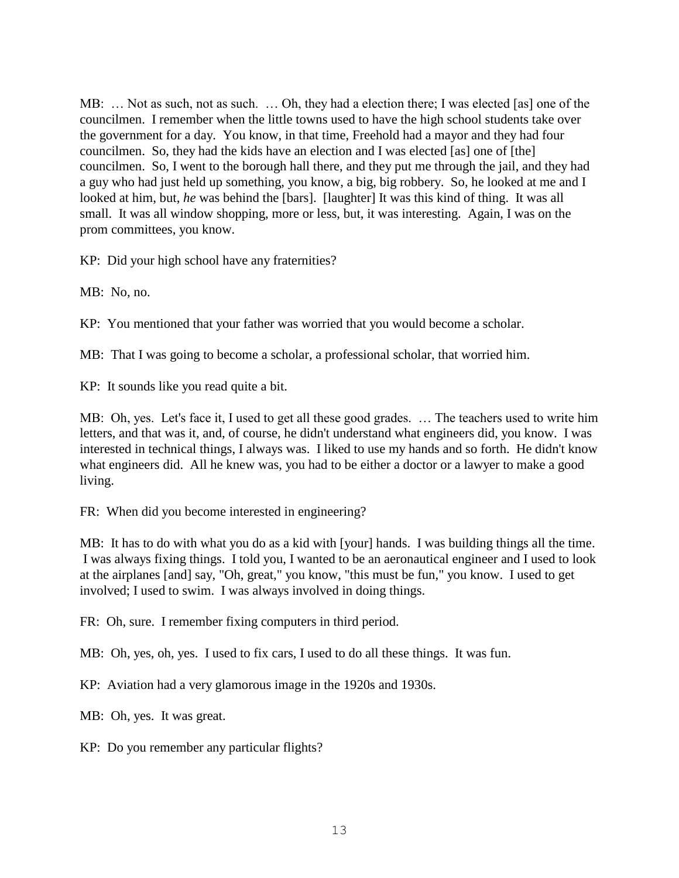MB: … Not as such, not as such. … Oh, they had a election there; I was elected [as] one of the councilmen. I remember when the little towns used to have the high school students take over the government for a day. You know, in that time, Freehold had a mayor and they had four councilmen. So, they had the kids have an election and I was elected [as] one of [the] councilmen. So, I went to the borough hall there, and they put me through the jail, and they had a guy who had just held up something, you know, a big, big robbery. So, he looked at me and I looked at him, but, *he* was behind the [bars]. [laughter] It was this kind of thing. It was all small. It was all window shopping, more or less, but, it was interesting. Again, I was on the prom committees, you know.

KP: Did your high school have any fraternities?

MB: No, no.

KP: You mentioned that your father was worried that you would become a scholar.

MB: That I was going to become a scholar, a professional scholar, that worried him.

KP: It sounds like you read quite a bit.

MB: Oh, yes. Let's face it, I used to get all these good grades. … The teachers used to write him letters, and that was it, and, of course, he didn't understand what engineers did, you know. I was interested in technical things, I always was. I liked to use my hands and so forth. He didn't know what engineers did. All he knew was, you had to be either a doctor or a lawyer to make a good living.

FR: When did you become interested in engineering?

MB: It has to do with what you do as a kid with [your] hands. I was building things all the time. I was always fixing things. I told you, I wanted to be an aeronautical engineer and I used to look at the airplanes [and] say, "Oh, great," you know, "this must be fun," you know. I used to get involved; I used to swim. I was always involved in doing things.

FR: Oh, sure. I remember fixing computers in third period.

MB: Oh, yes, oh, yes. I used to fix cars, I used to do all these things. It was fun.

KP: Aviation had a very glamorous image in the 1920s and 1930s.

MB: Oh, yes. It was great.

KP: Do you remember any particular flights?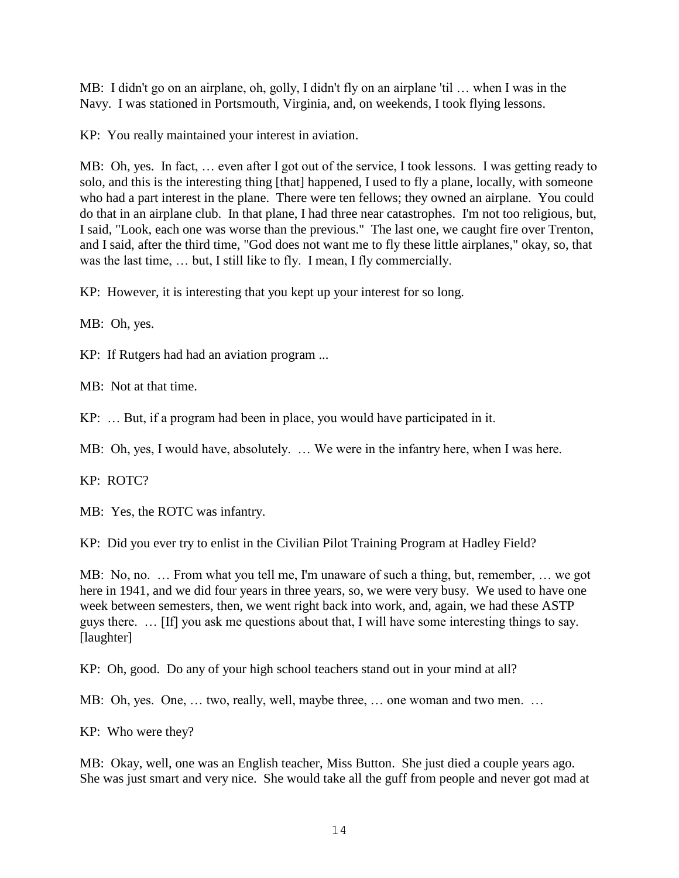MB: I didn't go on an airplane, oh, golly, I didn't fly on an airplane 'til … when I was in the Navy. I was stationed in Portsmouth, Virginia, and, on weekends, I took flying lessons.

KP: You really maintained your interest in aviation.

MB: Oh, yes. In fact, … even after I got out of the service, I took lessons. I was getting ready to solo, and this is the interesting thing [that] happened, I used to fly a plane, locally, with someone who had a part interest in the plane. There were ten fellows; they owned an airplane. You could do that in an airplane club. In that plane, I had three near catastrophes. I'm not too religious, but, I said, "Look, each one was worse than the previous." The last one, we caught fire over Trenton, and I said, after the third time, "God does not want me to fly these little airplanes," okay, so, that was the last time, … but, I still like to fly. I mean, I fly commercially.

KP: However, it is interesting that you kept up your interest for so long.

MB: Oh, yes.

KP: If Rutgers had had an aviation program ...

MB: Not at that time.

KP: … But, if a program had been in place, you would have participated in it.

MB: Oh, yes, I would have, absolutely. … We were in the infantry here, when I was here.

KP: ROTC?

MB: Yes, the ROTC was infantry.

KP: Did you ever try to enlist in the Civilian Pilot Training Program at Hadley Field?

MB: No, no. … From what you tell me, I'm unaware of such a thing, but, remember, … we got here in 1941, and we did four years in three years, so, we were very busy. We used to have one week between semesters, then, we went right back into work, and, again, we had these ASTP guys there. … [If] you ask me questions about that, I will have some interesting things to say. [laughter]

KP: Oh, good. Do any of your high school teachers stand out in your mind at all?

MB: Oh, yes. One, ... two, really, well, maybe three, ... one woman and two men. ...

KP: Who were they?

MB: Okay, well, one was an English teacher, Miss Button. She just died a couple years ago. She was just smart and very nice. She would take all the guff from people and never got mad at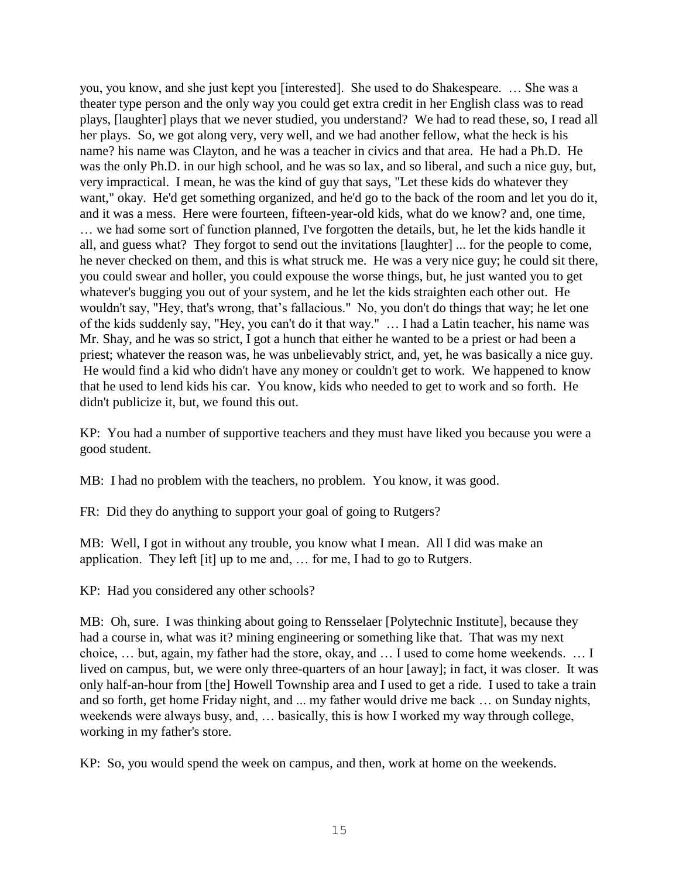you, you know, and she just kept you [interested]. She used to do Shakespeare. … She was a theater type person and the only way you could get extra credit in her English class was to read plays, [laughter] plays that we never studied, you understand? We had to read these, so, I read all her plays. So, we got along very, very well, and we had another fellow, what the heck is his name? his name was Clayton, and he was a teacher in civics and that area. He had a Ph.D. He was the only Ph.D. in our high school, and he was so lax, and so liberal, and such a nice guy, but, very impractical. I mean, he was the kind of guy that says, "Let these kids do whatever they want," okay. He'd get something organized, and he'd go to the back of the room and let you do it, and it was a mess. Here were fourteen, fifteen-year-old kids, what do we know? and, one time, … we had some sort of function planned, I've forgotten the details, but, he let the kids handle it all, and guess what? They forgot to send out the invitations [laughter] ... for the people to come, he never checked on them, and this is what struck me. He was a very nice guy; he could sit there, you could swear and holler, you could expouse the worse things, but, he just wanted you to get whatever's bugging you out of your system, and he let the kids straighten each other out. He wouldn't say, "Hey, that's wrong, that's fallacious." No, you don't do things that way; he let one of the kids suddenly say, "Hey, you can't do it that way." … I had a Latin teacher, his name was Mr. Shay, and he was so strict, I got a hunch that either he wanted to be a priest or had been a priest; whatever the reason was, he was unbelievably strict, and, yet, he was basically a nice guy. He would find a kid who didn't have any money or couldn't get to work. We happened to know that he used to lend kids his car. You know, kids who needed to get to work and so forth. He didn't publicize it, but, we found this out.

KP: You had a number of supportive teachers and they must have liked you because you were a good student.

MB: I had no problem with the teachers, no problem. You know, it was good.

FR: Did they do anything to support your goal of going to Rutgers?

MB: Well, I got in without any trouble, you know what I mean. All I did was make an application. They left [it] up to me and, … for me, I had to go to Rutgers.

KP: Had you considered any other schools?

MB: Oh, sure. I was thinking about going to Rensselaer [Polytechnic Institute], because they had a course in, what was it? mining engineering or something like that. That was my next choice, … but, again, my father had the store, okay, and … I used to come home weekends. … I lived on campus, but, we were only three-quarters of an hour [away]; in fact, it was closer. It was only half-an-hour from [the] Howell Township area and I used to get a ride. I used to take a train and so forth, get home Friday night, and ... my father would drive me back … on Sunday nights, weekends were always busy, and, … basically, this is how I worked my way through college, working in my father's store.

KP: So, you would spend the week on campus, and then, work at home on the weekends.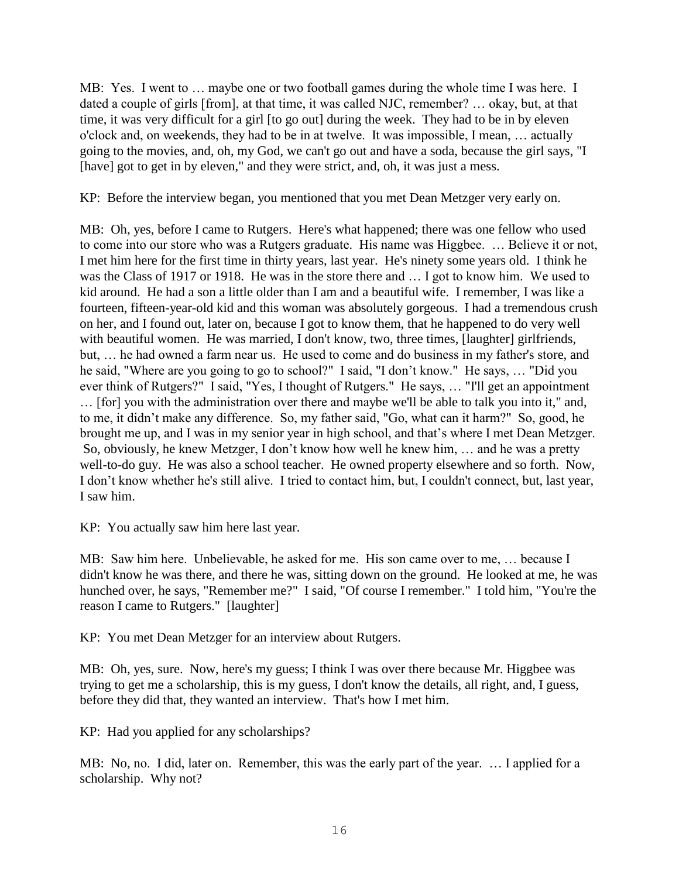MB: Yes. I went to … maybe one or two football games during the whole time I was here. I dated a couple of girls [from], at that time, it was called NJC, remember? … okay, but, at that time, it was very difficult for a girl [to go out] during the week. They had to be in by eleven o'clock and, on weekends, they had to be in at twelve. It was impossible, I mean, … actually going to the movies, and, oh, my God, we can't go out and have a soda, because the girl says, "I [have] got to get in by eleven," and they were strict, and, oh, it was just a mess.

KP: Before the interview began, you mentioned that you met Dean Metzger very early on.

MB: Oh, yes, before I came to Rutgers. Here's what happened; there was one fellow who used to come into our store who was a Rutgers graduate. His name was Higgbee. … Believe it or not, I met him here for the first time in thirty years, last year. He's ninety some years old. I think he was the Class of 1917 or 1918. He was in the store there and … I got to know him. We used to kid around. He had a son a little older than I am and a beautiful wife. I remember, I was like a fourteen, fifteen-year-old kid and this woman was absolutely gorgeous. I had a tremendous crush on her, and I found out, later on, because I got to know them, that he happened to do very well with beautiful women. He was married, I don't know, two, three times, [laughter] girlfriends, but, … he had owned a farm near us. He used to come and do business in my father's store, and he said, "Where are you going to go to school?" I said, "I don't know." He says, … "Did you ever think of Rutgers?" I said, "Yes, I thought of Rutgers." He says, … "I'll get an appointment … [for] you with the administration over there and maybe we'll be able to talk you into it," and, to me, it didn't make any difference. So, my father said, "Go, what can it harm?" So, good, he brought me up, and I was in my senior year in high school, and that's where I met Dean Metzger. So, obviously, he knew Metzger, I don't know how well he knew him, … and he was a pretty well-to-do guy. He was also a school teacher. He owned property elsewhere and so forth. Now, I don't know whether he's still alive. I tried to contact him, but, I couldn't connect, but, last year, I saw him.

KP: You actually saw him here last year.

MB: Saw him here. Unbelievable, he asked for me. His son came over to me, … because I didn't know he was there, and there he was, sitting down on the ground. He looked at me, he was hunched over, he says, "Remember me?" I said, "Of course I remember." I told him, "You're the reason I came to Rutgers." [laughter]

KP: You met Dean Metzger for an interview about Rutgers.

MB: Oh, yes, sure. Now, here's my guess; I think I was over there because Mr. Higgbee was trying to get me a scholarship, this is my guess, I don't know the details, all right, and, I guess, before they did that, they wanted an interview. That's how I met him.

KP: Had you applied for any scholarships?

MB: No, no. I did, later on. Remember, this was the early part of the year. … I applied for a scholarship. Why not?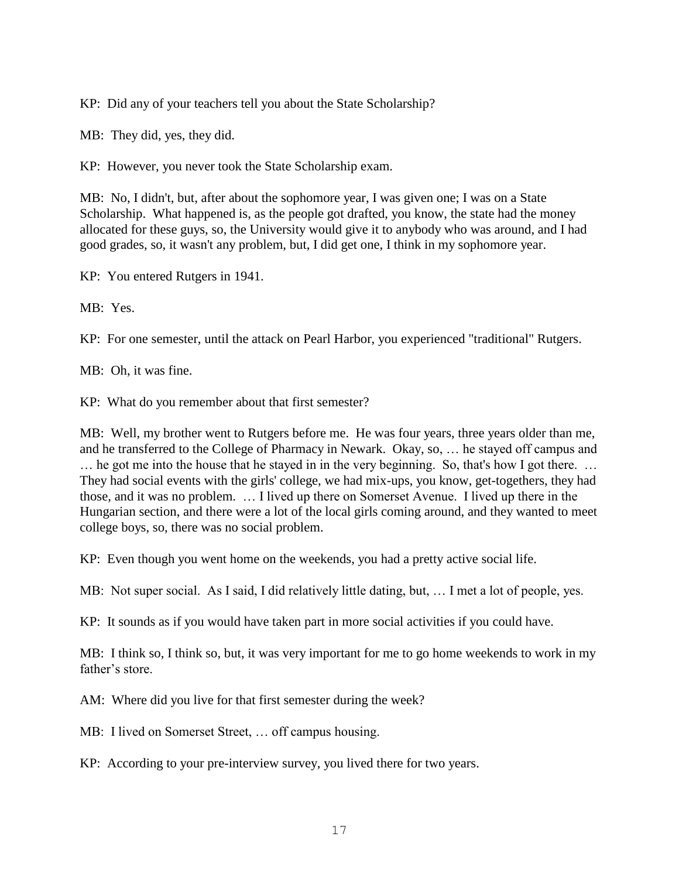KP: Did any of your teachers tell you about the State Scholarship?

MB: They did, yes, they did.

KP: However, you never took the State Scholarship exam.

MB: No, I didn't, but, after about the sophomore year, I was given one; I was on a State Scholarship. What happened is, as the people got drafted, you know, the state had the money allocated for these guys, so, the University would give it to anybody who was around, and I had good grades, so, it wasn't any problem, but, I did get one, I think in my sophomore year.

KP: You entered Rutgers in 1941.

MB: Yes.

KP: For one semester, until the attack on Pearl Harbor, you experienced "traditional" Rutgers.

MB: Oh, it was fine.

KP: What do you remember about that first semester?

MB: Well, my brother went to Rutgers before me. He was four years, three years older than me, and he transferred to the College of Pharmacy in Newark. Okay, so, … he stayed off campus and … he got me into the house that he stayed in in the very beginning. So, that's how I got there. … They had social events with the girls' college, we had mix-ups, you know, get-togethers, they had those, and it was no problem. … I lived up there on Somerset Avenue. I lived up there in the Hungarian section, and there were a lot of the local girls coming around, and they wanted to meet college boys, so, there was no social problem.

KP: Even though you went home on the weekends, you had a pretty active social life.

MB: Not super social. As I said, I did relatively little dating, but, … I met a lot of people, yes.

KP: It sounds as if you would have taken part in more social activities if you could have.

MB: I think so, I think so, but, it was very important for me to go home weekends to work in my father's store.

AM: Where did you live for that first semester during the week?

MB: I lived on Somerset Street, … off campus housing.

KP: According to your pre-interview survey, you lived there for two years.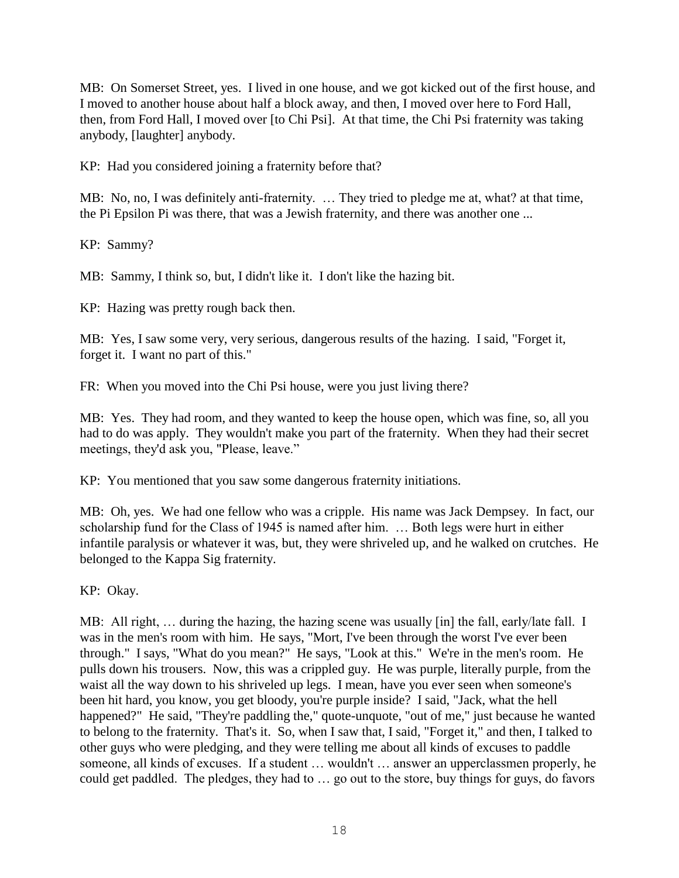MB: On Somerset Street, yes. I lived in one house, and we got kicked out of the first house, and I moved to another house about half a block away, and then, I moved over here to Ford Hall, then, from Ford Hall, I moved over [to Chi Psi]. At that time, the Chi Psi fraternity was taking anybody, [laughter] anybody.

KP: Had you considered joining a fraternity before that?

MB: No, no, I was definitely anti-fraternity. … They tried to pledge me at, what? at that time, the Pi Epsilon Pi was there, that was a Jewish fraternity, and there was another one ...

KP: Sammy?

MB: Sammy, I think so, but, I didn't like it. I don't like the hazing bit.

KP: Hazing was pretty rough back then.

MB: Yes, I saw some very, very serious, dangerous results of the hazing. I said, "Forget it, forget it. I want no part of this."

FR: When you moved into the Chi Psi house, were you just living there?

MB: Yes. They had room, and they wanted to keep the house open, which was fine, so, all you had to do was apply. They wouldn't make you part of the fraternity. When they had their secret meetings, they'd ask you, "Please, leave."

KP: You mentioned that you saw some dangerous fraternity initiations.

MB: Oh, yes. We had one fellow who was a cripple. His name was Jack Dempsey. In fact, our scholarship fund for the Class of 1945 is named after him. … Both legs were hurt in either infantile paralysis or whatever it was, but, they were shriveled up, and he walked on crutches. He belonged to the Kappa Sig fraternity.

KP: Okay.

MB: All right, ... during the hazing, the hazing scene was usually [in] the fall, early/late fall. I was in the men's room with him. He says, "Mort, I've been through the worst I've ever been through." I says, "What do you mean?" He says, "Look at this." We're in the men's room. He pulls down his trousers. Now, this was a crippled guy. He was purple, literally purple, from the waist all the way down to his shriveled up legs. I mean, have you ever seen when someone's been hit hard, you know, you get bloody, you're purple inside? I said, "Jack, what the hell happened?" He said, "They're paddling the," quote-unquote, "out of me," just because he wanted to belong to the fraternity. That's it. So, when I saw that, I said, "Forget it," and then, I talked to other guys who were pledging, and they were telling me about all kinds of excuses to paddle someone, all kinds of excuses. If a student … wouldn't … answer an upperclassmen properly, he could get paddled. The pledges, they had to … go out to the store, buy things for guys, do favors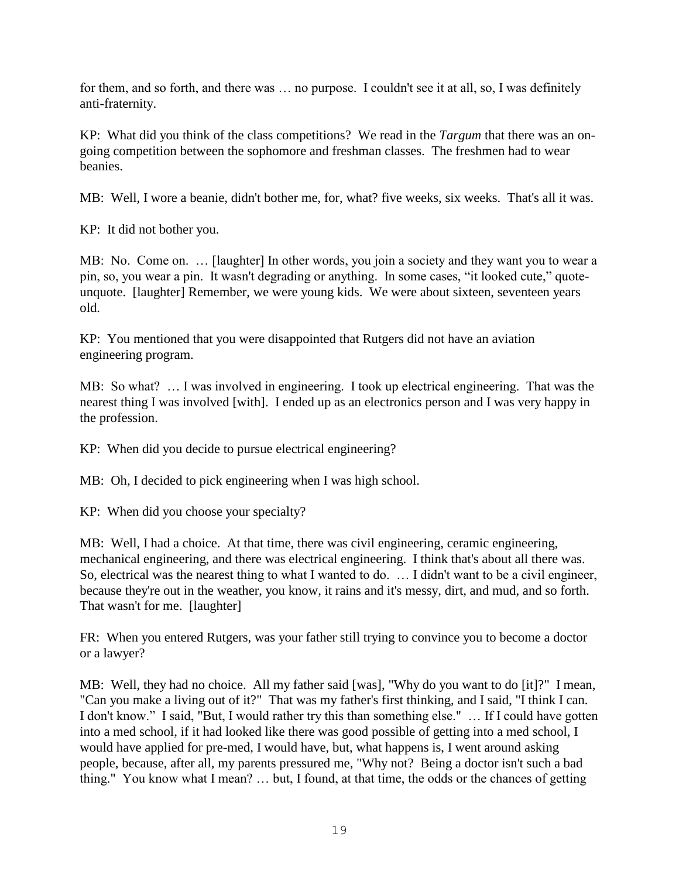for them, and so forth, and there was … no purpose. I couldn't see it at all, so, I was definitely anti-fraternity.

KP: What did you think of the class competitions? We read in the *Targum* that there was an ongoing competition between the sophomore and freshman classes. The freshmen had to wear beanies.

MB: Well, I wore a beanie, didn't bother me, for, what? five weeks, six weeks. That's all it was.

KP: It did not bother you.

MB: No. Come on. … [laughter] In other words, you join a society and they want you to wear a pin, so, you wear a pin. It wasn't degrading or anything. In some cases, "it looked cute," quoteunquote. [laughter] Remember, we were young kids. We were about sixteen, seventeen years old.

KP: You mentioned that you were disappointed that Rutgers did not have an aviation engineering program.

MB: So what? … I was involved in engineering. I took up electrical engineering. That was the nearest thing I was involved [with]. I ended up as an electronics person and I was very happy in the profession.

KP: When did you decide to pursue electrical engineering?

MB: Oh, I decided to pick engineering when I was high school.

KP: When did you choose your specialty?

MB: Well, I had a choice. At that time, there was civil engineering, ceramic engineering, mechanical engineering, and there was electrical engineering. I think that's about all there was. So, electrical was the nearest thing to what I wanted to do. … I didn't want to be a civil engineer, because they're out in the weather, you know, it rains and it's messy, dirt, and mud, and so forth. That wasn't for me. [laughter]

FR: When you entered Rutgers, was your father still trying to convince you to become a doctor or a lawyer?

MB: Well, they had no choice. All my father said [was], "Why do you want to do [it]?" I mean, "Can you make a living out of it?" That was my father's first thinking, and I said, "I think I can. I don't know." I said, "But, I would rather try this than something else." … If I could have gotten into a med school, if it had looked like there was good possible of getting into a med school, I would have applied for pre-med, I would have, but, what happens is, I went around asking people, because, after all, my parents pressured me, "Why not? Being a doctor isn't such a bad thing." You know what I mean? … but, I found, at that time, the odds or the chances of getting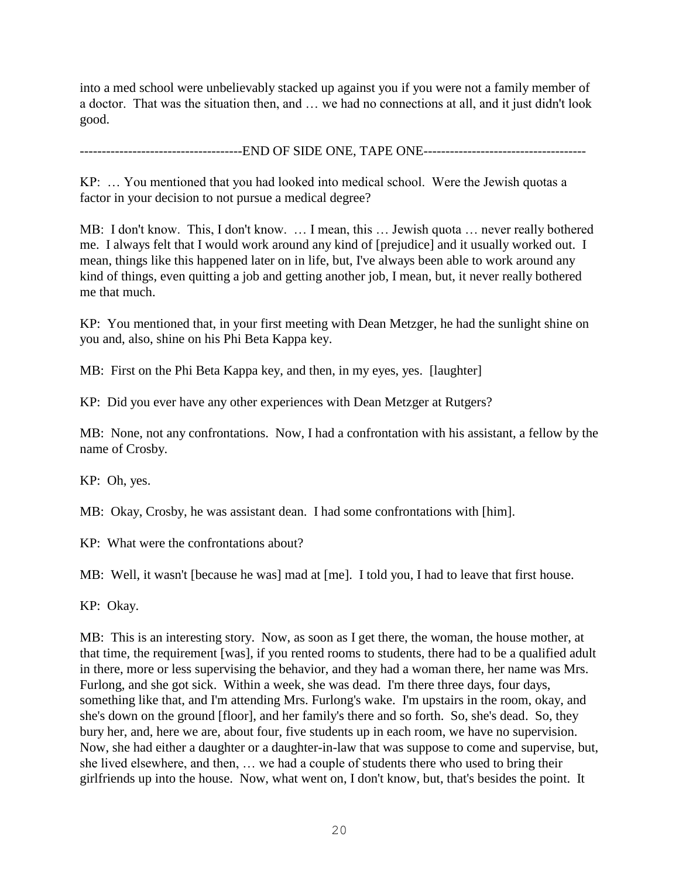into a med school were unbelievably stacked up against you if you were not a family member of a doctor. That was the situation then, and … we had no connections at all, and it just didn't look good.

------------------------END OF SIDE ONE, TAPE ONE-------------------------------

KP: … You mentioned that you had looked into medical school. Were the Jewish quotas a factor in your decision to not pursue a medical degree?

MB: I don't know. This, I don't know. … I mean, this … Jewish quota … never really bothered me. I always felt that I would work around any kind of [prejudice] and it usually worked out. I mean, things like this happened later on in life, but, I've always been able to work around any kind of things, even quitting a job and getting another job, I mean, but, it never really bothered me that much.

KP: You mentioned that, in your first meeting with Dean Metzger, he had the sunlight shine on you and, also, shine on his Phi Beta Kappa key.

MB: First on the Phi Beta Kappa key, and then, in my eyes, yes. [laughter]

KP: Did you ever have any other experiences with Dean Metzger at Rutgers?

MB: None, not any confrontations. Now, I had a confrontation with his assistant, a fellow by the name of Crosby.

KP: Oh, yes.

MB: Okay, Crosby, he was assistant dean. I had some confrontations with [him].

KP: What were the confrontations about?

MB: Well, it wasn't [because he was] mad at [me]. I told you, I had to leave that first house.

KP: Okay.

MB: This is an interesting story. Now, as soon as I get there, the woman, the house mother, at that time, the requirement [was], if you rented rooms to students, there had to be a qualified adult in there, more or less supervising the behavior, and they had a woman there, her name was Mrs. Furlong, and she got sick. Within a week, she was dead. I'm there three days, four days, something like that, and I'm attending Mrs. Furlong's wake. I'm upstairs in the room, okay, and she's down on the ground [floor], and her family's there and so forth. So, she's dead. So, they bury her, and, here we are, about four, five students up in each room, we have no supervision. Now, she had either a daughter or a daughter-in-law that was suppose to come and supervise, but, she lived elsewhere, and then, … we had a couple of students there who used to bring their girlfriends up into the house. Now, what went on, I don't know, but, that's besides the point. It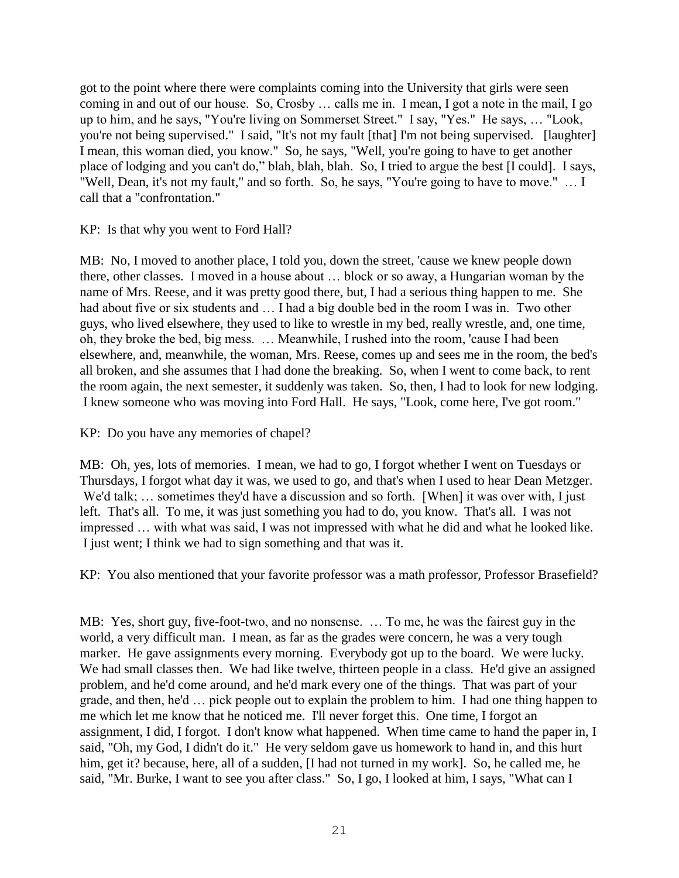got to the point where there were complaints coming into the University that girls were seen coming in and out of our house. So, Crosby … calls me in. I mean, I got a note in the mail, I go up to him, and he says, "You're living on Sommerset Street." I say, "Yes." He says, … "Look, you're not being supervised." I said, "It's not my fault [that] I'm not being supervised. [laughter] I mean, this woman died, you know." So, he says, "Well, you're going to have to get another place of lodging and you can't do," blah, blah, blah. So, I tried to argue the best [I could]. I says, "Well, Dean, it's not my fault," and so forth. So, he says, "You're going to have to move." … I call that a "confrontation."

KP: Is that why you went to Ford Hall?

MB: No, I moved to another place, I told you, down the street, 'cause we knew people down there, other classes. I moved in a house about … block or so away, a Hungarian woman by the name of Mrs. Reese, and it was pretty good there, but, I had a serious thing happen to me. She had about five or six students and … I had a big double bed in the room I was in. Two other guys, who lived elsewhere, they used to like to wrestle in my bed, really wrestle, and, one time, oh, they broke the bed, big mess. … Meanwhile, I rushed into the room, 'cause I had been elsewhere, and, meanwhile, the woman, Mrs. Reese, comes up and sees me in the room, the bed's all broken, and she assumes that I had done the breaking. So, when I went to come back, to rent the room again, the next semester, it suddenly was taken. So, then, I had to look for new lodging. I knew someone who was moving into Ford Hall. He says, "Look, come here, I've got room."

KP: Do you have any memories of chapel?

MB: Oh, yes, lots of memories. I mean, we had to go, I forgot whether I went on Tuesdays or Thursdays, I forgot what day it was, we used to go, and that's when I used to hear Dean Metzger. We'd talk; ... sometimes they'd have a discussion and so forth. [When] it was over with, I just left. That's all. To me, it was just something you had to do, you know. That's all. I was not impressed … with what was said, I was not impressed with what he did and what he looked like. I just went; I think we had to sign something and that was it.

KP: You also mentioned that your favorite professor was a math professor, Professor Brasefield?

MB: Yes, short guy, five-foot-two, and no nonsense. … To me, he was the fairest guy in the world, a very difficult man. I mean, as far as the grades were concern, he was a very tough marker. He gave assignments every morning. Everybody got up to the board. We were lucky. We had small classes then. We had like twelve, thirteen people in a class. He'd give an assigned problem, and he'd come around, and he'd mark every one of the things. That was part of your grade, and then, he'd … pick people out to explain the problem to him. I had one thing happen to me which let me know that he noticed me. I'll never forget this. One time, I forgot an assignment, I did, I forgot. I don't know what happened. When time came to hand the paper in, I said, "Oh, my God, I didn't do it." He very seldom gave us homework to hand in, and this hurt him, get it? because, here, all of a sudden, [I had not turned in my work]. So, he called me, he said, "Mr. Burke, I want to see you after class." So, I go, I looked at him, I says, "What can I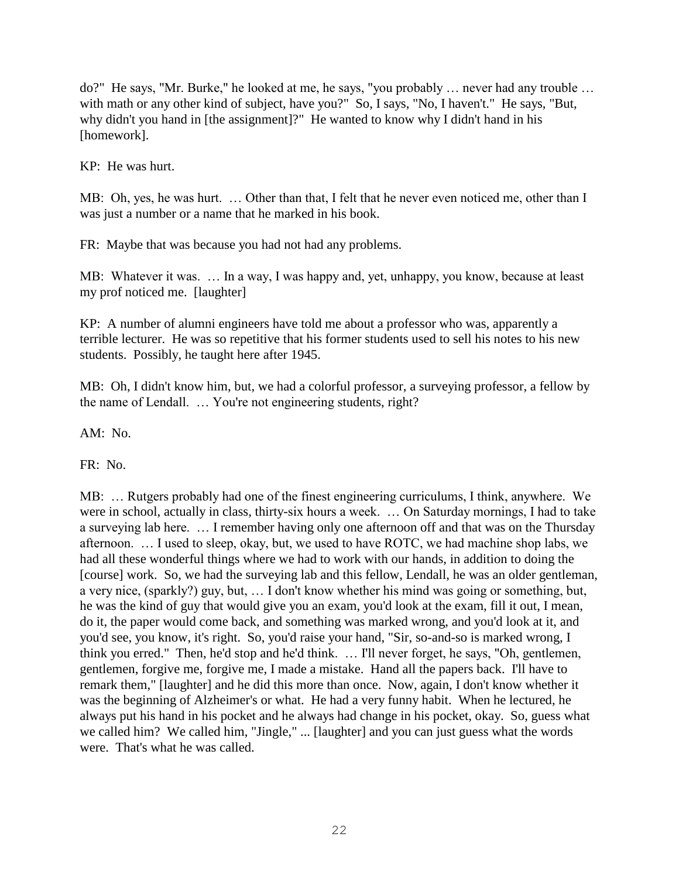do?" He says, "Mr. Burke," he looked at me, he says, "you probably … never had any trouble … with math or any other kind of subject, have you?" So, I says, "No, I haven't." He says, "But, why didn't you hand in [the assignment]?" He wanted to know why I didn't hand in his [homework].

KP: He was hurt.

MB: Oh, yes, he was hurt. … Other than that, I felt that he never even noticed me, other than I was just a number or a name that he marked in his book.

FR: Maybe that was because you had not had any problems.

MB: Whatever it was. … In a way, I was happy and, yet, unhappy, you know, because at least my prof noticed me. [laughter]

KP: A number of alumni engineers have told me about a professor who was, apparently a terrible lecturer. He was so repetitive that his former students used to sell his notes to his new students. Possibly, he taught here after 1945.

MB: Oh, I didn't know him, but, we had a colorful professor, a surveying professor, a fellow by the name of Lendall. … You're not engineering students, right?

AM: No.

FR: No.

MB: … Rutgers probably had one of the finest engineering curriculums, I think, anywhere. We were in school, actually in class, thirty-six hours a week. … On Saturday mornings, I had to take a surveying lab here. … I remember having only one afternoon off and that was on the Thursday afternoon. … I used to sleep, okay, but, we used to have ROTC, we had machine shop labs, we had all these wonderful things where we had to work with our hands, in addition to doing the [course] work. So, we had the surveying lab and this fellow, Lendall, he was an older gentleman, a very nice, (sparkly?) guy, but, … I don't know whether his mind was going or something, but, he was the kind of guy that would give you an exam, you'd look at the exam, fill it out, I mean, do it, the paper would come back, and something was marked wrong, and you'd look at it, and you'd see, you know, it's right. So, you'd raise your hand, "Sir, so-and-so is marked wrong, I think you erred." Then, he'd stop and he'd think. … I'll never forget, he says, "Oh, gentlemen, gentlemen, forgive me, forgive me, I made a mistake. Hand all the papers back. I'll have to remark them," [laughter] and he did this more than once. Now, again, I don't know whether it was the beginning of Alzheimer's or what. He had a very funny habit. When he lectured, he always put his hand in his pocket and he always had change in his pocket, okay. So, guess what we called him? We called him, "Jingle," ... [laughter] and you can just guess what the words were. That's what he was called.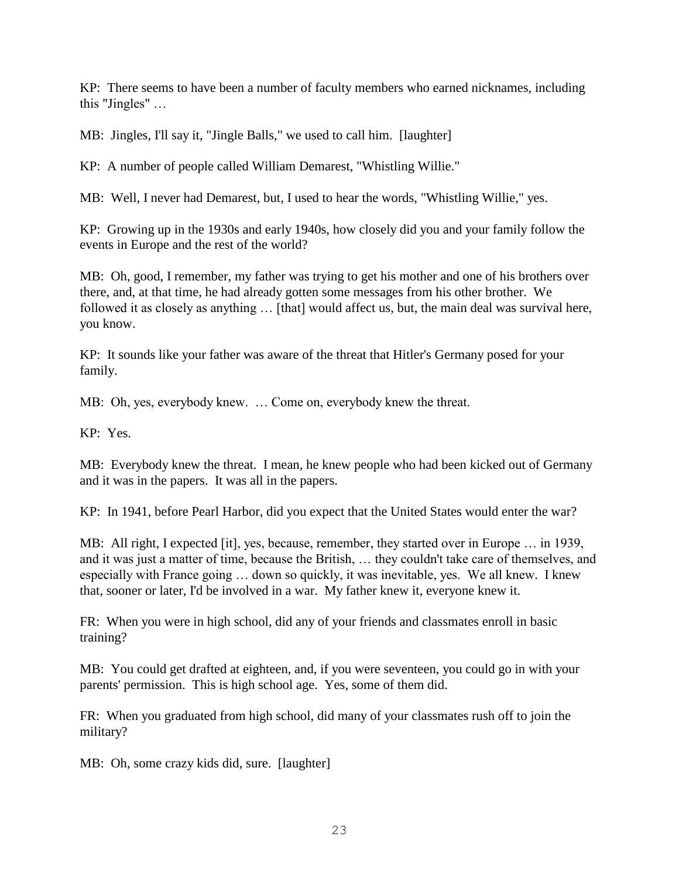KP: There seems to have been a number of faculty members who earned nicknames, including this "Jingles" …

MB: Jingles, I'll say it, "Jingle Balls," we used to call him. [laughter]

KP: A number of people called William Demarest, "Whistling Willie."

MB: Well, I never had Demarest, but, I used to hear the words, "Whistling Willie," yes.

KP: Growing up in the 1930s and early 1940s, how closely did you and your family follow the events in Europe and the rest of the world?

MB: Oh, good, I remember, my father was trying to get his mother and one of his brothers over there, and, at that time, he had already gotten some messages from his other brother. We followed it as closely as anything ... [that] would affect us, but, the main deal was survival here, you know.

KP: It sounds like your father was aware of the threat that Hitler's Germany posed for your family.

MB: Oh, yes, everybody knew. … Come on, everybody knew the threat.

KP: Yes.

MB: Everybody knew the threat. I mean, he knew people who had been kicked out of Germany and it was in the papers. It was all in the papers.

KP: In 1941, before Pearl Harbor, did you expect that the United States would enter the war?

MB: All right, I expected [it], yes, because, remember, they started over in Europe … in 1939, and it was just a matter of time, because the British, … they couldn't take care of themselves, and especially with France going … down so quickly, it was inevitable, yes. We all knew. I knew that, sooner or later, I'd be involved in a war. My father knew it, everyone knew it.

FR: When you were in high school, did any of your friends and classmates enroll in basic training?

MB: You could get drafted at eighteen, and, if you were seventeen, you could go in with your parents' permission. This is high school age. Yes, some of them did.

FR: When you graduated from high school, did many of your classmates rush off to join the military?

MB: Oh, some crazy kids did, sure. [laughter]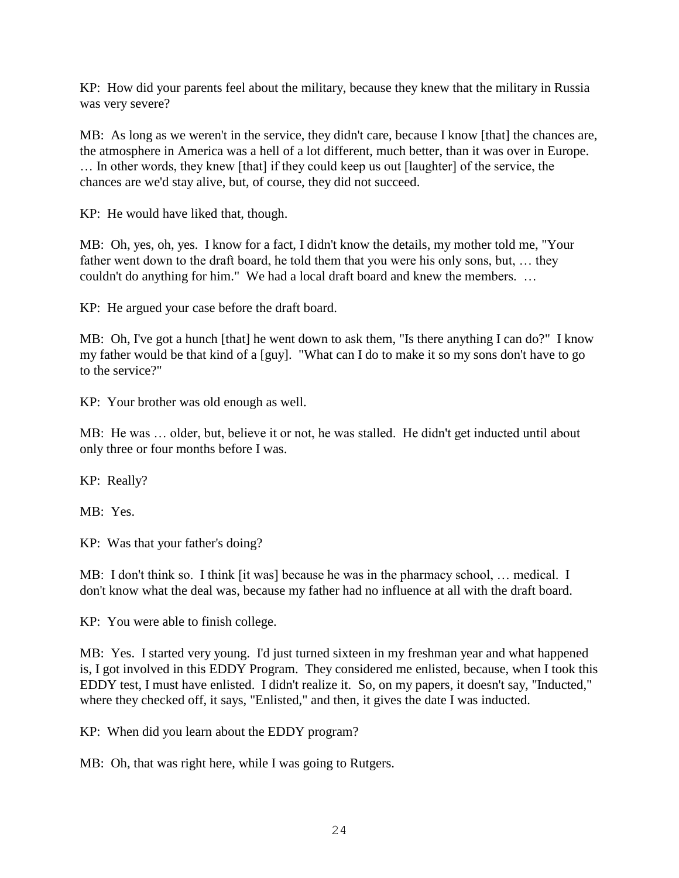KP: How did your parents feel about the military, because they knew that the military in Russia was very severe?

MB: As long as we weren't in the service, they didn't care, because I know [that] the chances are, the atmosphere in America was a hell of a lot different, much better, than it was over in Europe. … In other words, they knew [that] if they could keep us out [laughter] of the service, the chances are we'd stay alive, but, of course, they did not succeed.

KP: He would have liked that, though.

MB: Oh, yes, oh, yes. I know for a fact, I didn't know the details, my mother told me, "Your father went down to the draft board, he told them that you were his only sons, but, … they couldn't do anything for him." We had a local draft board and knew the members. …

KP: He argued your case before the draft board.

MB: Oh, I've got a hunch [that] he went down to ask them, "Is there anything I can do?" I know my father would be that kind of a [guy]. "What can I do to make it so my sons don't have to go to the service?"

KP: Your brother was old enough as well.

MB: He was … older, but, believe it or not, he was stalled. He didn't get inducted until about only three or four months before I was.

KP: Really?

MB: Yes.

KP: Was that your father's doing?

MB: I don't think so. I think [it was] because he was in the pharmacy school, … medical. I don't know what the deal was, because my father had no influence at all with the draft board.

KP: You were able to finish college.

MB: Yes. I started very young. I'd just turned sixteen in my freshman year and what happened is, I got involved in this EDDY Program. They considered me enlisted, because, when I took this EDDY test, I must have enlisted. I didn't realize it. So, on my papers, it doesn't say, "Inducted," where they checked off, it says, "Enlisted," and then, it gives the date I was inducted.

KP: When did you learn about the EDDY program?

MB: Oh, that was right here, while I was going to Rutgers.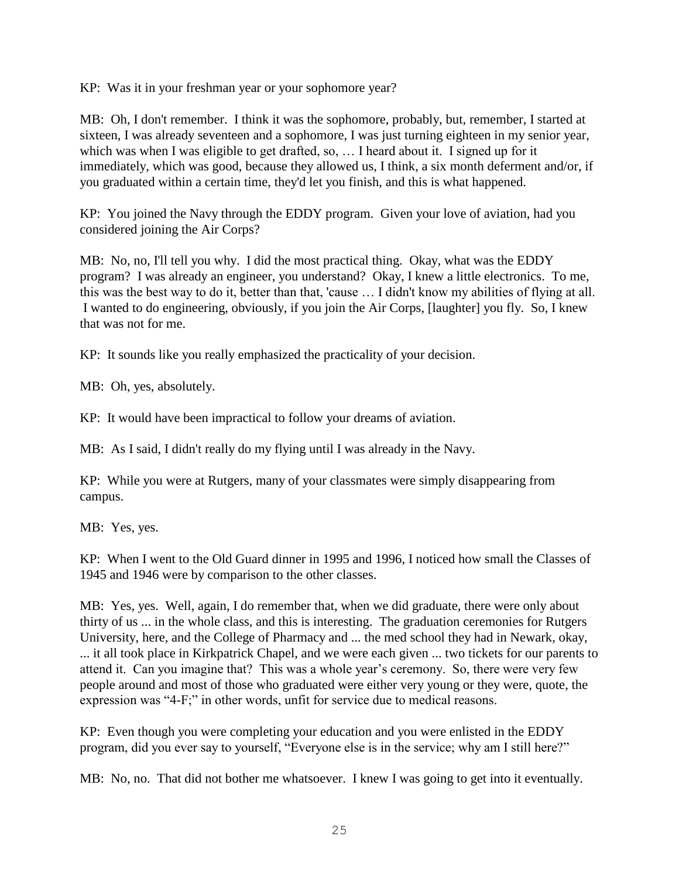KP: Was it in your freshman year or your sophomore year?

MB: Oh, I don't remember. I think it was the sophomore, probably, but, remember, I started at sixteen, I was already seventeen and a sophomore, I was just turning eighteen in my senior year, which was when I was eligible to get drafted, so, ... I heard about it. I signed up for it immediately, which was good, because they allowed us, I think, a six month deferment and/or, if you graduated within a certain time, they'd let you finish, and this is what happened.

KP: You joined the Navy through the EDDY program. Given your love of aviation, had you considered joining the Air Corps?

MB: No, no, I'll tell you why. I did the most practical thing. Okay, what was the EDDY program? I was already an engineer, you understand? Okay, I knew a little electronics. To me, this was the best way to do it, better than that, 'cause … I didn't know my abilities of flying at all. I wanted to do engineering, obviously, if you join the Air Corps, [laughter] you fly. So, I knew that was not for me.

KP: It sounds like you really emphasized the practicality of your decision.

MB: Oh, yes, absolutely.

KP: It would have been impractical to follow your dreams of aviation.

MB: As I said, I didn't really do my flying until I was already in the Navy.

KP: While you were at Rutgers, many of your classmates were simply disappearing from campus.

MB: Yes, yes.

KP: When I went to the Old Guard dinner in 1995 and 1996, I noticed how small the Classes of 1945 and 1946 were by comparison to the other classes.

MB: Yes, yes. Well, again, I do remember that, when we did graduate, there were only about thirty of us ... in the whole class, and this is interesting. The graduation ceremonies for Rutgers University, here, and the College of Pharmacy and ... the med school they had in Newark, okay, ... it all took place in Kirkpatrick Chapel, and we were each given ... two tickets for our parents to attend it. Can you imagine that? This was a whole year's ceremony. So, there were very few people around and most of those who graduated were either very young or they were, quote, the expression was "4-F;" in other words, unfit for service due to medical reasons.

KP: Even though you were completing your education and you were enlisted in the EDDY program, did you ever say to yourself, "Everyone else is in the service; why am I still here?"

MB: No, no. That did not bother me whatsoever. I knew I was going to get into it eventually.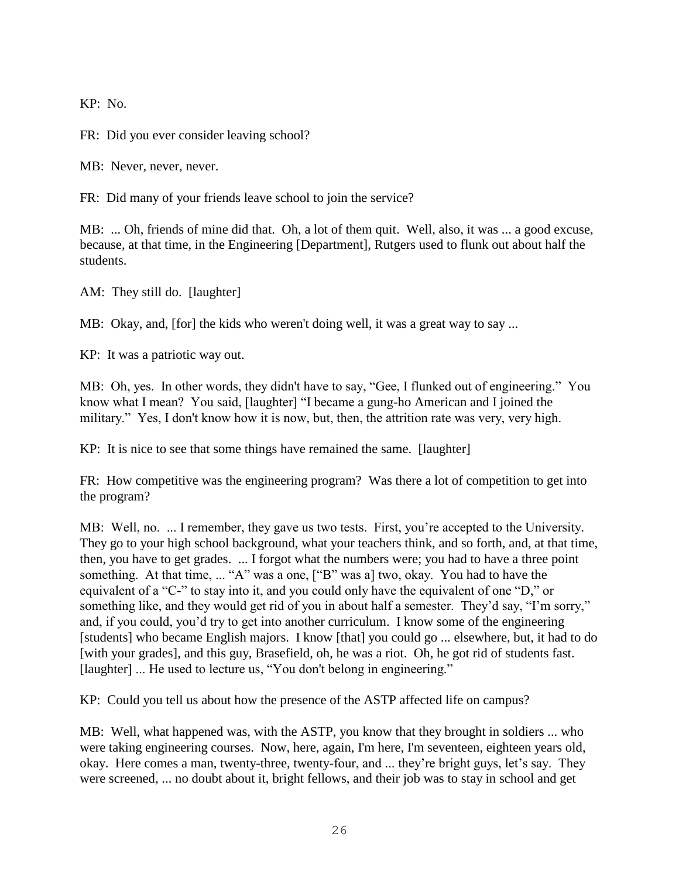KP: No.

FR: Did you ever consider leaving school?

MB: Never, never, never.

FR: Did many of your friends leave school to join the service?

MB: ... Oh, friends of mine did that. Oh, a lot of them quit. Well, also, it was ... a good excuse, because, at that time, in the Engineering [Department], Rutgers used to flunk out about half the students.

AM: They still do. [laughter]

MB: Okay, and, [for] the kids who weren't doing well, it was a great way to say ...

KP: It was a patriotic way out.

MB: Oh, yes. In other words, they didn't have to say, "Gee, I flunked out of engineering." You know what I mean? You said, [laughter] "I became a gung-ho American and I joined the military." Yes, I don't know how it is now, but, then, the attrition rate was very, very high.

KP: It is nice to see that some things have remained the same. [laughter]

FR: How competitive was the engineering program? Was there a lot of competition to get into the program?

MB: Well, no. ... I remember, they gave us two tests. First, you're accepted to the University. They go to your high school background, what your teachers think, and so forth, and, at that time, then, you have to get grades. ... I forgot what the numbers were; you had to have a three point something. At that time, ... "A" was a one, ["B" was a] two, okay. You had to have the equivalent of a "C-" to stay into it, and you could only have the equivalent of one "D," or something like, and they would get rid of you in about half a semester. They'd say, "I'm sorry," and, if you could, you'd try to get into another curriculum. I know some of the engineering [students] who became English majors. I know [that] you could go ... elsewhere, but, it had to do [with your grades], and this guy, Brasefield, oh, he was a riot. Oh, he got rid of students fast. [laughter] ... He used to lecture us, "You don't belong in engineering."

KP: Could you tell us about how the presence of the ASTP affected life on campus?

MB: Well, what happened was, with the ASTP, you know that they brought in soldiers ... who were taking engineering courses. Now, here, again, I'm here, I'm seventeen, eighteen years old, okay. Here comes a man, twenty-three, twenty-four, and ... they're bright guys, let's say. They were screened, ... no doubt about it, bright fellows, and their job was to stay in school and get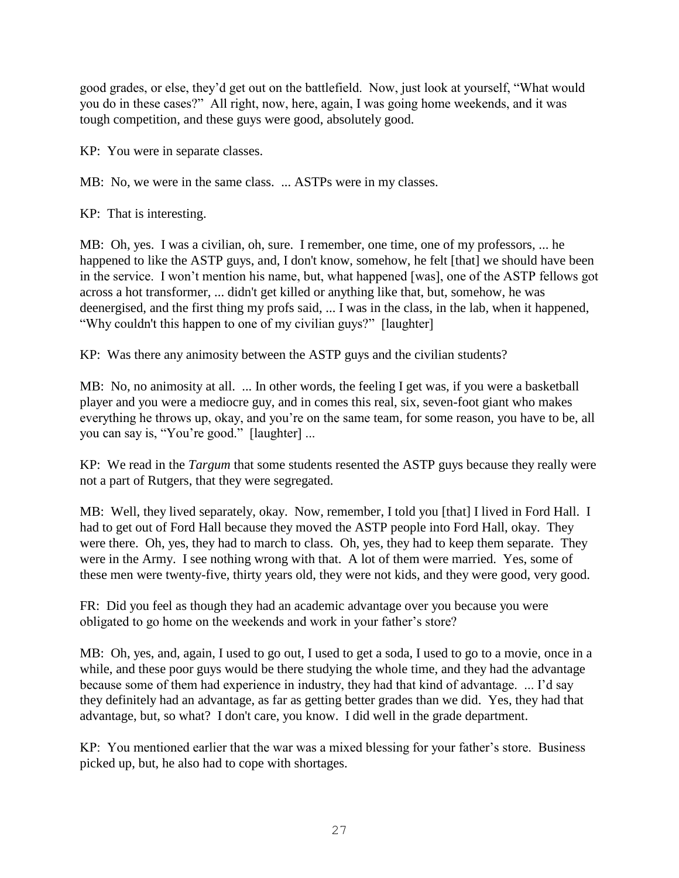good grades, or else, they'd get out on the battlefield. Now, just look at yourself, "What would you do in these cases?" All right, now, here, again, I was going home weekends, and it was tough competition, and these guys were good, absolutely good.

KP: You were in separate classes.

MB: No, we were in the same class. ... ASTPs were in my classes.

KP: That is interesting.

MB: Oh, yes. I was a civilian, oh, sure. I remember, one time, one of my professors, ... he happened to like the ASTP guys, and, I don't know, somehow, he felt [that] we should have been in the service. I won't mention his name, but, what happened [was], one of the ASTP fellows got across a hot transformer, ... didn't get killed or anything like that, but, somehow, he was deenergised, and the first thing my profs said, ... I was in the class, in the lab, when it happened, "Why couldn't this happen to one of my civilian guys?" [laughter]

KP: Was there any animosity between the ASTP guys and the civilian students?

MB: No, no animosity at all. ... In other words, the feeling I get was, if you were a basketball player and you were a mediocre guy, and in comes this real, six, seven-foot giant who makes everything he throws up, okay, and you're on the same team, for some reason, you have to be, all you can say is, "You're good." [laughter] ...

KP: We read in the *Targum* that some students resented the ASTP guys because they really were not a part of Rutgers, that they were segregated.

MB: Well, they lived separately, okay. Now, remember, I told you [that] I lived in Ford Hall. I had to get out of Ford Hall because they moved the ASTP people into Ford Hall, okay. They were there. Oh, yes, they had to march to class. Oh, yes, they had to keep them separate. They were in the Army. I see nothing wrong with that. A lot of them were married. Yes, some of these men were twenty-five, thirty years old, they were not kids, and they were good, very good.

FR: Did you feel as though they had an academic advantage over you because you were obligated to go home on the weekends and work in your father's store?

MB: Oh, yes, and, again, I used to go out, I used to get a soda, I used to go to a movie, once in a while, and these poor guys would be there studying the whole time, and they had the advantage because some of them had experience in industry, they had that kind of advantage. ... I'd say they definitely had an advantage, as far as getting better grades than we did. Yes, they had that advantage, but, so what? I don't care, you know. I did well in the grade department.

KP: You mentioned earlier that the war was a mixed blessing for your father's store. Business picked up, but, he also had to cope with shortages.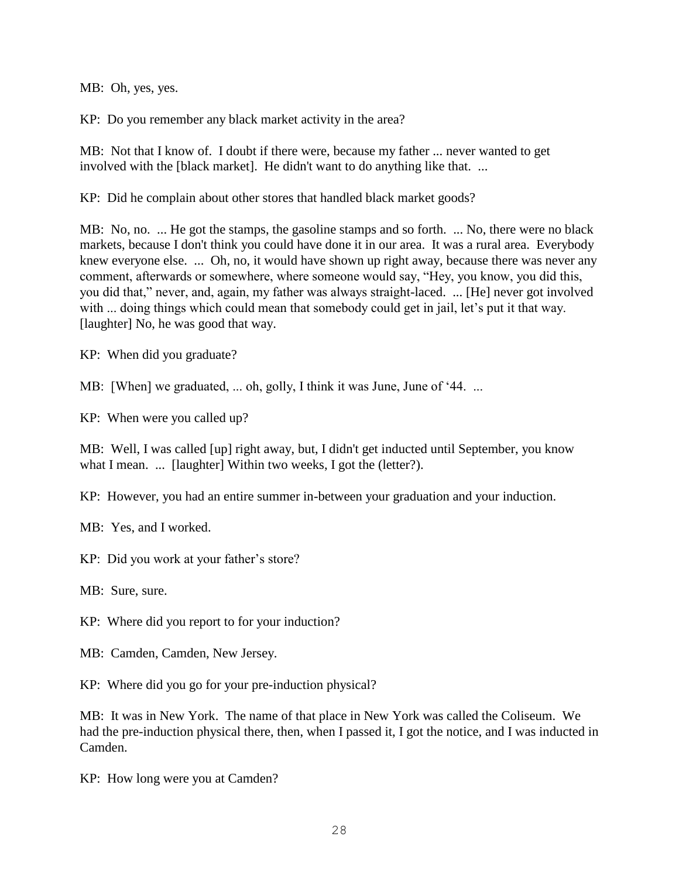MB: Oh, yes, yes.

KP: Do you remember any black market activity in the area?

MB: Not that I know of. I doubt if there were, because my father ... never wanted to get involved with the [black market]. He didn't want to do anything like that. ...

KP: Did he complain about other stores that handled black market goods?

MB: No, no. ... He got the stamps, the gasoline stamps and so forth. ... No, there were no black markets, because I don't think you could have done it in our area. It was a rural area. Everybody knew everyone else. ... Oh, no, it would have shown up right away, because there was never any comment, afterwards or somewhere, where someone would say, "Hey, you know, you did this, you did that," never, and, again, my father was always straight-laced. ... [He] never got involved with ... doing things which could mean that somebody could get in jail, let's put it that way. [laughter] No, he was good that way.

KP: When did you graduate?

MB: [When] we graduated, ... oh, golly, I think it was June, June of '44. ...

KP: When were you called up?

MB: Well, I was called [up] right away, but, I didn't get inducted until September, you know what I mean. ... [laughter] Within two weeks, I got the (letter?).

KP: However, you had an entire summer in-between your graduation and your induction.

MB: Yes, and I worked.

KP: Did you work at your father's store?

MB: Sure, sure.

KP: Where did you report to for your induction?

MB: Camden, Camden, New Jersey.

KP: Where did you go for your pre-induction physical?

MB: It was in New York. The name of that place in New York was called the Coliseum. We had the pre-induction physical there, then, when I passed it, I got the notice, and I was inducted in Camden.

KP: How long were you at Camden?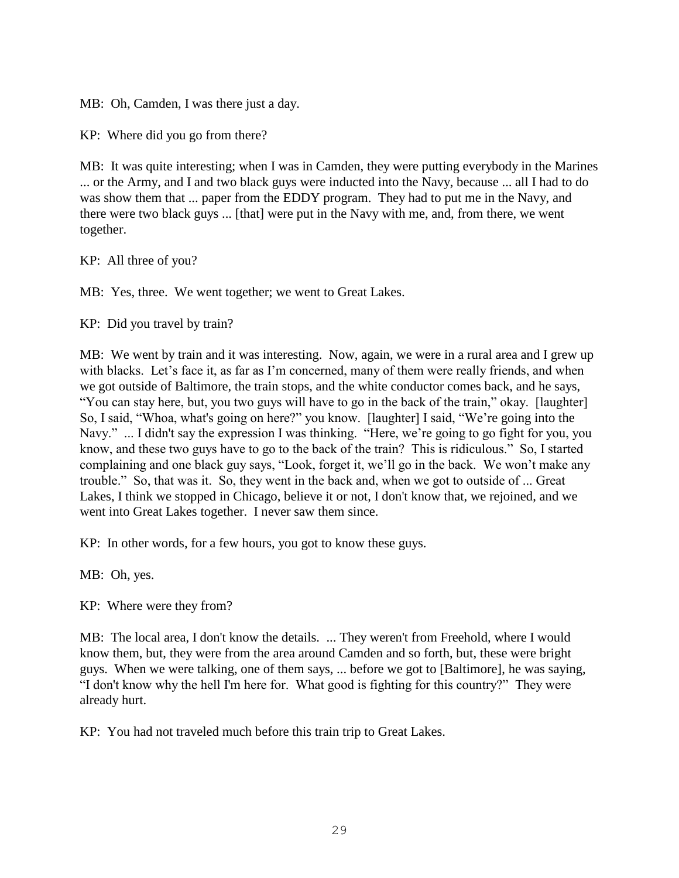MB: Oh, Camden, I was there just a day.

KP: Where did you go from there?

MB: It was quite interesting; when I was in Camden, they were putting everybody in the Marines ... or the Army, and I and two black guys were inducted into the Navy, because ... all I had to do was show them that ... paper from the EDDY program. They had to put me in the Navy, and there were two black guys ... [that] were put in the Navy with me, and, from there, we went together.

KP: All three of you?

MB: Yes, three. We went together; we went to Great Lakes.

KP: Did you travel by train?

MB: We went by train and it was interesting. Now, again, we were in a rural area and I grew up with blacks. Let's face it, as far as I'm concerned, many of them were really friends, and when we got outside of Baltimore, the train stops, and the white conductor comes back, and he says, "You can stay here, but, you two guys will have to go in the back of the train," okay. [laughter] So, I said, "Whoa, what's going on here?" you know. [laughter] I said, "We're going into the Navy." ... I didn't say the expression I was thinking. "Here, we're going to go fight for you, you know, and these two guys have to go to the back of the train? This is ridiculous." So, I started complaining and one black guy says, "Look, forget it, we'll go in the back. We won't make any trouble." So, that was it. So, they went in the back and, when we got to outside of ... Great Lakes, I think we stopped in Chicago, believe it or not, I don't know that, we rejoined, and we went into Great Lakes together. I never saw them since.

KP: In other words, for a few hours, you got to know these guys.

MB: Oh, yes.

KP: Where were they from?

MB: The local area, I don't know the details. ... They weren't from Freehold, where I would know them, but, they were from the area around Camden and so forth, but, these were bright guys. When we were talking, one of them says, ... before we got to [Baltimore], he was saying, "I don't know why the hell I'm here for. What good is fighting for this country?" They were already hurt.

KP: You had not traveled much before this train trip to Great Lakes.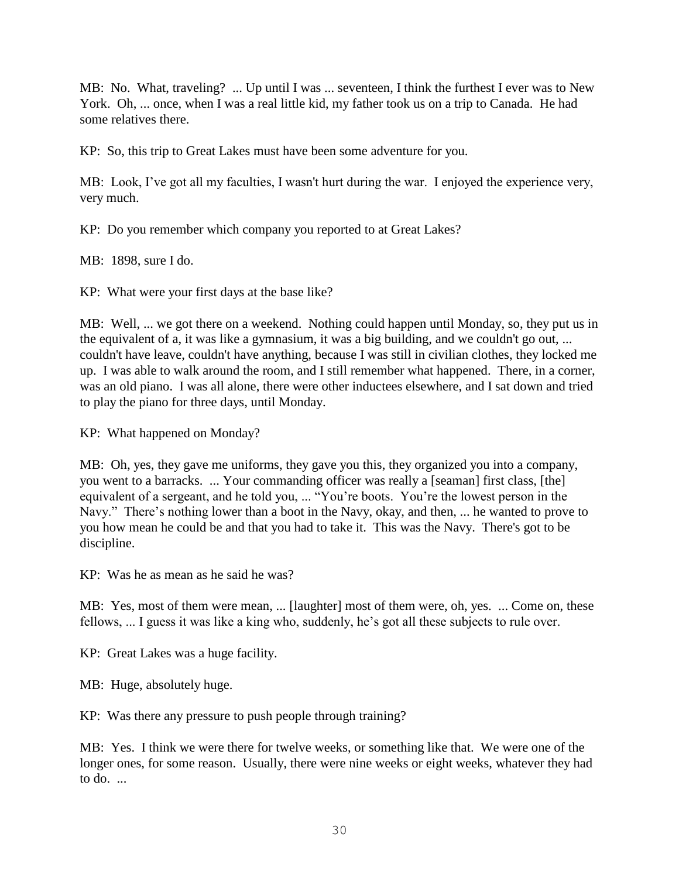MB: No. What, traveling? ... Up until I was ... seventeen, I think the furthest I ever was to New York. Oh, ... once, when I was a real little kid, my father took us on a trip to Canada. He had some relatives there.

KP: So, this trip to Great Lakes must have been some adventure for you.

MB: Look, I've got all my faculties, I wasn't hurt during the war. I enjoyed the experience very, very much.

KP: Do you remember which company you reported to at Great Lakes?

MB: 1898, sure I do.

KP: What were your first days at the base like?

MB: Well, ... we got there on a weekend. Nothing could happen until Monday, so, they put us in the equivalent of a, it was like a gymnasium, it was a big building, and we couldn't go out, ... couldn't have leave, couldn't have anything, because I was still in civilian clothes, they locked me up. I was able to walk around the room, and I still remember what happened. There, in a corner, was an old piano. I was all alone, there were other inductees elsewhere, and I sat down and tried to play the piano for three days, until Monday.

KP: What happened on Monday?

MB: Oh, yes, they gave me uniforms, they gave you this, they organized you into a company, you went to a barracks. ... Your commanding officer was really a [seaman] first class, [the] equivalent of a sergeant, and he told you, ... "You're boots. You're the lowest person in the Navy." There's nothing lower than a boot in the Navy, okay, and then, ... he wanted to prove to you how mean he could be and that you had to take it. This was the Navy. There's got to be discipline.

KP: Was he as mean as he said he was?

MB: Yes, most of them were mean, ... [laughter] most of them were, oh, yes. ... Come on, these fellows, ... I guess it was like a king who, suddenly, he's got all these subjects to rule over.

KP: Great Lakes was a huge facility.

MB: Huge, absolutely huge.

KP: Was there any pressure to push people through training?

MB: Yes. I think we were there for twelve weeks, or something like that. We were one of the longer ones, for some reason. Usually, there were nine weeks or eight weeks, whatever they had to do. ...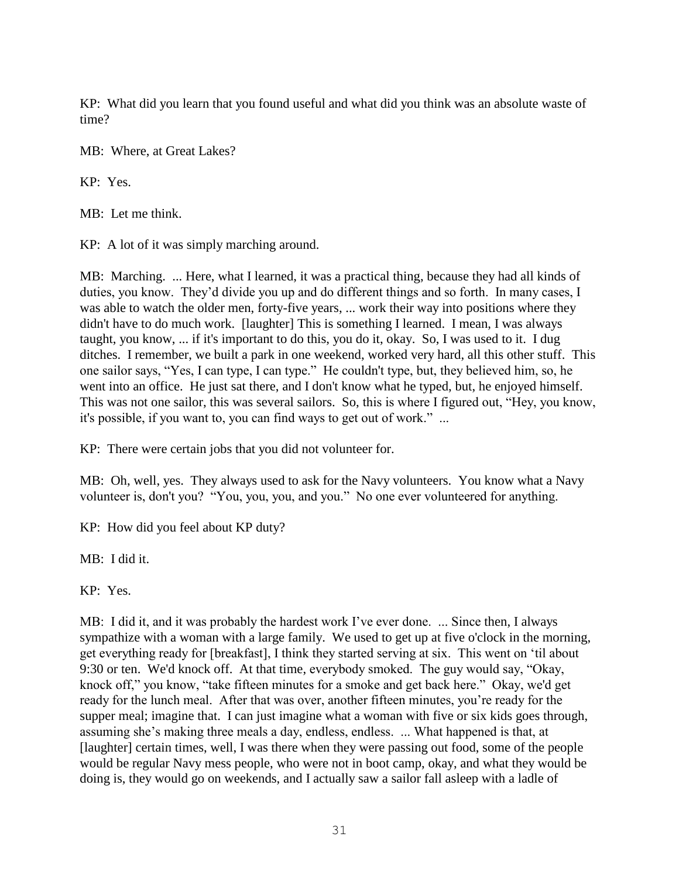KP: What did you learn that you found useful and what did you think was an absolute waste of time?

MB: Where, at Great Lakes?

KP: Yes.

MB: Let me think.

KP: A lot of it was simply marching around.

MB: Marching. ... Here, what I learned, it was a practical thing, because they had all kinds of duties, you know. They'd divide you up and do different things and so forth. In many cases, I was able to watch the older men, forty-five years, ... work their way into positions where they didn't have to do much work. [laughter] This is something I learned. I mean, I was always taught, you know, ... if it's important to do this, you do it, okay. So, I was used to it. I dug ditches. I remember, we built a park in one weekend, worked very hard, all this other stuff. This one sailor says, "Yes, I can type, I can type." He couldn't type, but, they believed him, so, he went into an office. He just sat there, and I don't know what he typed, but, he enjoyed himself. This was not one sailor, this was several sailors. So, this is where I figured out, "Hey, you know, it's possible, if you want to, you can find ways to get out of work." ...

KP: There were certain jobs that you did not volunteer for.

MB: Oh, well, yes. They always used to ask for the Navy volunteers. You know what a Navy volunteer is, don't you? "You, you, you, and you." No one ever volunteered for anything.

KP: How did you feel about KP duty?

MB: I did it.

KP: Yes.

MB: I did it, and it was probably the hardest work I've ever done. ... Since then, I always sympathize with a woman with a large family. We used to get up at five o'clock in the morning, get everything ready for [breakfast], I think they started serving at six. This went on 'til about 9:30 or ten. We'd knock off. At that time, everybody smoked. The guy would say, "Okay, knock off," you know, "take fifteen minutes for a smoke and get back here." Okay, we'd get ready for the lunch meal. After that was over, another fifteen minutes, you're ready for the supper meal; imagine that. I can just imagine what a woman with five or six kids goes through, assuming she's making three meals a day, endless, endless. ... What happened is that, at [laughter] certain times, well, I was there when they were passing out food, some of the people would be regular Navy mess people, who were not in boot camp, okay, and what they would be doing is, they would go on weekends, and I actually saw a sailor fall asleep with a ladle of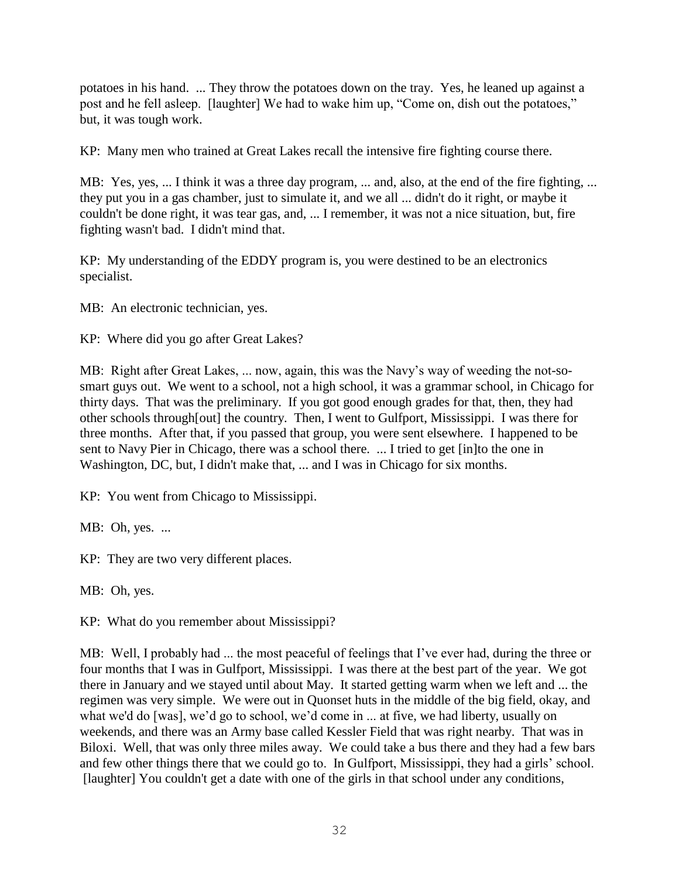potatoes in his hand. ... They throw the potatoes down on the tray. Yes, he leaned up against a post and he fell asleep. [laughter] We had to wake him up, "Come on, dish out the potatoes," but, it was tough work.

KP: Many men who trained at Great Lakes recall the intensive fire fighting course there.

MB: Yes, yes, ... I think it was a three day program, ... and, also, at the end of the fire fighting, ... they put you in a gas chamber, just to simulate it, and we all ... didn't do it right, or maybe it couldn't be done right, it was tear gas, and, ... I remember, it was not a nice situation, but, fire fighting wasn't bad. I didn't mind that.

KP: My understanding of the EDDY program is, you were destined to be an electronics specialist.

MB: An electronic technician, yes.

KP: Where did you go after Great Lakes?

MB: Right after Great Lakes, ... now, again, this was the Navy's way of weeding the not-sosmart guys out. We went to a school, not a high school, it was a grammar school, in Chicago for thirty days. That was the preliminary. If you got good enough grades for that, then, they had other schools through[out] the country. Then, I went to Gulfport, Mississippi. I was there for three months. After that, if you passed that group, you were sent elsewhere. I happened to be sent to Navy Pier in Chicago, there was a school there. ... I tried to get [in]to the one in Washington, DC, but, I didn't make that, ... and I was in Chicago for six months.

KP: You went from Chicago to Mississippi.

MB: Oh, yes. ...

KP: They are two very different places.

MB: Oh, yes.

KP: What do you remember about Mississippi?

MB: Well, I probably had ... the most peaceful of feelings that I've ever had, during the three or four months that I was in Gulfport, Mississippi. I was there at the best part of the year. We got there in January and we stayed until about May. It started getting warm when we left and ... the regimen was very simple. We were out in Quonset huts in the middle of the big field, okay, and what we'd do [was], we'd go to school, we'd come in ... at five, we had liberty, usually on weekends, and there was an Army base called Kessler Field that was right nearby. That was in Biloxi. Well, that was only three miles away. We could take a bus there and they had a few bars and few other things there that we could go to. In Gulfport, Mississippi, they had a girls' school. [laughter] You couldn't get a date with one of the girls in that school under any conditions,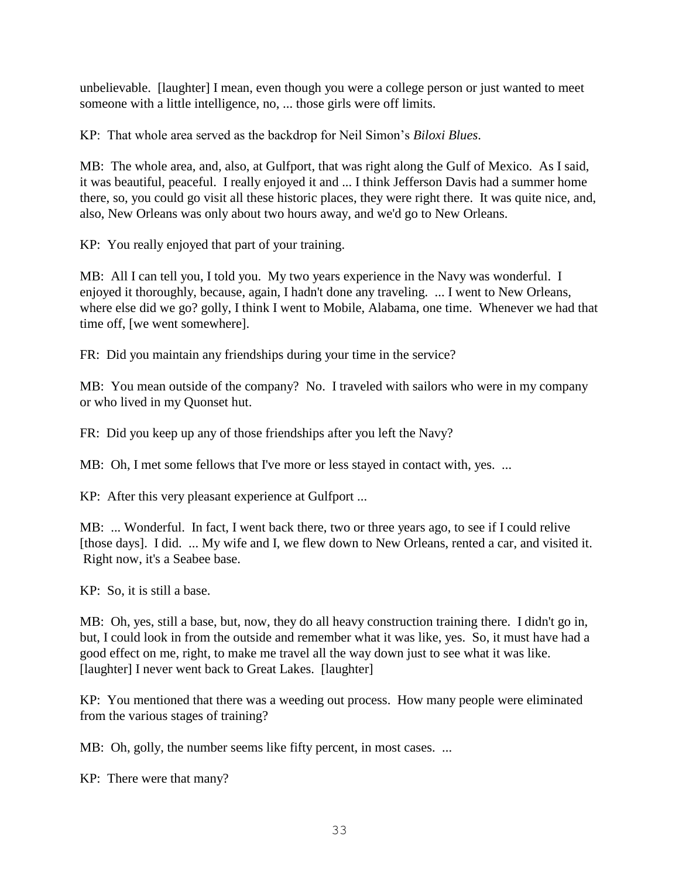unbelievable. [laughter] I mean, even though you were a college person or just wanted to meet someone with a little intelligence, no, ... those girls were off limits.

KP: That whole area served as the backdrop for Neil Simon's *Biloxi Blues*.

MB: The whole area, and, also, at Gulfport, that was right along the Gulf of Mexico. As I said, it was beautiful, peaceful. I really enjoyed it and ... I think Jefferson Davis had a summer home there, so, you could go visit all these historic places, they were right there. It was quite nice, and, also, New Orleans was only about two hours away, and we'd go to New Orleans.

KP: You really enjoyed that part of your training.

MB: All I can tell you, I told you. My two years experience in the Navy was wonderful. I enjoyed it thoroughly, because, again, I hadn't done any traveling. ... I went to New Orleans, where else did we go? golly, I think I went to Mobile, Alabama, one time. Whenever we had that time off, [we went somewhere].

FR: Did you maintain any friendships during your time in the service?

MB: You mean outside of the company? No. I traveled with sailors who were in my company or who lived in my Quonset hut.

FR: Did you keep up any of those friendships after you left the Navy?

MB: Oh, I met some fellows that I've more or less stayed in contact with, yes. ...

KP: After this very pleasant experience at Gulfport ...

MB: ... Wonderful. In fact, I went back there, two or three years ago, to see if I could relive [those days]. I did. ... My wife and I, we flew down to New Orleans, rented a car, and visited it. Right now, it's a Seabee base.

KP: So, it is still a base.

MB: Oh, yes, still a base, but, now, they do all heavy construction training there. I didn't go in, but, I could look in from the outside and remember what it was like, yes. So, it must have had a good effect on me, right, to make me travel all the way down just to see what it was like. [laughter] I never went back to Great Lakes. [laughter]

KP: You mentioned that there was a weeding out process. How many people were eliminated from the various stages of training?

MB: Oh, golly, the number seems like fifty percent, in most cases. ...

KP: There were that many?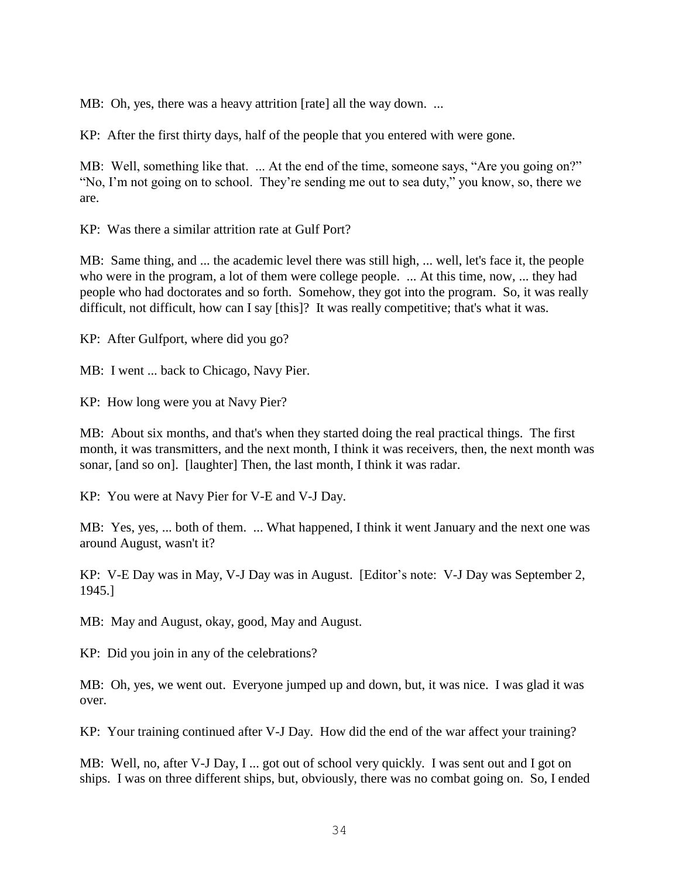MB: Oh, yes, there was a heavy attrition [rate] all the way down. ...

KP: After the first thirty days, half of the people that you entered with were gone.

MB: Well, something like that. ... At the end of the time, someone says, "Are you going on?" "No, I'm not going on to school. They're sending me out to sea duty," you know, so, there we are.

KP: Was there a similar attrition rate at Gulf Port?

MB: Same thing, and ... the academic level there was still high, ... well, let's face it, the people who were in the program, a lot of them were college people. ... At this time, now, ... they had people who had doctorates and so forth. Somehow, they got into the program. So, it was really difficult, not difficult, how can I say [this]? It was really competitive; that's what it was.

KP: After Gulfport, where did you go?

MB: I went ... back to Chicago, Navy Pier.

KP: How long were you at Navy Pier?

MB: About six months, and that's when they started doing the real practical things. The first month, it was transmitters, and the next month, I think it was receivers, then, the next month was sonar, [and so on]. [laughter] Then, the last month, I think it was radar.

KP: You were at Navy Pier for V-E and V-J Day.

MB: Yes, yes, ... both of them. ... What happened, I think it went January and the next one was around August, wasn't it?

KP: V-E Day was in May, V-J Day was in August. [Editor's note: V-J Day was September 2, 1945.]

MB: May and August, okay, good, May and August.

KP: Did you join in any of the celebrations?

MB: Oh, yes, we went out. Everyone jumped up and down, but, it was nice. I was glad it was over.

KP: Your training continued after V-J Day. How did the end of the war affect your training?

MB: Well, no, after V-J Day, I ... got out of school very quickly. I was sent out and I got on ships. I was on three different ships, but, obviously, there was no combat going on. So, I ended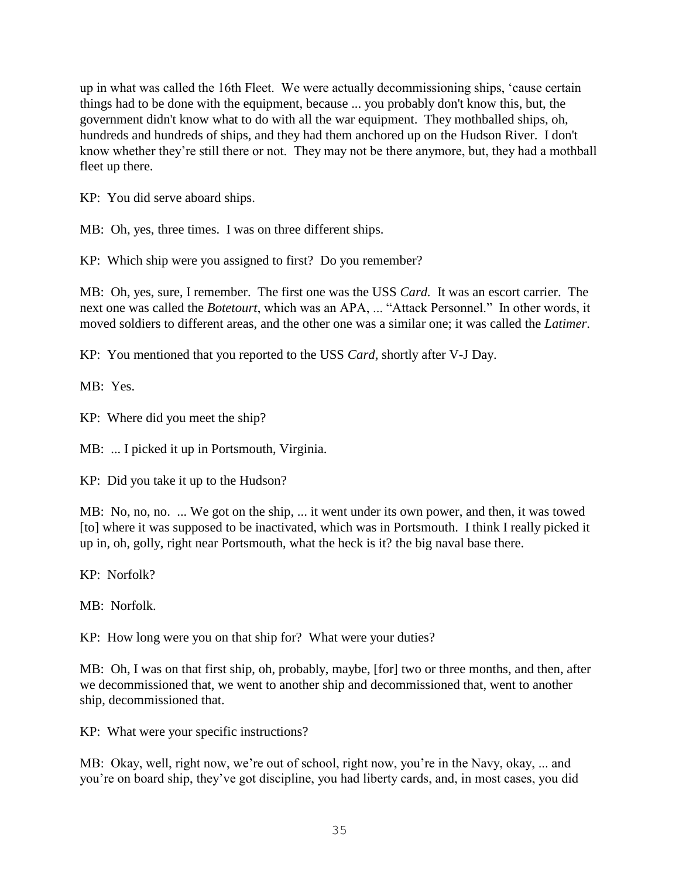up in what was called the 16th Fleet. We were actually decommissioning ships, 'cause certain things had to be done with the equipment, because ... you probably don't know this, but, the government didn't know what to do with all the war equipment. They mothballed ships, oh, hundreds and hundreds of ships, and they had them anchored up on the Hudson River. I don't know whether they're still there or not. They may not be there anymore, but, they had a mothball fleet up there.

KP: You did serve aboard ships.

MB: Oh, yes, three times. I was on three different ships.

KP: Which ship were you assigned to first? Do you remember?

MB: Oh, yes, sure, I remember. The first one was the USS *Card.* It was an escort carrier. The next one was called the *Botetourt*, which was an APA, ... "Attack Personnel." In other words, it moved soldiers to different areas, and the other one was a similar one; it was called the *Latimer*.

KP: You mentioned that you reported to the USS *Card*, shortly after V-J Day.

MB: Yes.

KP: Where did you meet the ship?

MB: ... I picked it up in Portsmouth, Virginia.

KP: Did you take it up to the Hudson?

MB: No, no, no. ... We got on the ship, ... it went under its own power, and then, it was towed [to] where it was supposed to be inactivated, which was in Portsmouth. I think I really picked it up in, oh, golly, right near Portsmouth, what the heck is it? the big naval base there.

KP: Norfolk?

MB: Norfolk.

KP: How long were you on that ship for? What were your duties?

MB: Oh, I was on that first ship, oh, probably, maybe, [for] two or three months, and then, after we decommissioned that, we went to another ship and decommissioned that, went to another ship, decommissioned that.

KP: What were your specific instructions?

MB: Okay, well, right now, we're out of school, right now, you're in the Navy, okay, ... and you're on board ship, they've got discipline, you had liberty cards, and, in most cases, you did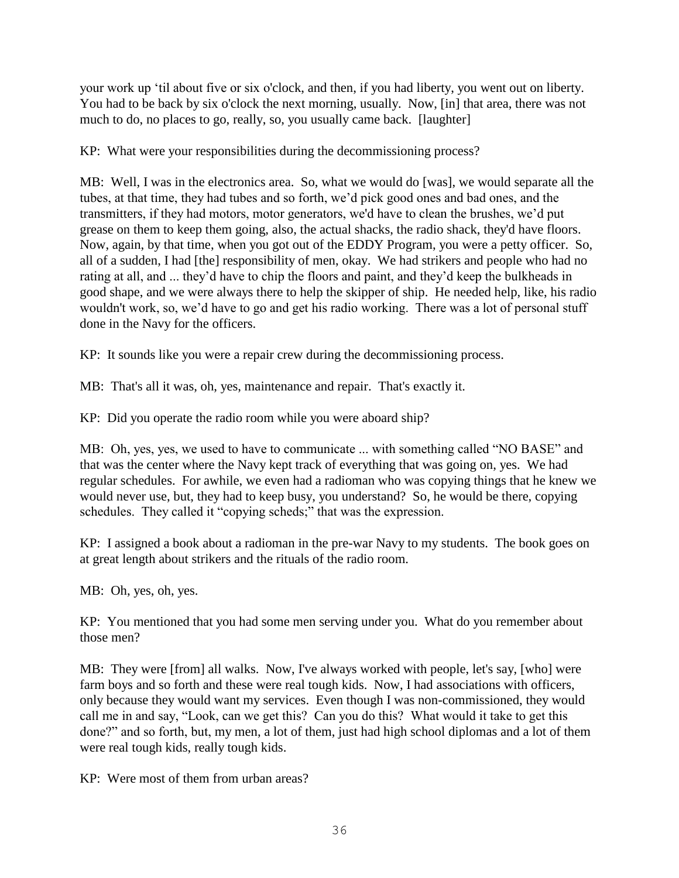your work up 'til about five or six o'clock, and then, if you had liberty, you went out on liberty. You had to be back by six o'clock the next morning, usually. Now, [in] that area, there was not much to do, no places to go, really, so, you usually came back. [laughter]

KP: What were your responsibilities during the decommissioning process?

MB: Well, I was in the electronics area. So, what we would do [was], we would separate all the tubes, at that time, they had tubes and so forth, we'd pick good ones and bad ones, and the transmitters, if they had motors, motor generators, we'd have to clean the brushes, we'd put grease on them to keep them going, also, the actual shacks, the radio shack, they'd have floors. Now, again, by that time, when you got out of the EDDY Program, you were a petty officer. So, all of a sudden, I had [the] responsibility of men, okay. We had strikers and people who had no rating at all, and ... they'd have to chip the floors and paint, and they'd keep the bulkheads in good shape, and we were always there to help the skipper of ship. He needed help, like, his radio wouldn't work, so, we'd have to go and get his radio working. There was a lot of personal stuff done in the Navy for the officers.

KP: It sounds like you were a repair crew during the decommissioning process.

MB: That's all it was, oh, yes, maintenance and repair. That's exactly it.

KP: Did you operate the radio room while you were aboard ship?

MB: Oh, yes, yes, we used to have to communicate ... with something called "NO BASE" and that was the center where the Navy kept track of everything that was going on, yes. We had regular schedules. For awhile, we even had a radioman who was copying things that he knew we would never use, but, they had to keep busy, you understand? So, he would be there, copying schedules. They called it "copying scheds;" that was the expression.

KP: I assigned a book about a radioman in the pre-war Navy to my students. The book goes on at great length about strikers and the rituals of the radio room.

MB: Oh, yes, oh, yes.

KP: You mentioned that you had some men serving under you. What do you remember about those men?

MB: They were [from] all walks. Now, I've always worked with people, let's say, [who] were farm boys and so forth and these were real tough kids. Now, I had associations with officers, only because they would want my services. Even though I was non-commissioned, they would call me in and say, "Look, can we get this? Can you do this? What would it take to get this done?" and so forth, but, my men, a lot of them, just had high school diplomas and a lot of them were real tough kids, really tough kids.

KP: Were most of them from urban areas?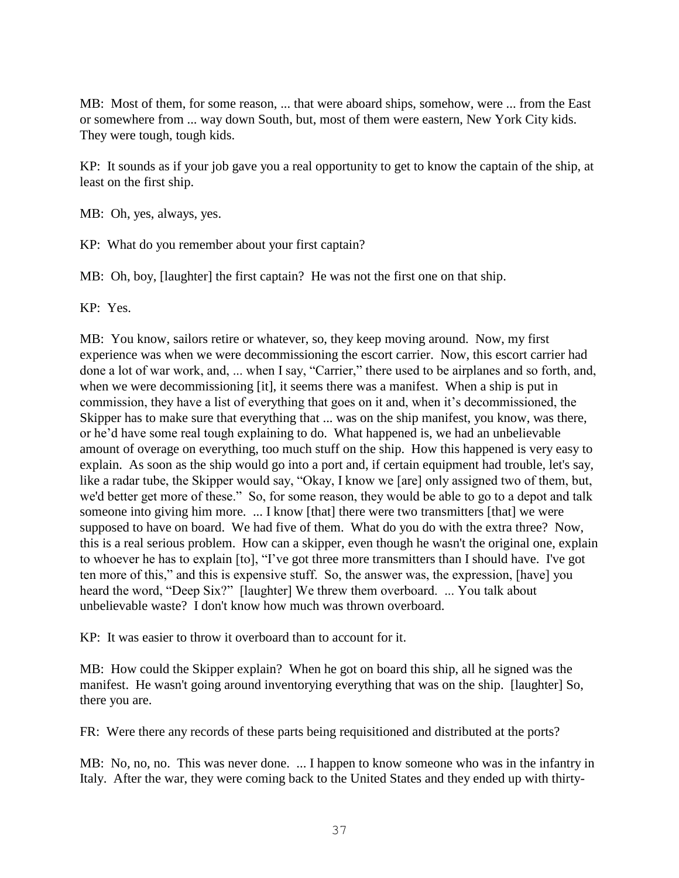MB: Most of them, for some reason, ... that were aboard ships, somehow, were ... from the East or somewhere from ... way down South, but, most of them were eastern, New York City kids. They were tough, tough kids.

KP: It sounds as if your job gave you a real opportunity to get to know the captain of the ship, at least on the first ship.

MB: Oh, yes, always, yes.

KP: What do you remember about your first captain?

MB: Oh, boy, [laughter] the first captain? He was not the first one on that ship.

KP: Yes.

MB: You know, sailors retire or whatever, so, they keep moving around. Now, my first experience was when we were decommissioning the escort carrier. Now, this escort carrier had done a lot of war work, and, ... when I say, "Carrier," there used to be airplanes and so forth, and, when we were decommissioning [it], it seems there was a manifest. When a ship is put in commission, they have a list of everything that goes on it and, when it's decommissioned, the Skipper has to make sure that everything that ... was on the ship manifest, you know, was there, or he'd have some real tough explaining to do. What happened is, we had an unbelievable amount of overage on everything, too much stuff on the ship. How this happened is very easy to explain. As soon as the ship would go into a port and, if certain equipment had trouble, let's say, like a radar tube, the Skipper would say, "Okay, I know we [are] only assigned two of them, but, we'd better get more of these." So, for some reason, they would be able to go to a depot and talk someone into giving him more. ... I know [that] there were two transmitters [that] we were supposed to have on board. We had five of them. What do you do with the extra three? Now, this is a real serious problem. How can a skipper, even though he wasn't the original one, explain to whoever he has to explain [to], "I've got three more transmitters than I should have. I've got ten more of this," and this is expensive stuff. So, the answer was, the expression, [have] you heard the word, "Deep Six?" [laughter] We threw them overboard. ... You talk about unbelievable waste? I don't know how much was thrown overboard.

KP: It was easier to throw it overboard than to account for it.

MB: How could the Skipper explain? When he got on board this ship, all he signed was the manifest. He wasn't going around inventorying everything that was on the ship. [laughter] So, there you are.

FR: Were there any records of these parts being requisitioned and distributed at the ports?

MB: No, no, no. This was never done. ... I happen to know someone who was in the infantry in Italy. After the war, they were coming back to the United States and they ended up with thirty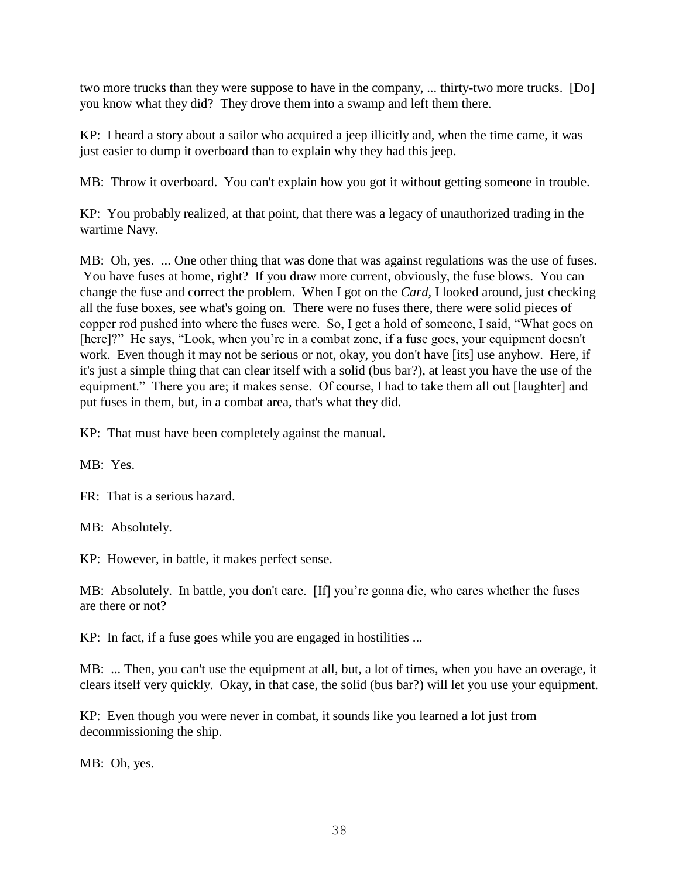two more trucks than they were suppose to have in the company, ... thirty-two more trucks. [Do] you know what they did? They drove them into a swamp and left them there.

KP: I heard a story about a sailor who acquired a jeep illicitly and, when the time came, it was just easier to dump it overboard than to explain why they had this jeep.

MB: Throw it overboard. You can't explain how you got it without getting someone in trouble.

KP: You probably realized, at that point, that there was a legacy of unauthorized trading in the wartime Navy.

MB: Oh, yes. ... One other thing that was done that was against regulations was the use of fuses. You have fuses at home, right? If you draw more current, obviously, the fuse blows. You can change the fuse and correct the problem. When I got on the *Card,* I looked around, just checking all the fuse boxes, see what's going on. There were no fuses there, there were solid pieces of copper rod pushed into where the fuses were. So, I get a hold of someone, I said, "What goes on [here]?" He says, "Look, when you're in a combat zone, if a fuse goes, your equipment doesn't work. Even though it may not be serious or not, okay, you don't have [its] use anyhow. Here, if it's just a simple thing that can clear itself with a solid (bus bar?), at least you have the use of the equipment." There you are; it makes sense. Of course, I had to take them all out [laughter] and put fuses in them, but, in a combat area, that's what they did.

KP: That must have been completely against the manual.

MB: Yes.

FR: That is a serious hazard.

MB: Absolutely.

KP: However, in battle, it makes perfect sense.

MB: Absolutely. In battle, you don't care. [If] you're gonna die, who cares whether the fuses are there or not?

KP: In fact, if a fuse goes while you are engaged in hostilities ...

MB: ... Then, you can't use the equipment at all, but, a lot of times, when you have an overage, it clears itself very quickly. Okay, in that case, the solid (bus bar?) will let you use your equipment.

KP: Even though you were never in combat, it sounds like you learned a lot just from decommissioning the ship.

MB: Oh, yes.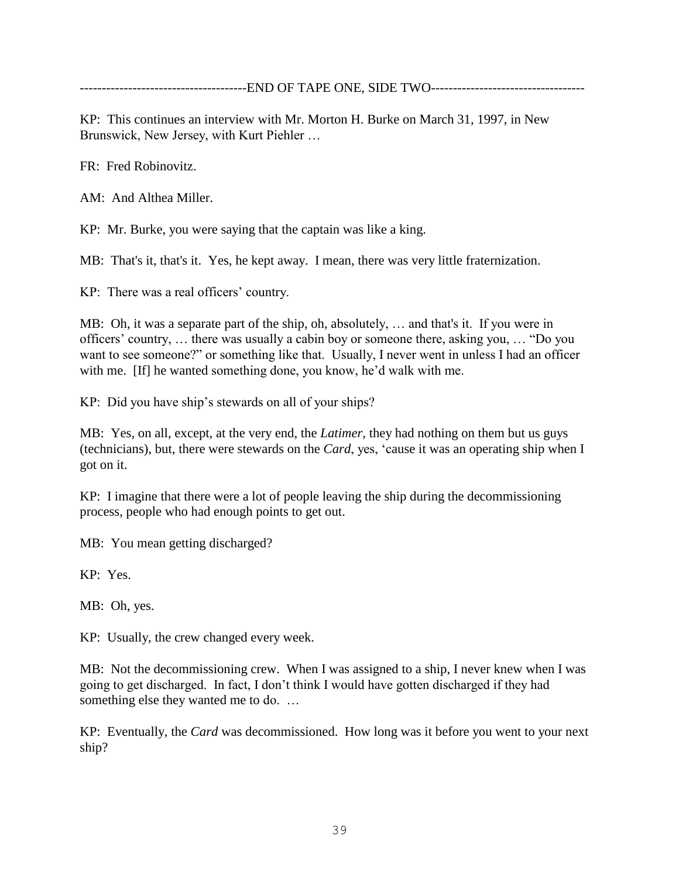--------------------------------------END OF TAPE ONE, SIDE TWO-----------------------------------

KP: This continues an interview with Mr. Morton H. Burke on March 31, 1997, in New Brunswick, New Jersey, with Kurt Piehler …

FR: Fred Robinovitz.

AM: And Althea Miller.

KP: Mr. Burke, you were saying that the captain was like a king.

MB: That's it, that's it. Yes, he kept away. I mean, there was very little fraternization.

KP: There was a real officers' country.

MB: Oh, it was a separate part of the ship, oh, absolutely, … and that's it. If you were in officers' country, … there was usually a cabin boy or someone there, asking you, … "Do you want to see someone?" or something like that. Usually, I never went in unless I had an officer with me. [If] he wanted something done, you know, he'd walk with me.

KP: Did you have ship's stewards on all of your ships?

MB: Yes, on all, except, at the very end, the *Latimer,* they had nothing on them but us guys (technicians), but, there were stewards on the *Card*, yes, 'cause it was an operating ship when I got on it.

KP: I imagine that there were a lot of people leaving the ship during the decommissioning process, people who had enough points to get out.

MB: You mean getting discharged?

KP: Yes.

MB: Oh, yes.

KP: Usually, the crew changed every week.

MB: Not the decommissioning crew. When I was assigned to a ship, I never knew when I was going to get discharged. In fact, I don't think I would have gotten discharged if they had something else they wanted me to do. …

KP: Eventually, the *Card* was decommissioned. How long was it before you went to your next ship?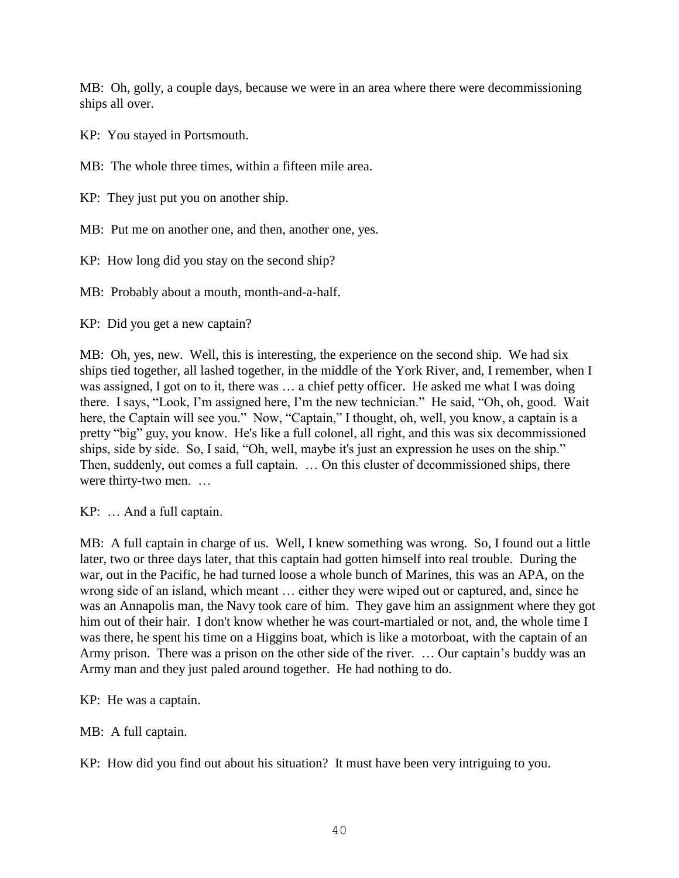MB: Oh, golly, a couple days, because we were in an area where there were decommissioning ships all over.

KP: You stayed in Portsmouth.

MB: The whole three times, within a fifteen mile area.

KP: They just put you on another ship.

MB: Put me on another one, and then, another one, yes.

KP: How long did you stay on the second ship?

MB: Probably about a mouth, month-and-a-half.

KP: Did you get a new captain?

MB: Oh, yes, new. Well, this is interesting, the experience on the second ship. We had six ships tied together, all lashed together, in the middle of the York River, and, I remember, when I was assigned, I got on to it, there was … a chief petty officer. He asked me what I was doing there. I says, "Look, I'm assigned here, I'm the new technician." He said, "Oh, oh, good. Wait here, the Captain will see you." Now, "Captain," I thought, oh, well, you know, a captain is a pretty "big" guy, you know. He's like a full colonel, all right, and this was six decommissioned ships, side by side. So, I said, "Oh, well, maybe it's just an expression he uses on the ship." Then, suddenly, out comes a full captain. … On this cluster of decommissioned ships, there were thirty-two men. …

KP: … And a full captain.

MB: A full captain in charge of us. Well, I knew something was wrong. So, I found out a little later, two or three days later, that this captain had gotten himself into real trouble. During the war, out in the Pacific, he had turned loose a whole bunch of Marines, this was an APA, on the wrong side of an island, which meant … either they were wiped out or captured, and, since he was an Annapolis man, the Navy took care of him. They gave him an assignment where they got him out of their hair. I don't know whether he was court-martialed or not, and, the whole time I was there, he spent his time on a Higgins boat, which is like a motorboat, with the captain of an Army prison. There was a prison on the other side of the river. … Our captain's buddy was an Army man and they just paled around together. He had nothing to do.

KP: He was a captain.

MB: A full captain.

KP: How did you find out about his situation? It must have been very intriguing to you.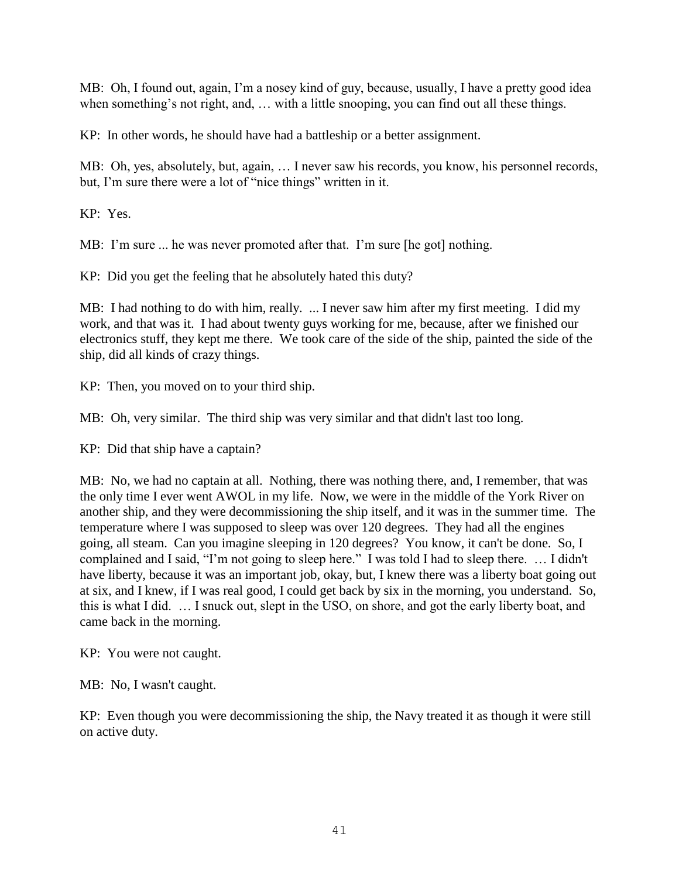MB: Oh, I found out, again, I'm a nosey kind of guy, because, usually, I have a pretty good idea when something's not right, and, ... with a little snooping, you can find out all these things.

KP: In other words, he should have had a battleship or a better assignment.

MB: Oh, yes, absolutely, but, again, … I never saw his records, you know, his personnel records, but, I'm sure there were a lot of "nice things" written in it.

KP: Yes.

MB: I'm sure ... he was never promoted after that. I'm sure [he got] nothing.

KP: Did you get the feeling that he absolutely hated this duty?

MB: I had nothing to do with him, really. ... I never saw him after my first meeting. I did my work, and that was it. I had about twenty guys working for me, because, after we finished our electronics stuff, they kept me there. We took care of the side of the ship, painted the side of the ship, did all kinds of crazy things.

KP: Then, you moved on to your third ship.

MB: Oh, very similar. The third ship was very similar and that didn't last too long.

KP: Did that ship have a captain?

MB: No, we had no captain at all. Nothing, there was nothing there, and, I remember, that was the only time I ever went AWOL in my life. Now, we were in the middle of the York River on another ship, and they were decommissioning the ship itself, and it was in the summer time. The temperature where I was supposed to sleep was over 120 degrees. They had all the engines going, all steam. Can you imagine sleeping in 120 degrees? You know, it can't be done. So, I complained and I said, "I'm not going to sleep here." I was told I had to sleep there. … I didn't have liberty, because it was an important job, okay, but, I knew there was a liberty boat going out at six, and I knew, if I was real good, I could get back by six in the morning, you understand. So, this is what I did. … I snuck out, slept in the USO, on shore, and got the early liberty boat, and came back in the morning.

KP: You were not caught.

MB: No, I wasn't caught.

KP: Even though you were decommissioning the ship, the Navy treated it as though it were still on active duty.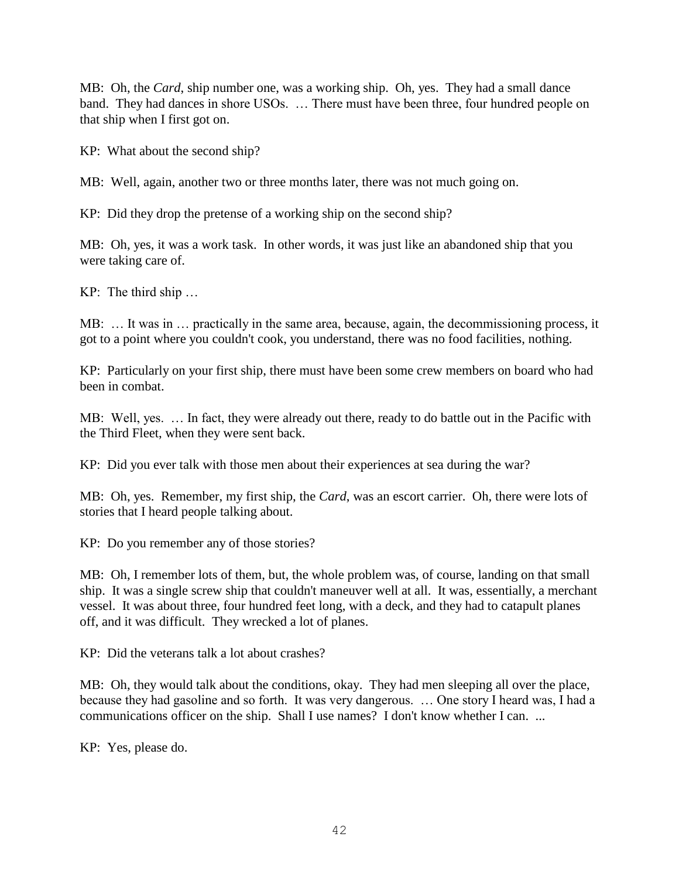MB: Oh, the *Card*, ship number one, was a working ship. Oh, yes. They had a small dance band. They had dances in shore USOs. … There must have been three, four hundred people on that ship when I first got on.

KP: What about the second ship?

MB: Well, again, another two or three months later, there was not much going on.

KP: Did they drop the pretense of a working ship on the second ship?

MB: Oh, yes, it was a work task. In other words, it was just like an abandoned ship that you were taking care of.

KP: The third ship …

MB: … It was in … practically in the same area, because, again, the decommissioning process, it got to a point where you couldn't cook, you understand, there was no food facilities, nothing.

KP: Particularly on your first ship, there must have been some crew members on board who had been in combat.

MB: Well, yes. … In fact, they were already out there, ready to do battle out in the Pacific with the Third Fleet, when they were sent back.

KP: Did you ever talk with those men about their experiences at sea during the war?

MB: Oh, yes. Remember, my first ship, the *Card*, was an escort carrier. Oh, there were lots of stories that I heard people talking about.

KP: Do you remember any of those stories?

MB: Oh, I remember lots of them, but, the whole problem was, of course, landing on that small ship. It was a single screw ship that couldn't maneuver well at all. It was, essentially, a merchant vessel. It was about three, four hundred feet long, with a deck, and they had to catapult planes off, and it was difficult. They wrecked a lot of planes.

KP: Did the veterans talk a lot about crashes?

MB: Oh, they would talk about the conditions, okay. They had men sleeping all over the place, because they had gasoline and so forth. It was very dangerous. … One story I heard was, I had a communications officer on the ship. Shall I use names? I don't know whether I can. ...

KP: Yes, please do.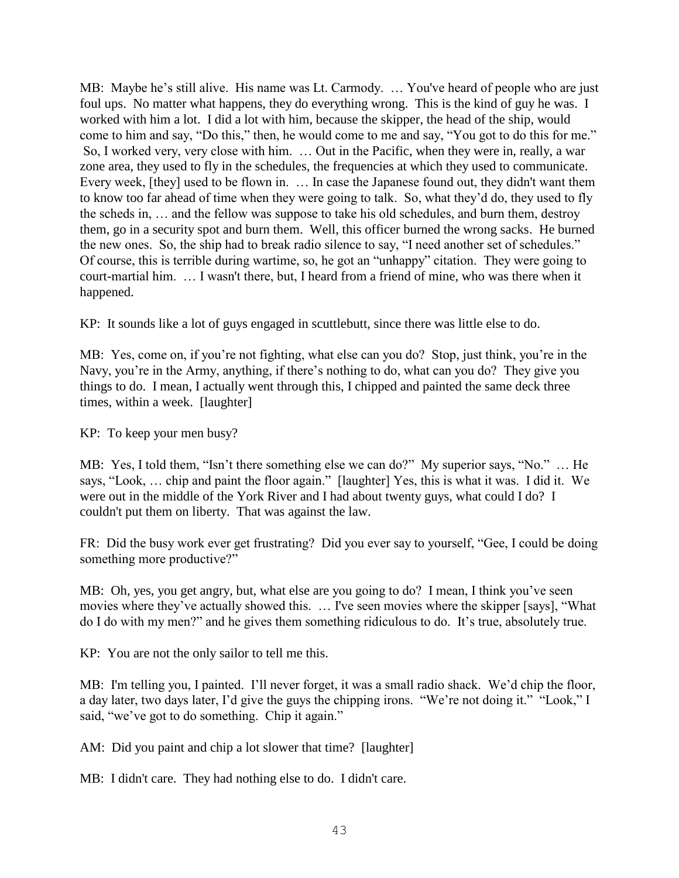MB: Maybe he's still alive. His name was Lt. Carmody. … You've heard of people who are just foul ups. No matter what happens, they do everything wrong. This is the kind of guy he was. I worked with him a lot. I did a lot with him, because the skipper, the head of the ship, would come to him and say, "Do this," then, he would come to me and say, "You got to do this for me." So, I worked very, very close with him. … Out in the Pacific, when they were in, really, a war zone area, they used to fly in the schedules, the frequencies at which they used to communicate. Every week, [they] used to be flown in. … In case the Japanese found out, they didn't want them to know too far ahead of time when they were going to talk. So, what they'd do, they used to fly the scheds in, … and the fellow was suppose to take his old schedules, and burn them, destroy them, go in a security spot and burn them. Well, this officer burned the wrong sacks. He burned the new ones. So, the ship had to break radio silence to say, "I need another set of schedules." Of course, this is terrible during wartime, so, he got an "unhappy" citation. They were going to court-martial him. … I wasn't there, but, I heard from a friend of mine, who was there when it happened.

KP: It sounds like a lot of guys engaged in scuttlebutt, since there was little else to do.

MB: Yes, come on, if you're not fighting, what else can you do? Stop, just think, you're in the Navy, you're in the Army, anything, if there's nothing to do, what can you do? They give you things to do. I mean, I actually went through this, I chipped and painted the same deck three times, within a week. [laughter]

KP: To keep your men busy?

MB: Yes, I told them, "Isn't there something else we can do?" My superior says, "No." … He says, "Look, … chip and paint the floor again." [laughter] Yes, this is what it was. I did it. We were out in the middle of the York River and I had about twenty guys, what could I do? I couldn't put them on liberty. That was against the law.

FR: Did the busy work ever get frustrating? Did you ever say to yourself, "Gee, I could be doing something more productive?"

MB: Oh, yes, you get angry, but, what else are you going to do? I mean, I think you've seen movies where they've actually showed this. … I've seen movies where the skipper [says], "What do I do with my men?" and he gives them something ridiculous to do. It's true, absolutely true.

KP: You are not the only sailor to tell me this.

MB: I'm telling you, I painted. I'll never forget, it was a small radio shack. We'd chip the floor, a day later, two days later, I'd give the guys the chipping irons. "We're not doing it." "Look," I said, "we've got to do something. Chip it again."

AM: Did you paint and chip a lot slower that time? [laughter]

MB: I didn't care. They had nothing else to do. I didn't care.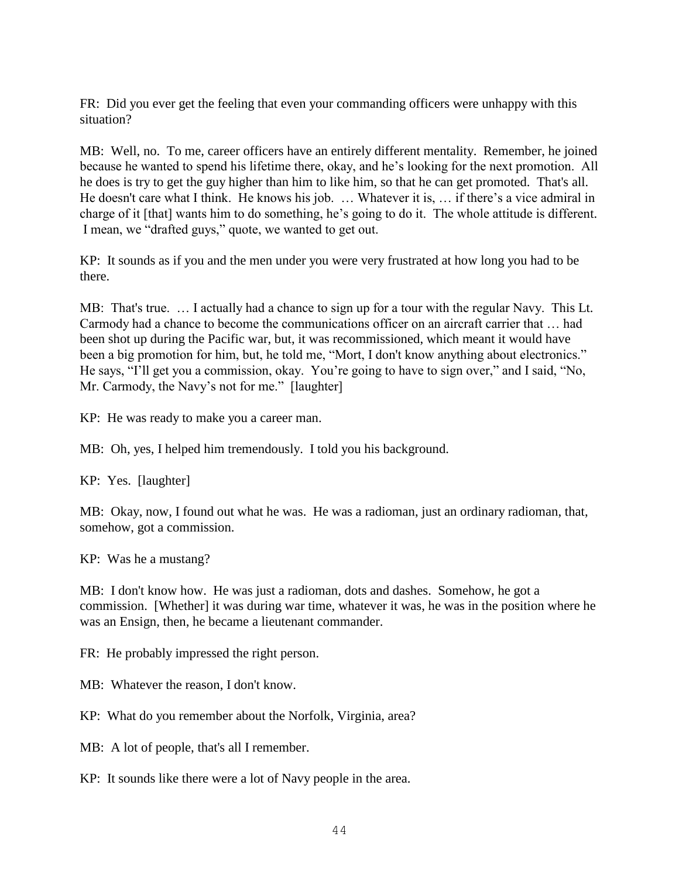FR: Did you ever get the feeling that even your commanding officers were unhappy with this situation?

MB: Well, no. To me, career officers have an entirely different mentality. Remember, he joined because he wanted to spend his lifetime there, okay, and he's looking for the next promotion. All he does is try to get the guy higher than him to like him, so that he can get promoted. That's all. He doesn't care what I think. He knows his job. … Whatever it is, … if there's a vice admiral in charge of it [that] wants him to do something, he's going to do it. The whole attitude is different. I mean, we "drafted guys," quote, we wanted to get out.

KP: It sounds as if you and the men under you were very frustrated at how long you had to be there.

MB: That's true. … I actually had a chance to sign up for a tour with the regular Navy. This Lt. Carmody had a chance to become the communications officer on an aircraft carrier that … had been shot up during the Pacific war, but, it was recommissioned, which meant it would have been a big promotion for him, but, he told me, "Mort, I don't know anything about electronics." He says, "I'll get you a commission, okay. You're going to have to sign over," and I said, "No, Mr. Carmody, the Navy's not for me." [laughter]

KP: He was ready to make you a career man.

MB: Oh, yes, I helped him tremendously. I told you his background.

KP: Yes. [laughter]

MB: Okay, now, I found out what he was. He was a radioman, just an ordinary radioman, that, somehow, got a commission.

KP: Was he a mustang?

MB: I don't know how. He was just a radioman, dots and dashes. Somehow, he got a commission. [Whether] it was during war time, whatever it was, he was in the position where he was an Ensign, then, he became a lieutenant commander.

FR: He probably impressed the right person.

MB: Whatever the reason, I don't know.

KP: What do you remember about the Norfolk, Virginia, area?

MB: A lot of people, that's all I remember.

KP: It sounds like there were a lot of Navy people in the area.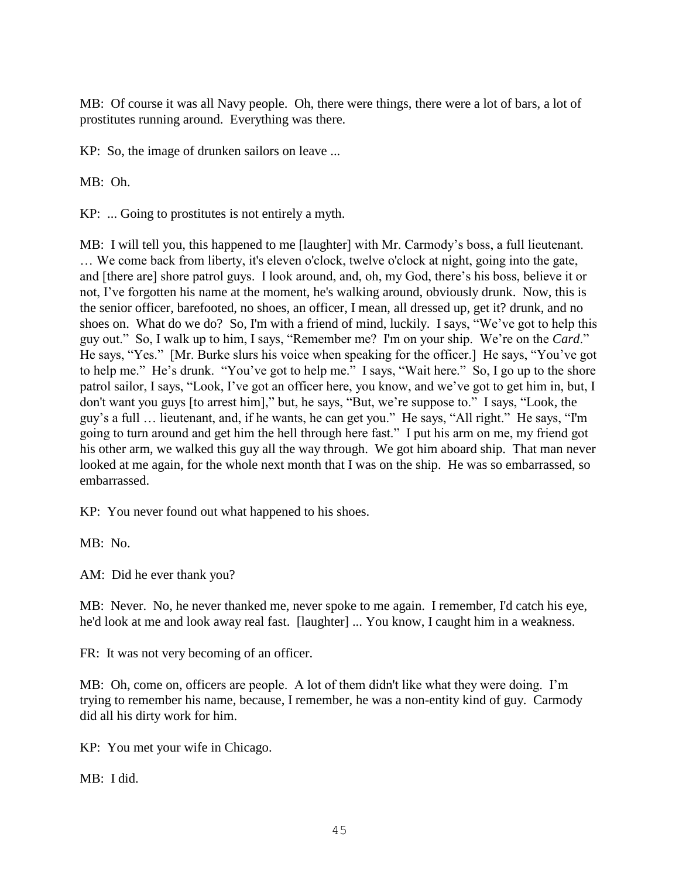MB: Of course it was all Navy people. Oh, there were things, there were a lot of bars, a lot of prostitutes running around. Everything was there.

KP: So, the image of drunken sailors on leave ...

MB: Oh.

KP: ... Going to prostitutes is not entirely a myth.

MB: I will tell you, this happened to me [laughter] with Mr. Carmody's boss, a full lieutenant. … We come back from liberty, it's eleven o'clock, twelve o'clock at night, going into the gate, and [there are] shore patrol guys. I look around, and, oh, my God, there's his boss, believe it or not, I've forgotten his name at the moment, he's walking around, obviously drunk. Now, this is the senior officer, barefooted, no shoes, an officer, I mean, all dressed up, get it? drunk, and no shoes on. What do we do? So, I'm with a friend of mind, luckily. I says, "We've got to help this guy out." So, I walk up to him, I says, "Remember me? I'm on your ship. We're on the *Card*." He says, "Yes." [Mr. Burke slurs his voice when speaking for the officer.] He says, "You've got to help me." He's drunk. "You've got to help me." I says, "Wait here." So, I go up to the shore patrol sailor, I says, "Look, I've got an officer here, you know, and we've got to get him in, but, I don't want you guys [to arrest him]," but, he says, "But, we're suppose to." I says, "Look, the guy's a full … lieutenant, and, if he wants, he can get you." He says, "All right." He says, "I'm going to turn around and get him the hell through here fast." I put his arm on me, my friend got his other arm, we walked this guy all the way through. We got him aboard ship. That man never looked at me again, for the whole next month that I was on the ship. He was so embarrassed, so embarrassed.

KP: You never found out what happened to his shoes.

MB: No.

AM: Did he ever thank you?

MB: Never. No, he never thanked me, never spoke to me again. I remember, I'd catch his eye, he'd look at me and look away real fast. [laughter] ... You know, I caught him in a weakness.

FR: It was not very becoming of an officer.

MB: Oh, come on, officers are people. A lot of them didn't like what they were doing. I'm trying to remember his name, because, I remember, he was a non-entity kind of guy. Carmody did all his dirty work for him.

KP: You met your wife in Chicago.

MB: I did.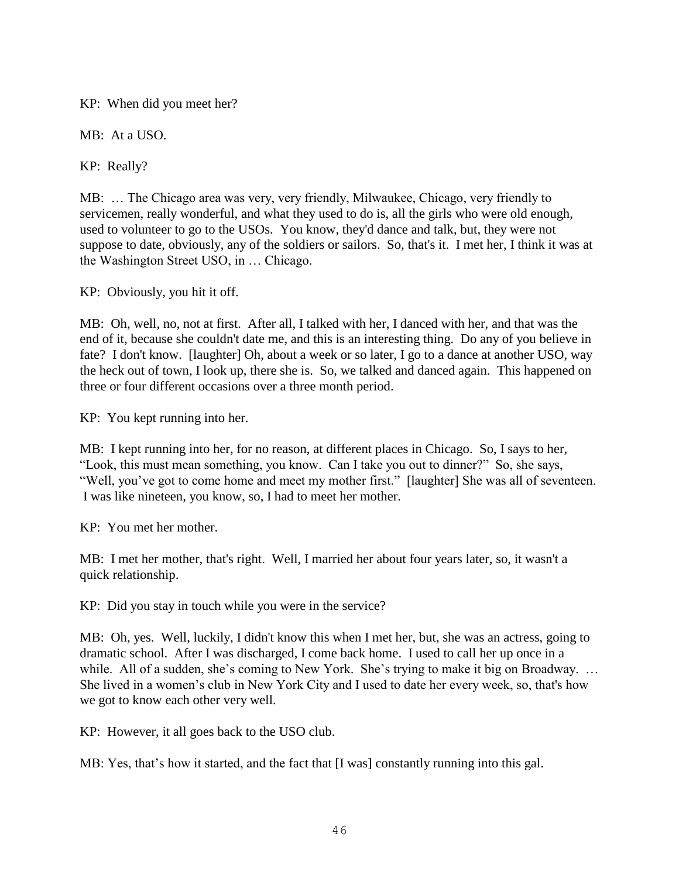KP: When did you meet her?

MB: At a USO.

KP: Really?

MB: … The Chicago area was very, very friendly, Milwaukee, Chicago, very friendly to servicemen, really wonderful, and what they used to do is, all the girls who were old enough, used to volunteer to go to the USOs. You know, they'd dance and talk, but, they were not suppose to date, obviously, any of the soldiers or sailors. So, that's it. I met her, I think it was at the Washington Street USO, in … Chicago.

KP: Obviously, you hit it off.

MB: Oh, well, no, not at first. After all, I talked with her, I danced with her, and that was the end of it, because she couldn't date me, and this is an interesting thing. Do any of you believe in fate? I don't know. [laughter] Oh, about a week or so later, I go to a dance at another USO, way the heck out of town, I look up, there she is. So, we talked and danced again. This happened on three or four different occasions over a three month period.

KP: You kept running into her.

MB: I kept running into her, for no reason, at different places in Chicago. So, I says to her, "Look, this must mean something, you know. Can I take you out to dinner?" So, she says, "Well, you've got to come home and meet my mother first." [laughter] She was all of seventeen. I was like nineteen, you know, so, I had to meet her mother.

KP: You met her mother.

MB: I met her mother, that's right. Well, I married her about four years later, so, it wasn't a quick relationship.

KP: Did you stay in touch while you were in the service?

MB: Oh, yes. Well, luckily, I didn't know this when I met her, but, she was an actress, going to dramatic school. After I was discharged, I come back home. I used to call her up once in a while. All of a sudden, she's coming to New York. She's trying to make it big on Broadway. ... She lived in a women's club in New York City and I used to date her every week, so, that's how we got to know each other very well.

KP: However, it all goes back to the USO club.

MB: Yes, that's how it started, and the fact that [I was] constantly running into this gal.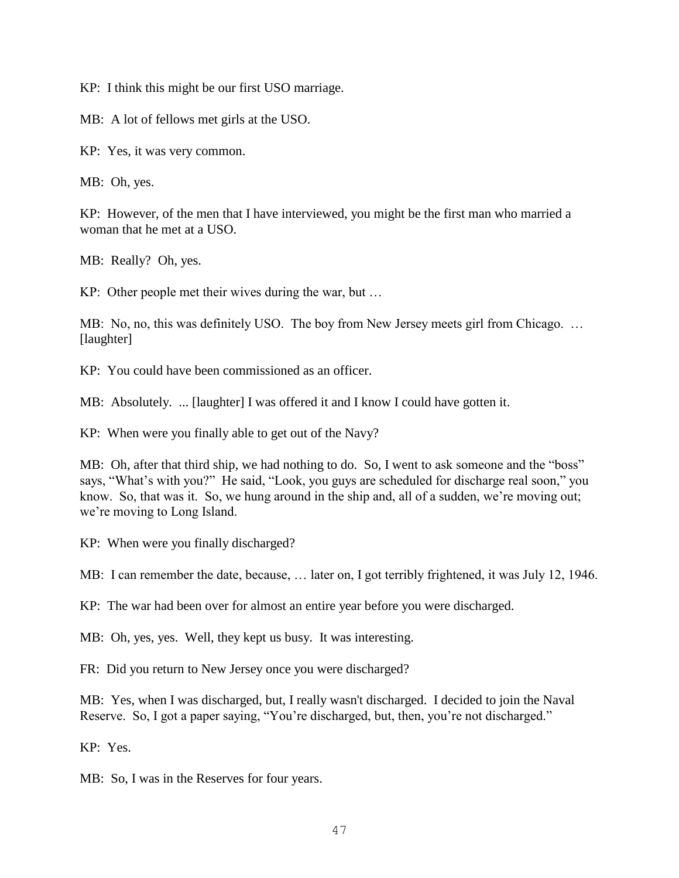KP: I think this might be our first USO marriage.

MB: A lot of fellows met girls at the USO.

KP: Yes, it was very common.

MB: Oh, yes.

KP: However, of the men that I have interviewed, you might be the first man who married a woman that he met at a USO.

MB: Really? Oh, yes.

KP: Other people met their wives during the war, but …

MB: No, no, this was definitely USO. The boy from New Jersey meets girl from Chicago. ... [laughter]

KP: You could have been commissioned as an officer.

MB: Absolutely. ... [laughter] I was offered it and I know I could have gotten it.

KP: When were you finally able to get out of the Navy?

MB: Oh, after that third ship, we had nothing to do. So, I went to ask someone and the "boss" says, "What's with you?" He said, "Look, you guys are scheduled for discharge real soon," you know. So, that was it. So, we hung around in the ship and, all of a sudden, we're moving out; we're moving to Long Island.

KP: When were you finally discharged?

MB: I can remember the date, because, … later on, I got terribly frightened, it was July 12, 1946.

KP: The war had been over for almost an entire year before you were discharged.

MB: Oh, yes, yes. Well, they kept us busy. It was interesting.

FR: Did you return to New Jersey once you were discharged?

MB: Yes, when I was discharged, but, I really wasn't discharged. I decided to join the Naval Reserve. So, I got a paper saying, "You're discharged, but, then, you're not discharged."

KP: Yes.

MB: So, I was in the Reserves for four years.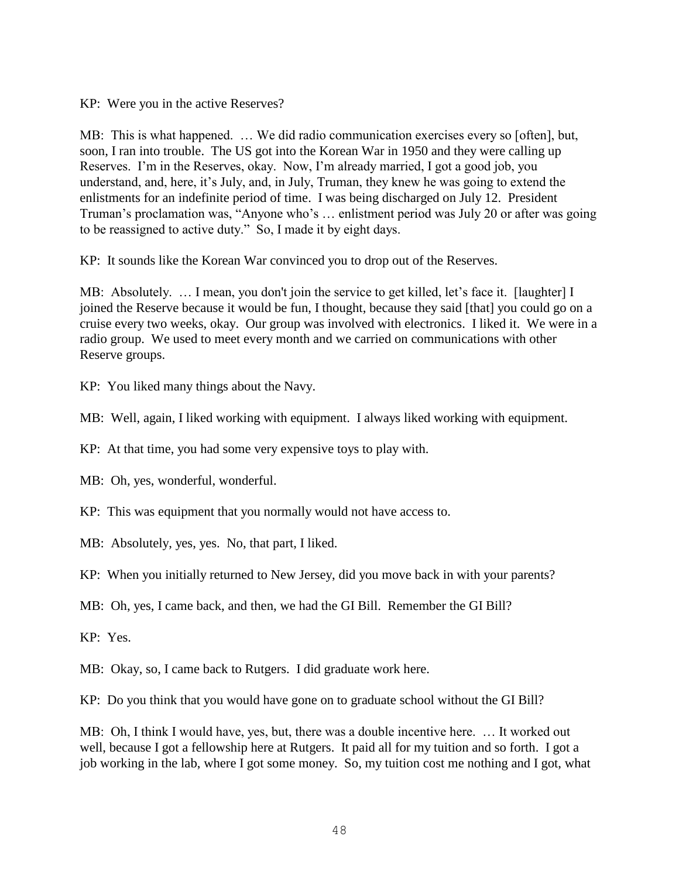KP: Were you in the active Reserves?

MB: This is what happened. … We did radio communication exercises every so [often], but, soon, I ran into trouble. The US got into the Korean War in 1950 and they were calling up Reserves. I'm in the Reserves, okay. Now, I'm already married, I got a good job, you understand, and, here, it's July, and, in July, Truman, they knew he was going to extend the enlistments for an indefinite period of time. I was being discharged on July 12. President Truman's proclamation was, "Anyone who's … enlistment period was July 20 or after was going to be reassigned to active duty." So, I made it by eight days.

KP: It sounds like the Korean War convinced you to drop out of the Reserves.

MB: Absolutely. … I mean, you don't join the service to get killed, let's face it. [laughter] I joined the Reserve because it would be fun, I thought, because they said [that] you could go on a cruise every two weeks, okay. Our group was involved with electronics. I liked it. We were in a radio group. We used to meet every month and we carried on communications with other Reserve groups.

KP: You liked many things about the Navy.

MB: Well, again, I liked working with equipment. I always liked working with equipment.

KP: At that time, you had some very expensive toys to play with.

MB: Oh, yes, wonderful, wonderful.

KP: This was equipment that you normally would not have access to.

MB: Absolutely, yes, yes. No, that part, I liked.

KP: When you initially returned to New Jersey, did you move back in with your parents?

MB: Oh, yes, I came back, and then, we had the GI Bill. Remember the GI Bill?

KP: Yes.

MB: Okay, so, I came back to Rutgers. I did graduate work here.

KP: Do you think that you would have gone on to graduate school without the GI Bill?

MB: Oh, I think I would have, yes, but, there was a double incentive here. … It worked out well, because I got a fellowship here at Rutgers. It paid all for my tuition and so forth. I got a job working in the lab, where I got some money. So, my tuition cost me nothing and I got, what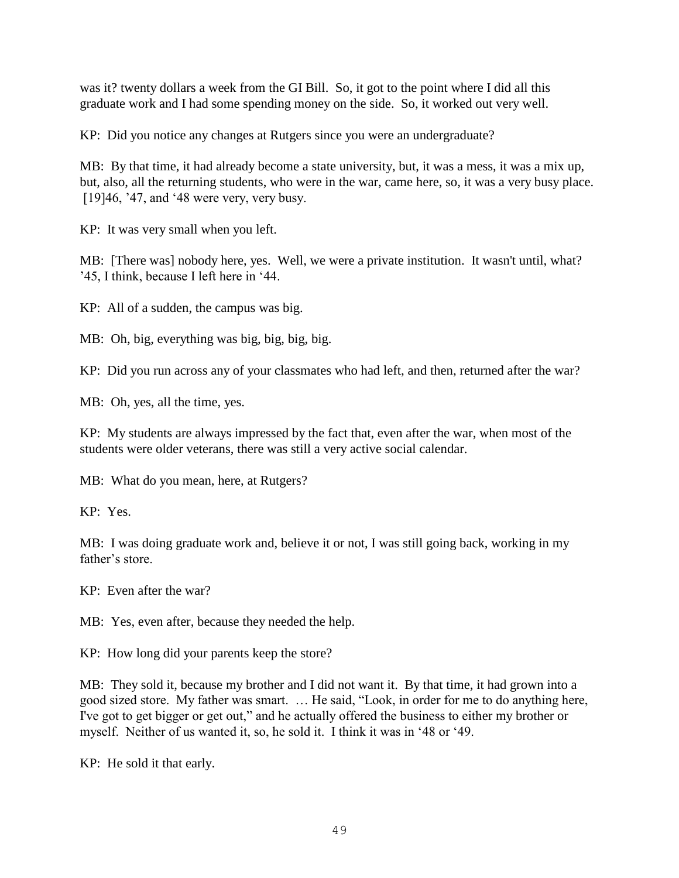was it? twenty dollars a week from the GI Bill. So, it got to the point where I did all this graduate work and I had some spending money on the side. So, it worked out very well.

KP: Did you notice any changes at Rutgers since you were an undergraduate?

MB: By that time, it had already become a state university, but, it was a mess, it was a mix up, but, also, all the returning students, who were in the war, came here, so, it was a very busy place. [19] 46, '47, and '48 were very, very busy.

KP: It was very small when you left.

MB: [There was] nobody here, yes. Well, we were a private institution. It wasn't until, what? '45, I think, because I left here in '44.

KP: All of a sudden, the campus was big.

MB: Oh, big, everything was big, big, big, big.

KP: Did you run across any of your classmates who had left, and then, returned after the war?

MB: Oh, yes, all the time, yes.

KP: My students are always impressed by the fact that, even after the war, when most of the students were older veterans, there was still a very active social calendar.

MB: What do you mean, here, at Rutgers?

KP: Yes.

MB: I was doing graduate work and, believe it or not, I was still going back, working in my father's store.

KP: Even after the war?

MB: Yes, even after, because they needed the help.

KP: How long did your parents keep the store?

MB: They sold it, because my brother and I did not want it. By that time, it had grown into a good sized store. My father was smart. … He said, "Look, in order for me to do anything here, I've got to get bigger or get out," and he actually offered the business to either my brother or myself. Neither of us wanted it, so, he sold it. I think it was in '48 or '49.

KP: He sold it that early.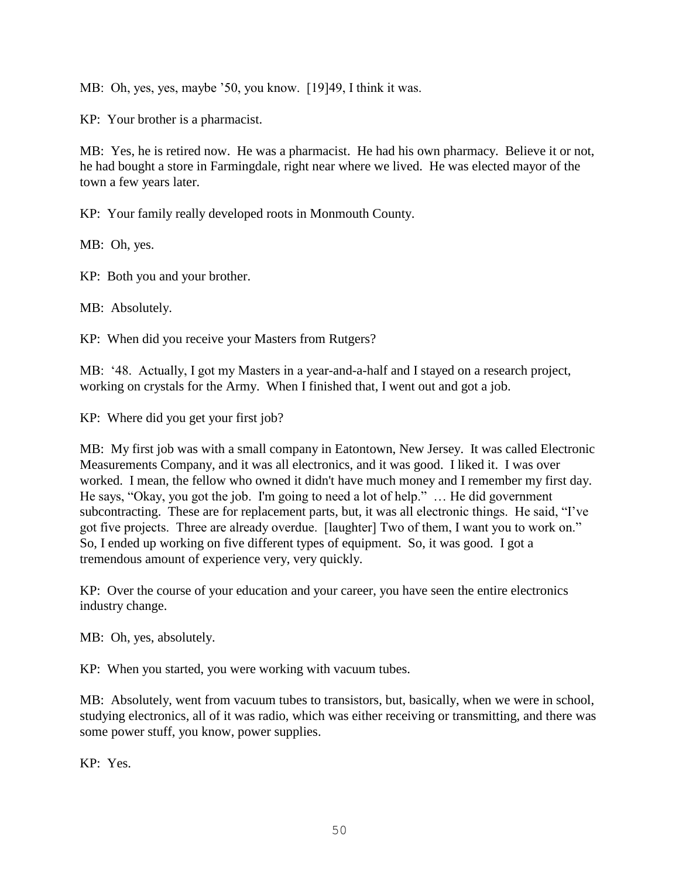MB: Oh, yes, yes, maybe '50, you know. [19]49, I think it was.

KP: Your brother is a pharmacist.

MB: Yes, he is retired now. He was a pharmacist. He had his own pharmacy. Believe it or not, he had bought a store in Farmingdale, right near where we lived. He was elected mayor of the town a few years later.

KP: Your family really developed roots in Monmouth County.

MB: Oh, yes.

KP: Both you and your brother.

MB: Absolutely.

KP: When did you receive your Masters from Rutgers?

MB: '48. Actually, I got my Masters in a year-and-a-half and I stayed on a research project, working on crystals for the Army. When I finished that, I went out and got a job.

KP: Where did you get your first job?

MB: My first job was with a small company in Eatontown, New Jersey. It was called Electronic Measurements Company, and it was all electronics, and it was good. I liked it. I was over worked. I mean, the fellow who owned it didn't have much money and I remember my first day. He says, "Okay, you got the job. I'm going to need a lot of help." … He did government subcontracting. These are for replacement parts, but, it was all electronic things. He said, "I've got five projects. Three are already overdue. [laughter] Two of them, I want you to work on." So, I ended up working on five different types of equipment. So, it was good. I got a tremendous amount of experience very, very quickly.

KP: Over the course of your education and your career, you have seen the entire electronics industry change.

MB: Oh, yes, absolutely.

KP: When you started, you were working with vacuum tubes.

MB: Absolutely, went from vacuum tubes to transistors, but, basically, when we were in school, studying electronics, all of it was radio, which was either receiving or transmitting, and there was some power stuff, you know, power supplies.

KP: Yes.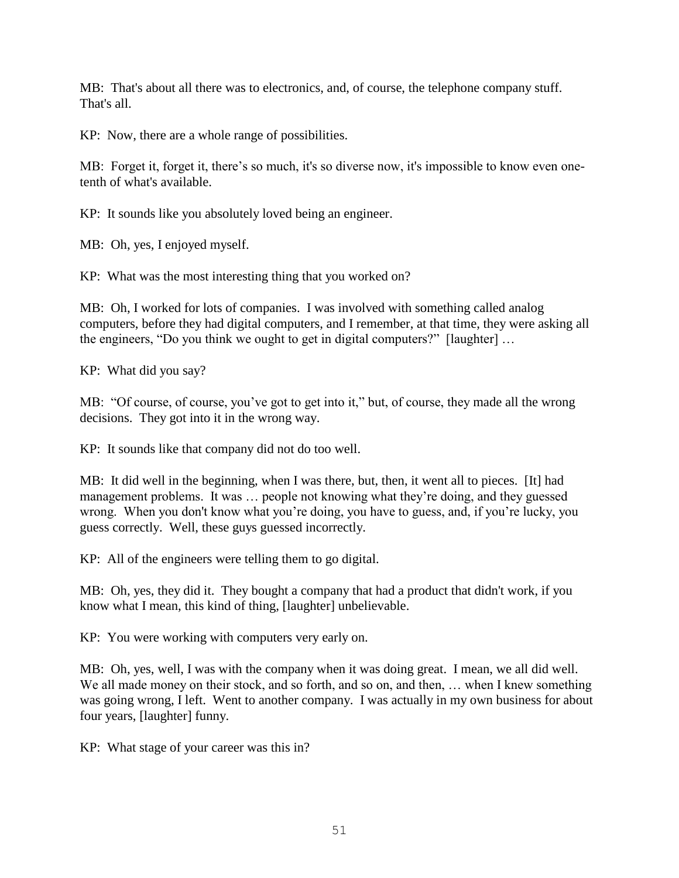MB: That's about all there was to electronics, and, of course, the telephone company stuff. That's all.

KP: Now, there are a whole range of possibilities.

MB: Forget it, forget it, there's so much, it's so diverse now, it's impossible to know even onetenth of what's available.

KP: It sounds like you absolutely loved being an engineer.

MB: Oh, yes, I enjoyed myself.

KP: What was the most interesting thing that you worked on?

MB: Oh, I worked for lots of companies. I was involved with something called analog computers, before they had digital computers, and I remember, at that time, they were asking all the engineers, "Do you think we ought to get in digital computers?" [laughter] …

KP: What did you say?

MB: "Of course, of course, you've got to get into it," but, of course, they made all the wrong decisions. They got into it in the wrong way.

KP: It sounds like that company did not do too well.

MB: It did well in the beginning, when I was there, but, then, it went all to pieces. [It] had management problems. It was … people not knowing what they're doing, and they guessed wrong. When you don't know what you're doing, you have to guess, and, if you're lucky, you guess correctly. Well, these guys guessed incorrectly.

KP: All of the engineers were telling them to go digital.

MB: Oh, yes, they did it. They bought a company that had a product that didn't work, if you know what I mean, this kind of thing, [laughter] unbelievable.

KP: You were working with computers very early on.

MB: Oh, yes, well, I was with the company when it was doing great. I mean, we all did well. We all made money on their stock, and so forth, and so on, and then, ... when I knew something was going wrong, I left. Went to another company. I was actually in my own business for about four years, [laughter] funny.

KP: What stage of your career was this in?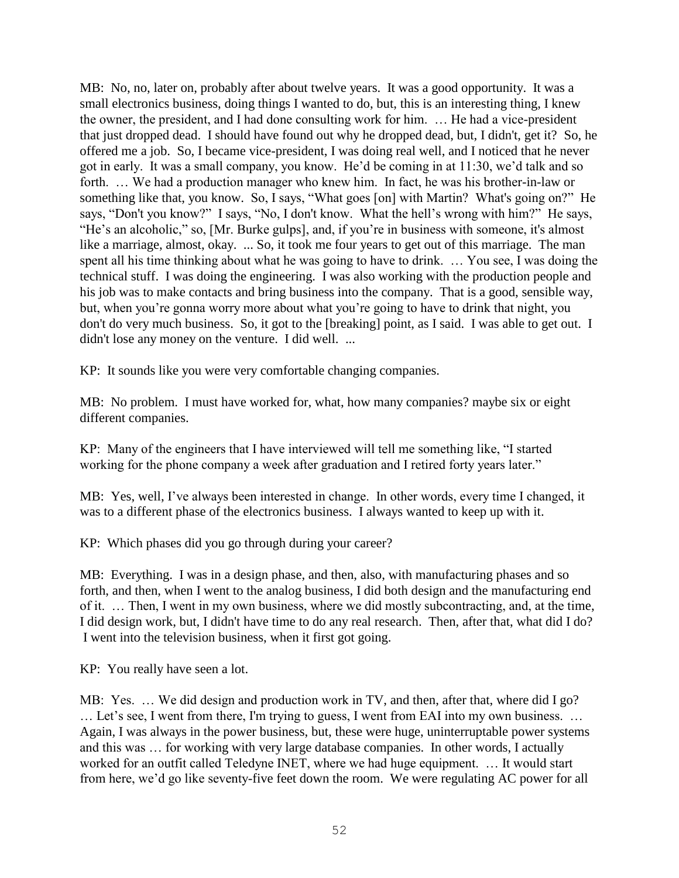MB: No, no, later on, probably after about twelve years. It was a good opportunity. It was a small electronics business, doing things I wanted to do, but, this is an interesting thing, I knew the owner, the president, and I had done consulting work for him. … He had a vice-president that just dropped dead. I should have found out why he dropped dead, but, I didn't, get it? So, he offered me a job. So, I became vice-president, I was doing real well, and I noticed that he never got in early. It was a small company, you know. He'd be coming in at 11:30, we'd talk and so forth. … We had a production manager who knew him. In fact, he was his brother-in-law or something like that, you know. So, I says, "What goes [on] with Martin? What's going on?" He says, "Don't you know?" I says, "No, I don't know. What the hell's wrong with him?" He says, "He's an alcoholic," so, [Mr. Burke gulps], and, if you're in business with someone, it's almost like a marriage, almost, okay. ... So, it took me four years to get out of this marriage. The man spent all his time thinking about what he was going to have to drink. … You see, I was doing the technical stuff. I was doing the engineering. I was also working with the production people and his job was to make contacts and bring business into the company. That is a good, sensible way, but, when you're gonna worry more about what you're going to have to drink that night, you don't do very much business. So, it got to the [breaking] point, as I said. I was able to get out. I didn't lose any money on the venture. I did well. ...

KP: It sounds like you were very comfortable changing companies.

MB: No problem. I must have worked for, what, how many companies? maybe six or eight different companies.

KP: Many of the engineers that I have interviewed will tell me something like, "I started working for the phone company a week after graduation and I retired forty years later."

MB: Yes, well, I've always been interested in change. In other words, every time I changed, it was to a different phase of the electronics business. I always wanted to keep up with it.

KP: Which phases did you go through during your career?

MB: Everything. I was in a design phase, and then, also, with manufacturing phases and so forth, and then, when I went to the analog business, I did both design and the manufacturing end of it. … Then, I went in my own business, where we did mostly subcontracting, and, at the time, I did design work, but, I didn't have time to do any real research. Then, after that, what did I do? I went into the television business, when it first got going.

KP: You really have seen a lot.

MB: Yes. … We did design and production work in TV, and then, after that, where did I go? … Let's see, I went from there, I'm trying to guess, I went from EAI into my own business. … Again, I was always in the power business, but, these were huge, uninterruptable power systems and this was … for working with very large database companies. In other words, I actually worked for an outfit called Teledyne INET, where we had huge equipment. … It would start from here, we'd go like seventy-five feet down the room. We were regulating AC power for all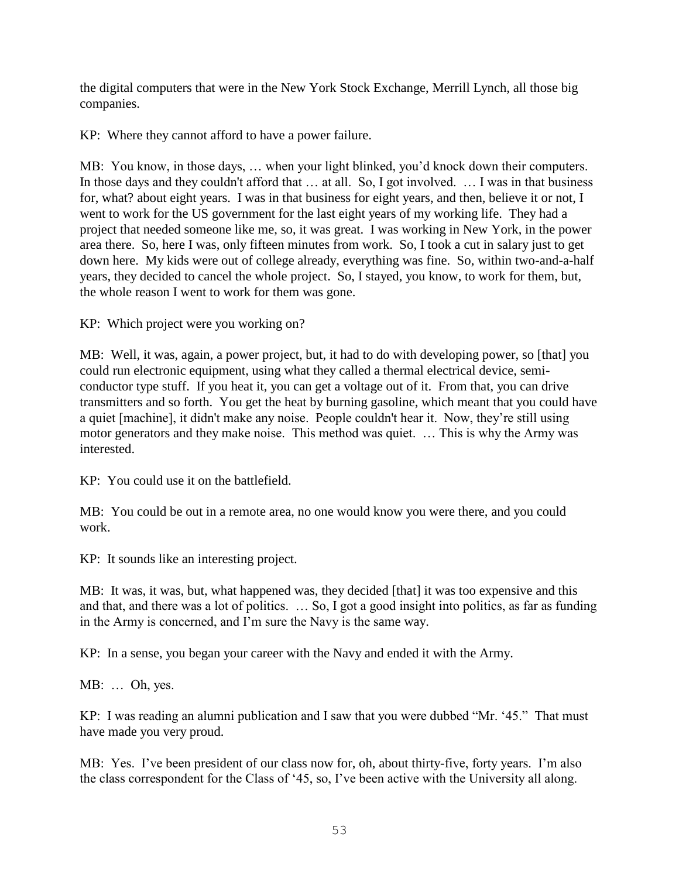the digital computers that were in the New York Stock Exchange, Merrill Lynch, all those big companies.

KP: Where they cannot afford to have a power failure.

MB: You know, in those days, … when your light blinked, you'd knock down their computers. In those days and they couldn't afford that … at all. So, I got involved. … I was in that business for, what? about eight years. I was in that business for eight years, and then, believe it or not, I went to work for the US government for the last eight years of my working life. They had a project that needed someone like me, so, it was great. I was working in New York, in the power area there. So, here I was, only fifteen minutes from work. So, I took a cut in salary just to get down here. My kids were out of college already, everything was fine. So, within two-and-a-half years, they decided to cancel the whole project. So, I stayed, you know, to work for them, but, the whole reason I went to work for them was gone.

KP: Which project were you working on?

MB: Well, it was, again, a power project, but, it had to do with developing power, so [that] you could run electronic equipment, using what they called a thermal electrical device, semiconductor type stuff. If you heat it, you can get a voltage out of it. From that, you can drive transmitters and so forth. You get the heat by burning gasoline, which meant that you could have a quiet [machine], it didn't make any noise. People couldn't hear it. Now, they're still using motor generators and they make noise. This method was quiet. … This is why the Army was interested.

KP: You could use it on the battlefield.

MB: You could be out in a remote area, no one would know you were there, and you could work.

KP: It sounds like an interesting project.

MB: It was, it was, but, what happened was, they decided [that] it was too expensive and this and that, and there was a lot of politics. … So, I got a good insight into politics, as far as funding in the Army is concerned, and I'm sure the Navy is the same way.

KP: In a sense, you began your career with the Navy and ended it with the Army.

MB: … Oh, yes.

KP: I was reading an alumni publication and I saw that you were dubbed "Mr. '45." That must have made you very proud.

MB: Yes. I've been president of our class now for, oh, about thirty-five, forty years. I'm also the class correspondent for the Class of '45, so, I've been active with the University all along.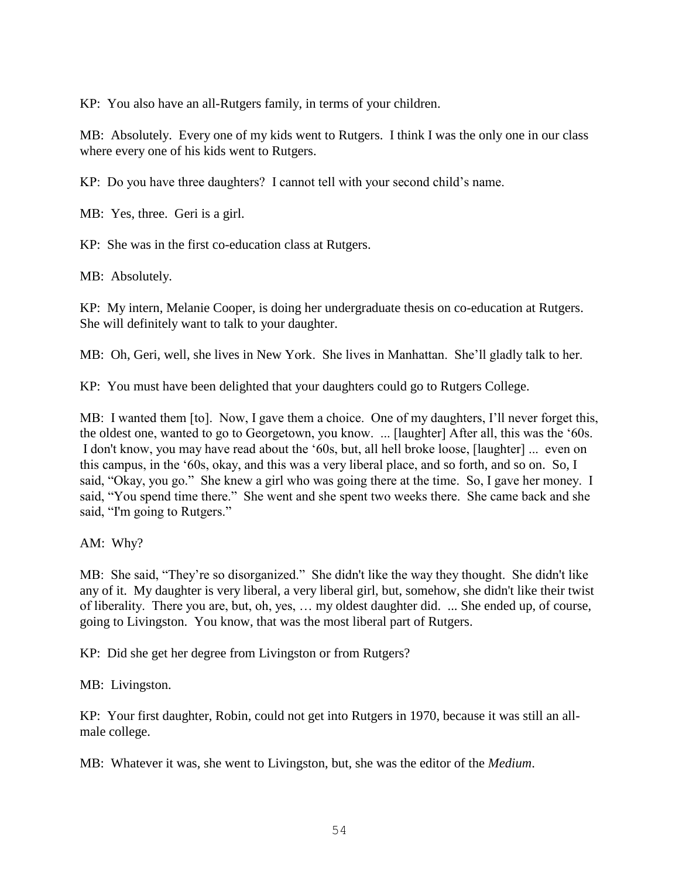KP: You also have an all-Rutgers family, in terms of your children.

MB: Absolutely. Every one of my kids went to Rutgers. I think I was the only one in our class where every one of his kids went to Rutgers.

KP: Do you have three daughters? I cannot tell with your second child's name.

MB: Yes, three. Geri is a girl.

KP: She was in the first co-education class at Rutgers.

MB: Absolutely.

KP: My intern, Melanie Cooper, is doing her undergraduate thesis on co-education at Rutgers. She will definitely want to talk to your daughter.

MB: Oh, Geri, well, she lives in New York. She lives in Manhattan. She'll gladly talk to her.

KP: You must have been delighted that your daughters could go to Rutgers College.

MB: I wanted them [to]. Now, I gave them a choice. One of my daughters, I'll never forget this, the oldest one, wanted to go to Georgetown, you know. ... [laughter] After all, this was the '60s. I don't know, you may have read about the '60s, but, all hell broke loose, [laughter] ... even on this campus, in the '60s, okay, and this was a very liberal place, and so forth, and so on. So, I said, "Okay, you go." She knew a girl who was going there at the time. So, I gave her money. I said, "You spend time there." She went and she spent two weeks there. She came back and she said, "I'm going to Rutgers."

AM: Why?

MB: She said, "They're so disorganized." She didn't like the way they thought. She didn't like any of it. My daughter is very liberal, a very liberal girl, but, somehow, she didn't like their twist of liberality. There you are, but, oh, yes, … my oldest daughter did. ... She ended up, of course, going to Livingston. You know, that was the most liberal part of Rutgers.

KP: Did she get her degree from Livingston or from Rutgers?

MB: Livingston.

KP: Your first daughter, Robin, could not get into Rutgers in 1970, because it was still an allmale college.

MB: Whatever it was, she went to Livingston, but, she was the editor of the *Medium*.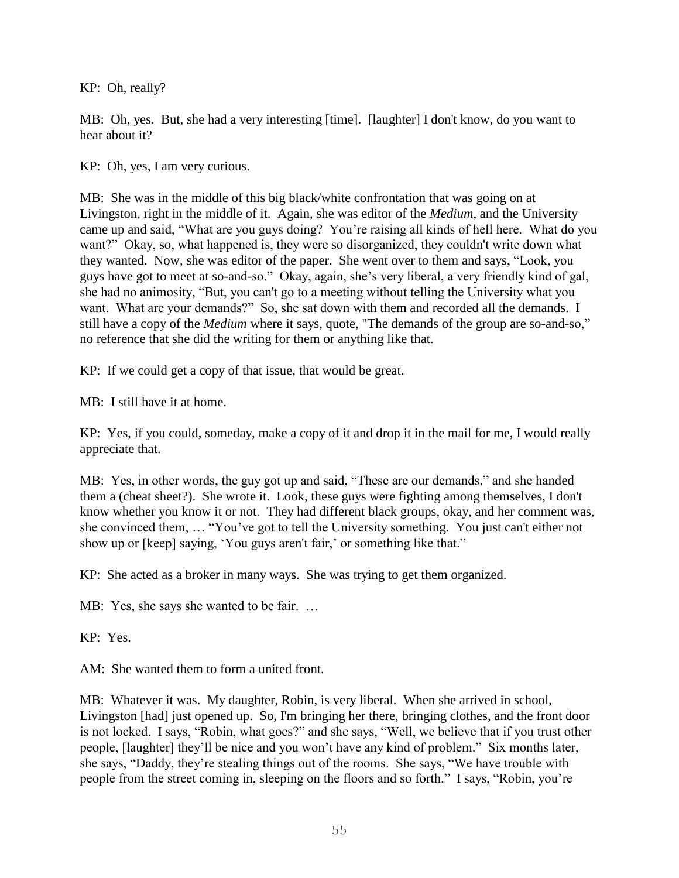KP: Oh, really?

MB: Oh, yes. But, she had a very interesting [time]. [laughter] I don't know, do you want to hear about it?

KP: Oh, yes, I am very curious.

MB: She was in the middle of this big black/white confrontation that was going on at Livingston, right in the middle of it. Again, she was editor of the *Medium*, and the University came up and said, "What are you guys doing? You're raising all kinds of hell here. What do you want?" Okay, so, what happened is, they were so disorganized, they couldn't write down what they wanted. Now, she was editor of the paper. She went over to them and says, "Look, you guys have got to meet at so-and-so." Okay, again, she's very liberal, a very friendly kind of gal, she had no animosity, "But, you can't go to a meeting without telling the University what you want. What are your demands?" So, she sat down with them and recorded all the demands. I still have a copy of the *Medium* where it says, quote, "The demands of the group are so-and-so," no reference that she did the writing for them or anything like that.

KP: If we could get a copy of that issue, that would be great.

MB: I still have it at home.

KP: Yes, if you could, someday, make a copy of it and drop it in the mail for me, I would really appreciate that.

MB: Yes, in other words, the guy got up and said, "These are our demands," and she handed them a (cheat sheet?). She wrote it. Look, these guys were fighting among themselves, I don't know whether you know it or not. They had different black groups, okay, and her comment was, she convinced them, … "You've got to tell the University something. You just can't either not show up or [keep] saying, 'You guys aren't fair,' or something like that."

KP: She acted as a broker in many ways. She was trying to get them organized.

MB: Yes, she says she wanted to be fair. …

KP: Yes.

AM: She wanted them to form a united front.

MB: Whatever it was. My daughter, Robin, is very liberal. When she arrived in school, Livingston [had] just opened up. So, I'm bringing her there, bringing clothes, and the front door is not locked. I says, "Robin, what goes?" and she says, "Well, we believe that if you trust other people, [laughter] they'll be nice and you won't have any kind of problem." Six months later, she says, "Daddy, they're stealing things out of the rooms. She says, "We have trouble with people from the street coming in, sleeping on the floors and so forth." I says, "Robin, you're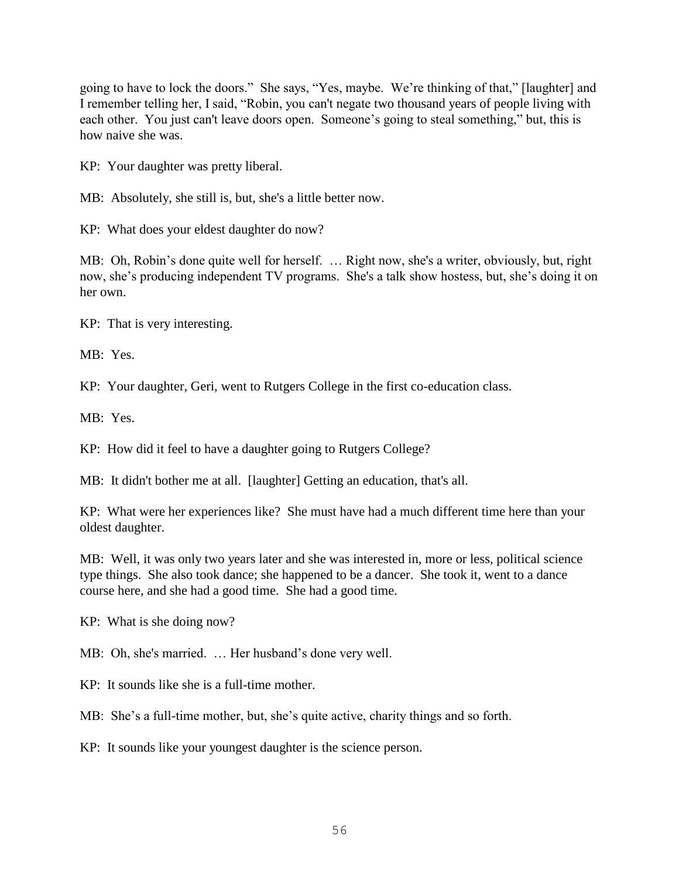going to have to lock the doors." She says, "Yes, maybe. We're thinking of that," [laughter] and I remember telling her, I said, "Robin, you can't negate two thousand years of people living with each other. You just can't leave doors open. Someone's going to steal something," but, this is how naive she was.

KP: Your daughter was pretty liberal.

MB: Absolutely, she still is, but, she's a little better now.

KP: What does your eldest daughter do now?

MB: Oh, Robin's done quite well for herself. … Right now, she's a writer, obviously, but, right now, she's producing independent TV programs. She's a talk show hostess, but, she's doing it on her own.

KP: That is very interesting.

MB: Yes.

KP: Your daughter, Geri, went to Rutgers College in the first co-education class.

MB: Yes.

KP: How did it feel to have a daughter going to Rutgers College?

MB: It didn't bother me at all. [laughter] Getting an education, that's all.

KP: What were her experiences like? She must have had a much different time here than your oldest daughter.

MB: Well, it was only two years later and she was interested in, more or less, political science type things. She also took dance; she happened to be a dancer. She took it, went to a dance course here, and she had a good time. She had a good time.

KP: What is she doing now?

MB: Oh, she's married. … Her husband's done very well.

KP: It sounds like she is a full-time mother.

MB: She's a full-time mother, but, she's quite active, charity things and so forth.

KP: It sounds like your youngest daughter is the science person.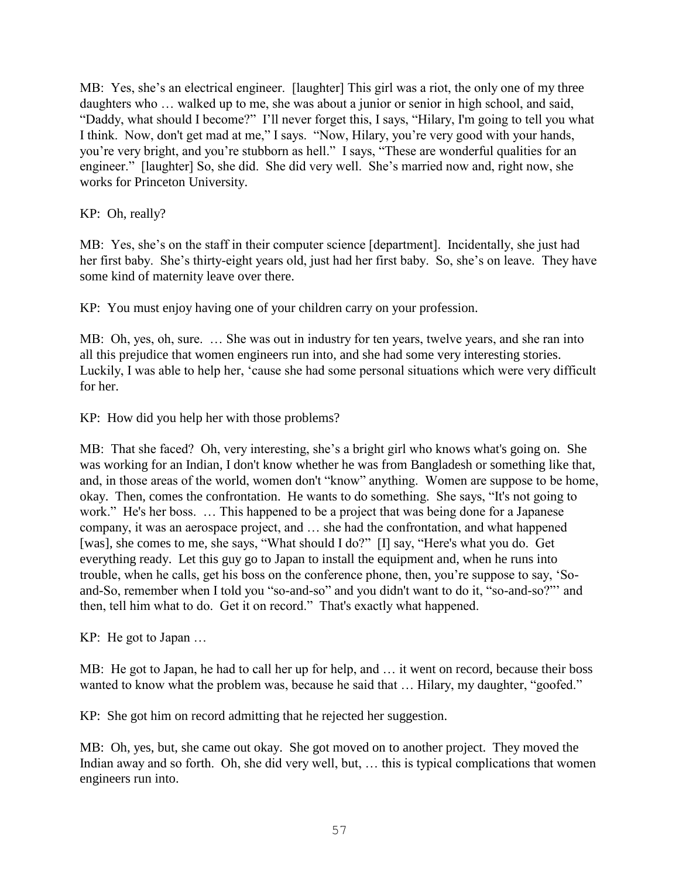MB: Yes, she's an electrical engineer. [laughter] This girl was a riot, the only one of my three daughters who … walked up to me, she was about a junior or senior in high school, and said, "Daddy, what should I become?" I'll never forget this, I says, "Hilary, I'm going to tell you what I think. Now, don't get mad at me," I says. "Now, Hilary, you're very good with your hands, you're very bright, and you're stubborn as hell." I says, "These are wonderful qualities for an engineer." [laughter] So, she did. She did very well. She's married now and, right now, she works for Princeton University.

KP: Oh, really?

MB: Yes, she's on the staff in their computer science [department]. Incidentally, she just had her first baby. She's thirty-eight years old, just had her first baby. So, she's on leave. They have some kind of maternity leave over there.

KP: You must enjoy having one of your children carry on your profession.

MB: Oh, yes, oh, sure. … She was out in industry for ten years, twelve years, and she ran into all this prejudice that women engineers run into, and she had some very interesting stories. Luckily, I was able to help her, 'cause she had some personal situations which were very difficult for her.

KP: How did you help her with those problems?

MB: That she faced? Oh, very interesting, she's a bright girl who knows what's going on. She was working for an Indian, I don't know whether he was from Bangladesh or something like that, and, in those areas of the world, women don't "know" anything. Women are suppose to be home, okay. Then, comes the confrontation. He wants to do something. She says, "It's not going to work." He's her boss. … This happened to be a project that was being done for a Japanese company, it was an aerospace project, and … she had the confrontation, and what happened [was], she comes to me, she says, "What should I do?" [I] say, "Here's what you do. Get everything ready. Let this guy go to Japan to install the equipment and, when he runs into trouble, when he calls, get his boss on the conference phone, then, you're suppose to say, 'Soand-So, remember when I told you "so-and-so" and you didn't want to do it, "so-and-so?"' and then, tell him what to do. Get it on record." That's exactly what happened.

KP: He got to Japan …

MB: He got to Japan, he had to call her up for help, and … it went on record, because their boss wanted to know what the problem was, because he said that ... Hilary, my daughter, "goofed."

KP: She got him on record admitting that he rejected her suggestion.

MB: Oh, yes, but, she came out okay. She got moved on to another project. They moved the Indian away and so forth. Oh, she did very well, but, … this is typical complications that women engineers run into.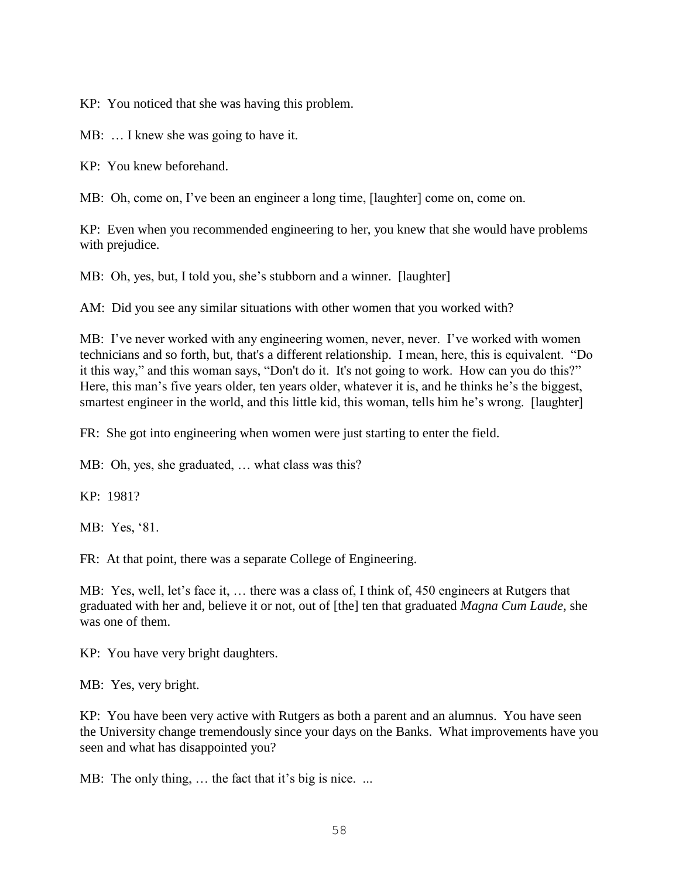KP: You noticed that she was having this problem.

MB: … I knew she was going to have it.

KP: You knew beforehand.

MB: Oh, come on, I've been an engineer a long time, [laughter] come on, come on.

KP: Even when you recommended engineering to her, you knew that she would have problems with prejudice.

MB: Oh, yes, but, I told you, she's stubborn and a winner. [laughter]

AM: Did you see any similar situations with other women that you worked with?

MB: I've never worked with any engineering women, never, never. I've worked with women technicians and so forth, but, that's a different relationship. I mean, here, this is equivalent. "Do it this way," and this woman says, "Don't do it. It's not going to work. How can you do this?" Here, this man's five years older, ten years older, whatever it is, and he thinks he's the biggest, smartest engineer in the world, and this little kid, this woman, tells him he's wrong. [laughter]

FR: She got into engineering when women were just starting to enter the field.

MB: Oh, yes, she graduated, ... what class was this?

KP: 1981?

MB: Yes, '81.

FR: At that point, there was a separate College of Engineering.

MB: Yes, well, let's face it, … there was a class of, I think of, 450 engineers at Rutgers that graduated with her and, believe it or not, out of [the] ten that graduated *Magna Cum Laude,* she was one of them.

KP: You have very bright daughters.

MB: Yes, very bright.

KP: You have been very active with Rutgers as both a parent and an alumnus. You have seen the University change tremendously since your days on the Banks. What improvements have you seen and what has disappointed you?

MB: The only thing, ... the fact that it's big is nice. ...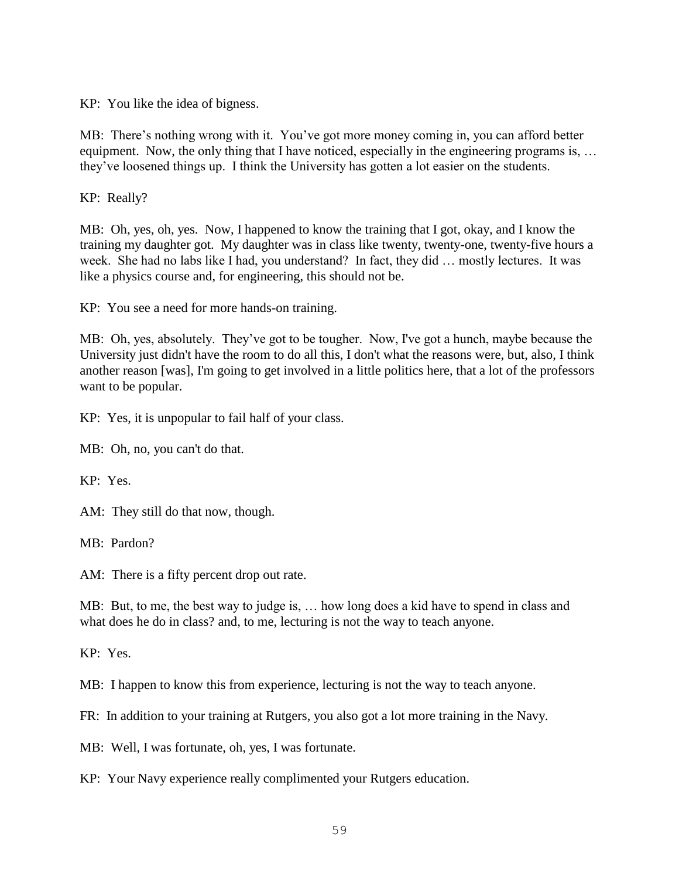KP: You like the idea of bigness.

MB: There's nothing wrong with it. You've got more money coming in, you can afford better equipment. Now, the only thing that I have noticed, especially in the engineering programs is, ... they've loosened things up. I think the University has gotten a lot easier on the students.

KP: Really?

MB: Oh, yes, oh, yes. Now, I happened to know the training that I got, okay, and I know the training my daughter got. My daughter was in class like twenty, twenty-one, twenty-five hours a week. She had no labs like I had, you understand? In fact, they did … mostly lectures. It was like a physics course and, for engineering, this should not be.

KP: You see a need for more hands-on training.

MB: Oh, yes, absolutely. They've got to be tougher. Now, I've got a hunch, maybe because the University just didn't have the room to do all this, I don't what the reasons were, but, also, I think another reason [was], I'm going to get involved in a little politics here, that a lot of the professors want to be popular.

KP: Yes, it is unpopular to fail half of your class.

MB: Oh, no, you can't do that.

KP: Yes.

AM: They still do that now, though.

MB: Pardon?

AM: There is a fifty percent drop out rate.

MB: But, to me, the best way to judge is, … how long does a kid have to spend in class and what does he do in class? and, to me, lecturing is not the way to teach anyone.

KP: Yes.

MB: I happen to know this from experience, lecturing is not the way to teach anyone.

FR: In addition to your training at Rutgers, you also got a lot more training in the Navy.

MB: Well, I was fortunate, oh, yes, I was fortunate.

KP: Your Navy experience really complimented your Rutgers education.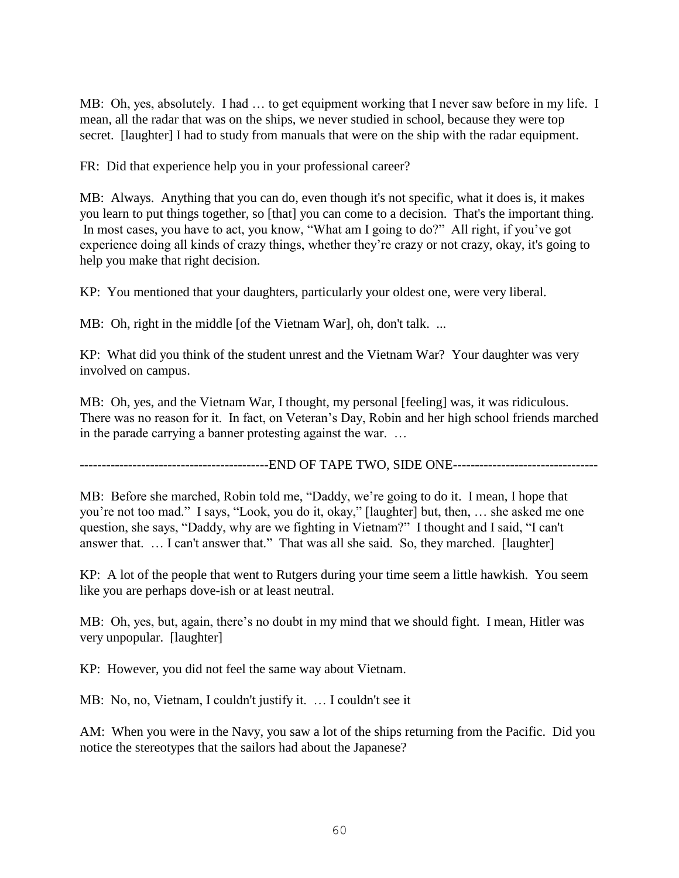MB: Oh, yes, absolutely. I had … to get equipment working that I never saw before in my life. I mean, all the radar that was on the ships, we never studied in school, because they were top secret. [laughter] I had to study from manuals that were on the ship with the radar equipment.

FR: Did that experience help you in your professional career?

MB: Always. Anything that you can do, even though it's not specific, what it does is, it makes you learn to put things together, so [that] you can come to a decision. That's the important thing. In most cases, you have to act, you know, "What am I going to do?" All right, if you've got experience doing all kinds of crazy things, whether they're crazy or not crazy, okay, it's going to help you make that right decision.

KP: You mentioned that your daughters, particularly your oldest one, were very liberal.

MB: Oh, right in the middle [of the Vietnam War], oh, don't talk. ...

KP: What did you think of the student unrest and the Vietnam War? Your daughter was very involved on campus.

MB: Oh, yes, and the Vietnam War, I thought, my personal [feeling] was, it was ridiculous. There was no reason for it. In fact, on Veteran's Day, Robin and her high school friends marched in the parade carrying a banner protesting against the war. …

-------------------------------------------END OF TAPE TWO, SIDE ONE---------------------------------

MB: Before she marched, Robin told me, "Daddy, we're going to do it. I mean, I hope that you're not too mad." I says, "Look, you do it, okay," [laughter] but, then, … she asked me one question, she says, "Daddy, why are we fighting in Vietnam?" I thought and I said, "I can't answer that. … I can't answer that." That was all she said. So, they marched. [laughter]

KP: A lot of the people that went to Rutgers during your time seem a little hawkish. You seem like you are perhaps dove-ish or at least neutral.

MB: Oh, yes, but, again, there's no doubt in my mind that we should fight. I mean, Hitler was very unpopular. [laughter]

KP: However, you did not feel the same way about Vietnam.

MB: No, no, Vietnam, I couldn't justify it. … I couldn't see it

AM: When you were in the Navy, you saw a lot of the ships returning from the Pacific. Did you notice the stereotypes that the sailors had about the Japanese?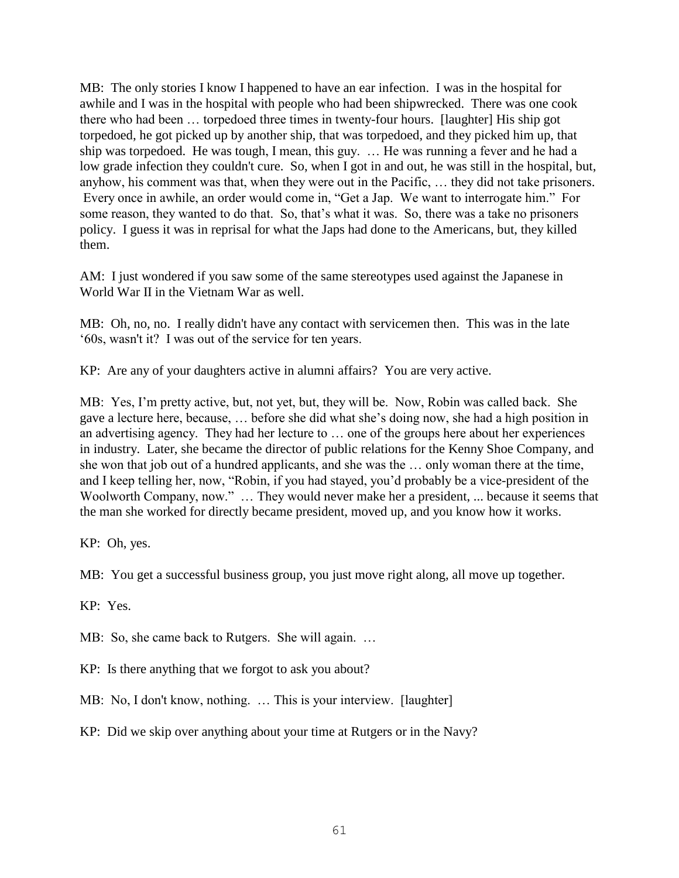MB: The only stories I know I happened to have an ear infection. I was in the hospital for awhile and I was in the hospital with people who had been shipwrecked. There was one cook there who had been … torpedoed three times in twenty-four hours. [laughter] His ship got torpedoed, he got picked up by another ship, that was torpedoed, and they picked him up, that ship was torpedoed. He was tough, I mean, this guy. … He was running a fever and he had a low grade infection they couldn't cure. So, when I got in and out, he was still in the hospital, but, anyhow, his comment was that, when they were out in the Pacific, … they did not take prisoners. Every once in awhile, an order would come in, "Get a Jap. We want to interrogate him." For some reason, they wanted to do that. So, that's what it was. So, there was a take no prisoners policy. I guess it was in reprisal for what the Japs had done to the Americans, but, they killed them.

AM: I just wondered if you saw some of the same stereotypes used against the Japanese in World War II in the Vietnam War as well.

MB: Oh, no, no. I really didn't have any contact with servicemen then. This was in the late '60s, wasn't it? I was out of the service for ten years.

KP: Are any of your daughters active in alumni affairs? You are very active.

MB: Yes, I'm pretty active, but, not yet, but, they will be. Now, Robin was called back. She gave a lecture here, because, … before she did what she's doing now, she had a high position in an advertising agency. They had her lecture to … one of the groups here about her experiences in industry. Later, she became the director of public relations for the Kenny Shoe Company, and she won that job out of a hundred applicants, and she was the … only woman there at the time, and I keep telling her, now, "Robin, if you had stayed, you'd probably be a vice-president of the Woolworth Company, now." … They would never make her a president, ... because it seems that the man she worked for directly became president, moved up, and you know how it works.

KP: Oh, yes.

MB: You get a successful business group, you just move right along, all move up together.

KP: Yes.

MB: So, she came back to Rutgers. She will again. …

KP: Is there anything that we forgot to ask you about?

MB: No, I don't know, nothing. ... This is your interview. [laughter]

KP: Did we skip over anything about your time at Rutgers or in the Navy?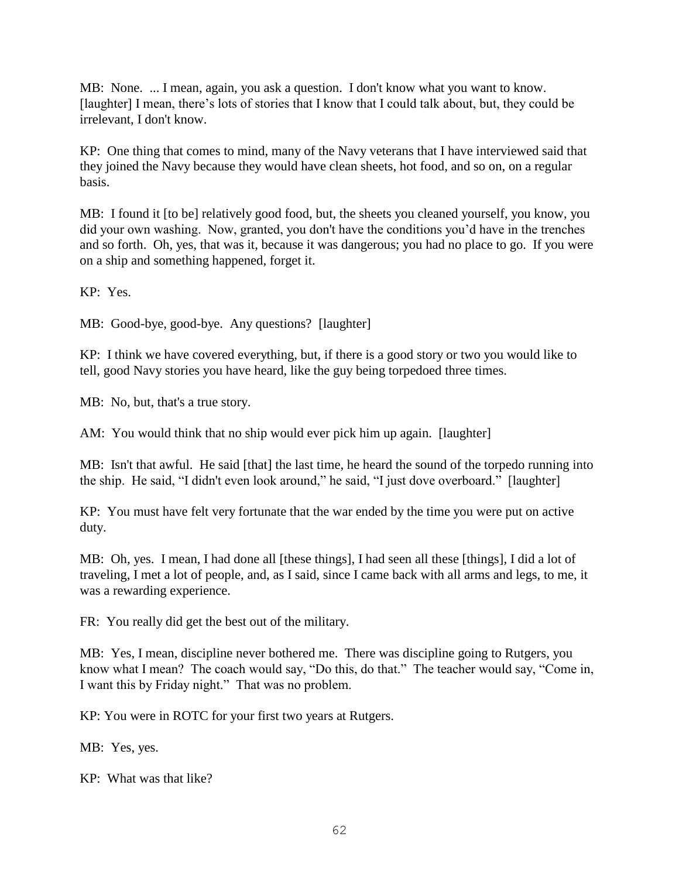MB: None. ... I mean, again, you ask a question. I don't know what you want to know. [laughter] I mean, there's lots of stories that I know that I could talk about, but, they could be irrelevant, I don't know.

KP: One thing that comes to mind, many of the Navy veterans that I have interviewed said that they joined the Navy because they would have clean sheets, hot food, and so on, on a regular basis.

MB: I found it [to be] relatively good food, but, the sheets you cleaned yourself, you know, you did your own washing. Now, granted, you don't have the conditions you'd have in the trenches and so forth. Oh, yes, that was it, because it was dangerous; you had no place to go. If you were on a ship and something happened, forget it.

KP: Yes.

MB: Good-bye, good-bye. Any questions? [laughter]

KP: I think we have covered everything, but, if there is a good story or two you would like to tell, good Navy stories you have heard, like the guy being torpedoed three times.

MB: No, but, that's a true story.

AM: You would think that no ship would ever pick him up again. [laughter]

MB: Isn't that awful. He said [that] the last time, he heard the sound of the torpedo running into the ship. He said, "I didn't even look around," he said, "I just dove overboard." [laughter]

KP: You must have felt very fortunate that the war ended by the time you were put on active duty.

MB: Oh, yes. I mean, I had done all [these things], I had seen all these [things], I did a lot of traveling, I met a lot of people, and, as I said, since I came back with all arms and legs, to me, it was a rewarding experience.

FR: You really did get the best out of the military.

MB: Yes, I mean, discipline never bothered me. There was discipline going to Rutgers, you know what I mean? The coach would say, "Do this, do that." The teacher would say, "Come in, I want this by Friday night." That was no problem.

KP: You were in ROTC for your first two years at Rutgers.

MB: Yes, yes.

KP: What was that like?